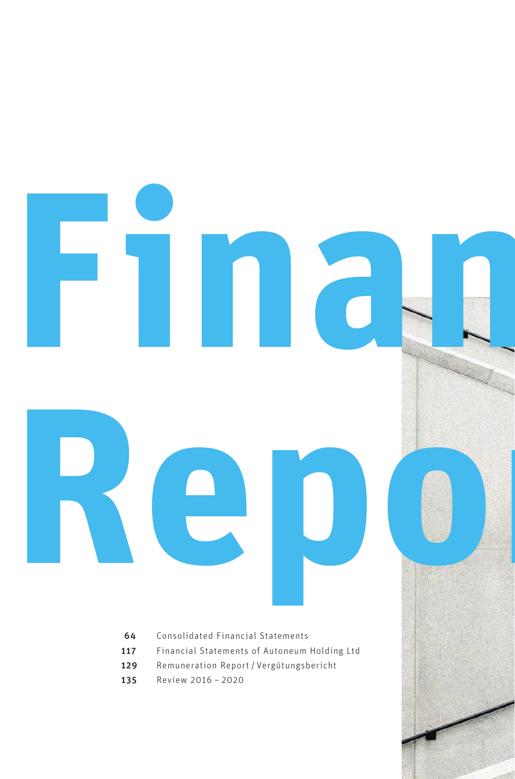- [Consolidated Financial Statements](#page-2-0)
- [Financial Statements of Autoneum Holding Ltd](#page-55-0)

**Repo** 

**Financial** 

- [Remuneration Report](#page-67-0) / Vergütungsbericht
- [Review 2016](#page-73-0) 2020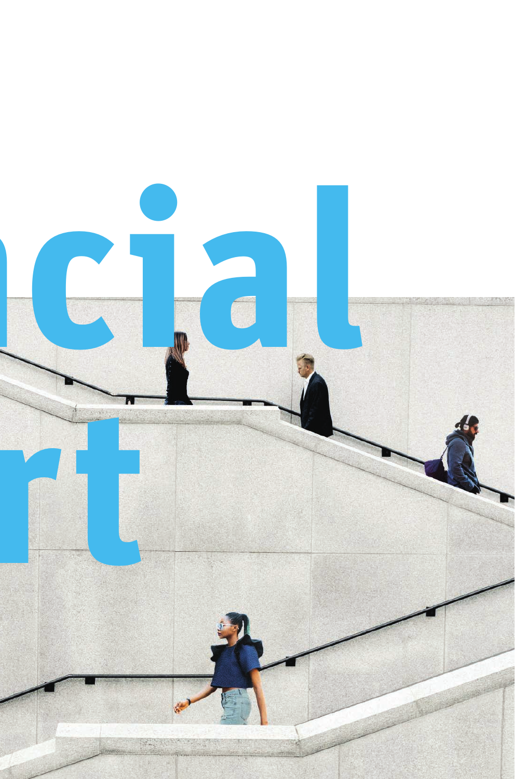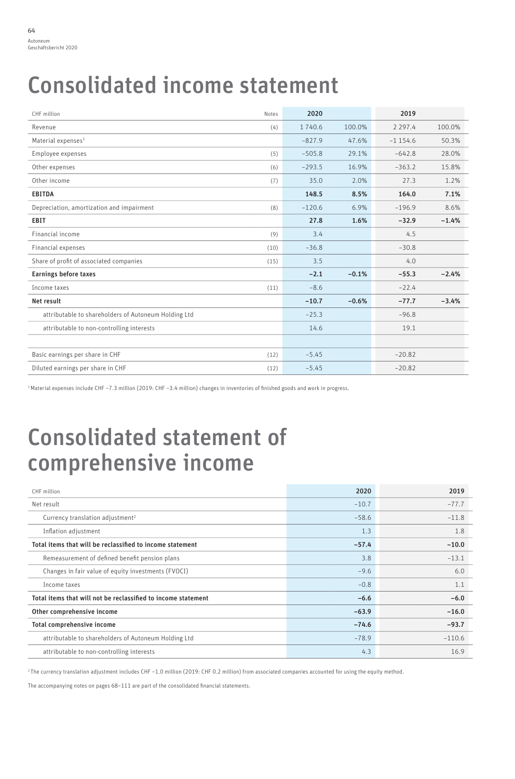# <span id="page-2-0"></span>Consolidated income statement

| CHF million                                          | Notes | 2020     |         | 2019        |         |
|------------------------------------------------------|-------|----------|---------|-------------|---------|
| Revenue                                              | (4)   | 1 740.6  | 100.0%  | 2 2 9 7 . 4 | 100.0%  |
| Material expenses <sup>1</sup>                       |       | $-827.9$ | 47.6%   | $-1154.6$   | 50.3%   |
| Employee expenses                                    | (5)   | $-505.8$ | 29.1%   | $-642.8$    | 28.0%   |
| Other expenses                                       | (6)   | $-293.5$ | 16.9%   | $-363.2$    | 15.8%   |
| Other income                                         | (7)   | 35.0     | 2.0%    | 27.3        | 1.2%    |
| <b>EBITDA</b>                                        |       | 148.5    | 8.5%    | 164.0       | 7.1%    |
| Depreciation, amortization and impairment            | (8)   | $-120.6$ | 6.9%    | $-196.9$    | 8.6%    |
| EBIT                                                 |       | 27.8     | 1.6%    | $-32.9$     | $-1.4%$ |
| Financial income                                     | (9)   | 3.4      |         | 4.5         |         |
| Financial expenses                                   | (10)  | $-36.8$  |         | $-30.8$     |         |
| Share of profit of associated companies              | (15)  | 3.5      |         | 4.0         |         |
| <b>Earnings before taxes</b>                         |       | $-2.1$   | $-0.1%$ | $-55.3$     | $-2.4%$ |
| Income taxes                                         | (11)  | $-8.6$   |         | $-22.4$     |         |
| Net result                                           |       | $-10.7$  | $-0.6%$ | $-77.7$     | $-3.4%$ |
| attributable to shareholders of Autoneum Holding Ltd |       | $-25.3$  |         | $-96.8$     |         |
| attributable to non-controlling interests            |       | 14.6     |         | 19.1        |         |
|                                                      |       |          |         |             |         |
| Basic earnings per share in CHF                      | (12)  | $-5.45$  |         | $-20.82$    |         |
| Diluted earnings per share in CHF                    | (12)  | $-5.45$  |         | $-20.82$    |         |

1 Material expenses include CHF –7.3 million (2019: CHF –3.4 million) changes in inventories of finished goods and work in progress.

# Consolidated statement of comprehensive income

| CHF million                                                   | 2020    | 2019     |
|---------------------------------------------------------------|---------|----------|
| Net result                                                    | $-10.7$ | $-77.7$  |
| Currency translation adjustment <sup>2</sup>                  | $-58.6$ | $-11.8$  |
| Inflation adjustment                                          | 1.3     | 1.8      |
| Total items that will be reclassified to income statement     | $-57.4$ | $-10.0$  |
| Remeasurement of defined benefit pension plans                | 3.8     | $-13.1$  |
| Changes in fair value of equity investments (FVOCI)           | $-9.6$  | 6.0      |
| Income taxes                                                  | $-0.8$  | 1.1      |
| Total items that will not be reclassified to income statement | $-6.6$  | $-6.0$   |
| Other comprehensive income                                    | $-63.9$ | $-16.0$  |
| Total comprehensive income                                    | $-74.6$ | $-93.7$  |
| attributable to shareholders of Autoneum Holding Ltd          | $-78.9$ | $-110.6$ |
| attributable to non-controlling interests                     | 4.3     | 16.9     |

2 The currency translation adjustment includes CHF –1.0 million (2019: CHF 0.2 million) from associated companies accounted for using the equity method.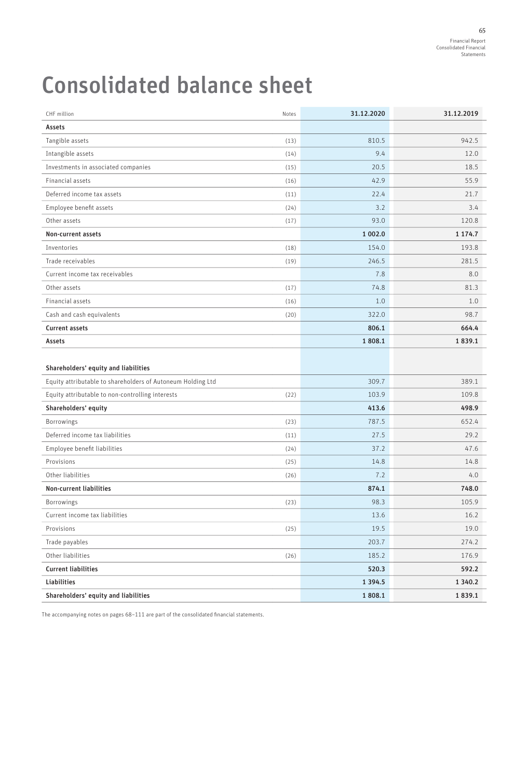# Consolidated balance sheet

| CHF million                                                 | Notes | 31.12.2020  | 31.12.2019  |
|-------------------------------------------------------------|-------|-------------|-------------|
| Assets                                                      |       |             |             |
| Tangible assets                                             | (13)  | 810.5       | 942.5       |
| Intangible assets                                           | (14)  | 9.4         | 12.0        |
| Investments in associated companies                         | (15)  | 20.5        | 18.5        |
| Financial assets                                            | (16)  | 42.9        | 55.9        |
| Deferred income tax assets                                  | (11)  | 22.4        | 21.7        |
| Employee benefit assets                                     | (24)  | 3.2         | 3.4         |
| Other assets                                                | (17)  | 93.0        | 120.8       |
| Non-current assets                                          |       | 1 002.0     | 1 174.7     |
| Inventories                                                 | (18)  | 154.0       | 193.8       |
| Trade receivables                                           | (19)  | 246.5       | 281.5       |
| Current income tax receivables                              |       | 7.8         | 8.0         |
| Other assets                                                | (17)  | 74.8        | 81.3        |
| Financial assets                                            | (16)  | 1.0         | 1.0         |
| Cash and cash equivalents                                   | (20)  | 322.0       | 98.7        |
| <b>Current assets</b>                                       |       | 806.1       | 664.4       |
| Assets                                                      |       | 1808.1      | 1839.1      |
|                                                             |       |             |             |
| Shareholders' equity and liabilities                        |       |             |             |
| Equity attributable to shareholders of Autoneum Holding Ltd |       | 309.7       | 389.1       |
| Equity attributable to non-controlling interests            | (22)  | 103.9       | 109.8       |
| Shareholders' equity                                        |       | 413.6       | 498.9       |
| Borrowings                                                  | (23)  | 787.5       | 652.4       |
| Deferred income tax liabilities                             | (11)  | 27.5        | 29.2        |
| Employee benefit liabilities                                | (24)  | 37.2        | 47.6        |
| Provisions                                                  | (25)  | 14.8        | 14.8        |
| Other liabilities                                           | (26)  | 7.2         | 4.0         |
| Non-current liabilities                                     |       | 874.1       | 748.0       |
| Borrowings                                                  | (23)  | 98.3        | 105.9       |
| Current income tax liabilities                              |       | 13.6        | 16.2        |
| Provisions                                                  | (25)  | 19.5        | 19.0        |
| Trade payables                                              |       | 203.7       | 274.2       |
| Other liabilities                                           | (26)  | 185.2       | 176.9       |
| <b>Current liabilities</b>                                  |       | 520.3       | 592.2       |
| Liabilities                                                 |       | 1 3 9 4 . 5 | 1 3 4 0 . 2 |
| Shareholders' equity and liabilities                        |       | 1808.1      | 1839.1      |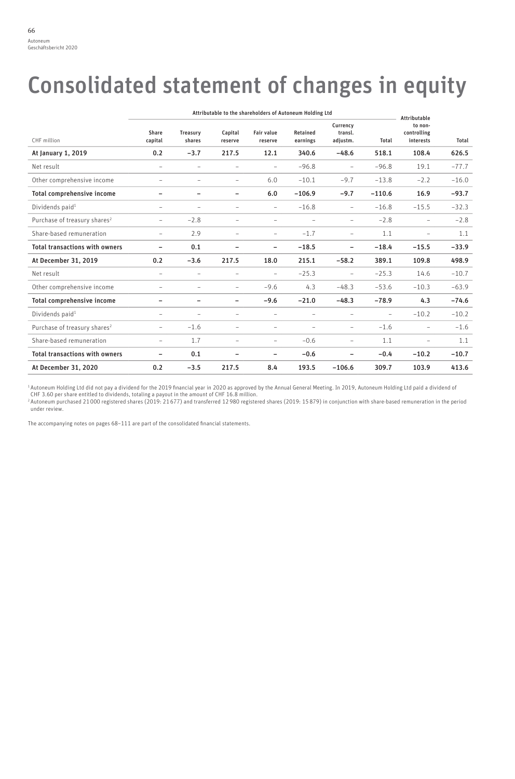# Consolidated statement of changes in equity

|                                          | Attributable to the shareholders of Autoneum Holding Ltd |                          |                          |                              | <b>Attributable</b>         |                                 |          |                                     |         |
|------------------------------------------|----------------------------------------------------------|--------------------------|--------------------------|------------------------------|-----------------------------|---------------------------------|----------|-------------------------------------|---------|
| CHF million                              | Share<br>capital                                         | Treasury<br>shares       | Capital<br>reserve       | <b>Fair value</b><br>reserve | <b>Retained</b><br>earnings | Currency<br>transl.<br>adjustm. | Total    | to non-<br>controlling<br>interests | Total   |
| At January 1, 2019                       | 0.2                                                      | $-3.7$                   | 217.5                    | 12.1                         | 340.6                       | $-48.6$                         | 518.1    | 108.4                               | 626.5   |
| Net result                               | $\overline{\phantom{0}}$                                 | $\equiv$                 | $\overline{\phantom{a}}$ | ۰                            | $-96.8$                     | $\overline{\phantom{a}}$        | $-96.8$  | 19.1                                | $-77.7$ |
| Other comprehensive income               | $\qquad \qquad -$                                        | $\overline{\phantom{0}}$ | $\qquad \qquad -$        | 6.0                          | $-10.1$                     | $-9.7$                          | $-13.8$  | $-2.2$                              | $-16.0$ |
| Total comprehensive income               | -                                                        | $\overline{\phantom{0}}$ | -                        | 6.0                          | $-106.9$                    | $-9.7$                          | $-110.6$ | 16.9                                | $-93.7$ |
| Dividends paid <sup>1</sup>              | $\overline{\phantom{0}}$                                 | $\equiv$                 | $\equiv$                 | $\equiv$                     | $-16.8$                     | $\overline{\phantom{a}}$        | $-16.8$  | $-15.5$                             | $-32.3$ |
| Purchase of treasury shares <sup>2</sup> | $\qquad \qquad -$                                        | $-2.8$                   | $\equiv$                 | ۰                            | $\equiv$                    | $\overline{\phantom{a}}$        | $-2.8$   | $\equiv$                            | $-2.8$  |
| Share-based remuneration                 | $\qquad \qquad -$                                        | 2.9                      | $\overline{\phantom{a}}$ | $\overline{\phantom{0}}$     | $-1.7$                      | $\overline{\phantom{a}}$        | 1.1      | $\qquad \qquad -$                   | 1.1     |
| <b>Total transactions with owners</b>    | $\overline{\phantom{0}}$                                 | 0.1                      | ۰                        | ۳                            | $-18.5$                     | $\overline{\phantom{m}}$        | $-18.4$  | $-15.5$                             | $-33.9$ |
| At December 31, 2019                     | 0.2                                                      | $-3.6$                   | 217.5                    | 18.0                         | 215.1                       | $-58.2$                         | 389.1    | 109.8                               | 498.9   |
| Net result                               | $\overline{\phantom{0}}$                                 | ۰                        | $\overline{\phantom{0}}$ | ۰                            | $-25.3$                     | $\overline{\phantom{a}}$        | $-25.3$  | 14.6                                | $-10.7$ |
| Other comprehensive income               | $\qquad \qquad -$                                        | $\qquad \qquad -$        | $\overline{\phantom{a}}$ | $-9.6$                       | 4.3                         | $-48.3$                         | $-53.6$  | $-10.3$                             | $-63.9$ |
| Total comprehensive income               | $\overline{\phantom{0}}$                                 | $\overline{\phantom{0}}$ | $\overline{\phantom{0}}$ | $-9.6$                       | $-21.0$                     | $-48.3$                         | $-78.9$  | 4.3                                 | $-74.6$ |
| Dividends paid <sup>1</sup>              | $\overline{\phantom{0}}$                                 | $\equiv$                 | $\equiv$                 | ۰                            | $\overline{\phantom{0}}$    | $\equiv$                        | $\equiv$ | $-10.2$                             | $-10.2$ |
| Purchase of treasury shares <sup>2</sup> | $\qquad \qquad -$                                        | $-1.6$                   | $\overline{\phantom{a}}$ | $\qquad \qquad -$            | $\qquad \qquad -$           | $\overline{\phantom{a}}$        | $-1.6$   | $\qquad \qquad -$                   | $-1.6$  |
| Share-based remuneration                 | $\qquad \qquad -$                                        | 1.7                      | $\overline{\phantom{m}}$ | $\overline{\phantom{0}}$     | $-0.6$                      | $\overline{\phantom{a}}$        | 1.1      | $\qquad \qquad -$                   | 1.1     |
| <b>Total transactions with owners</b>    | $\overline{\phantom{0}}$                                 | 0.1                      | ۰                        | ۳                            | $-0.6$                      | $\overline{\phantom{0}}$        | $-0.4$   | $-10.2$                             | $-10.7$ |
| At December 31, 2020                     | 0.2                                                      | $-3.5$                   | 217.5                    | 8.4                          | 193.5                       | $-106.6$                        | 309.7    | 103.9                               | 413.6   |

<sup>1</sup> Autoneum Holding Ltd did not pay a dividend for the 2019 financial year in 2020 as approved by the Annual General Meeting. In 2019, Autoneum Holding Ltd paid a dividend of<br>CHF 3.60 per share entitled to dividends, tota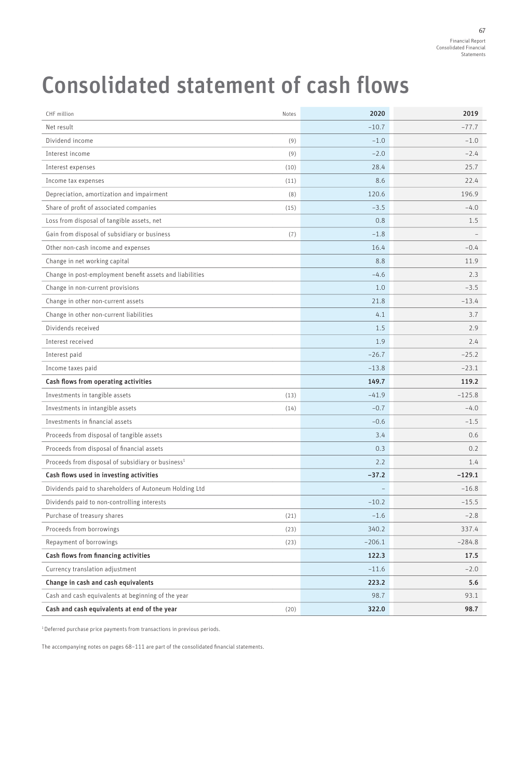#### Financial Report Consolidated Financial Statements 67

# Consolidated statement of cash flows

| CHF million                                                   | Notes | 2020     | 2019     |
|---------------------------------------------------------------|-------|----------|----------|
| Net result                                                    |       | $-10.7$  | $-77.7$  |
| Dividend income                                               | (9)   | $-1.0$   | $-1.0$   |
| Interest income                                               | (9)   | $-2.0$   | $-2.4$   |
| Interest expenses                                             | (10)  | 28.4     | 25.7     |
| Income tax expenses                                           | (11)  | 8.6      | 22.4     |
| Depreciation, amortization and impairment                     | (8)   | 120.6    | 196.9    |
| Share of profit of associated companies                       | (15)  | $-3.5$   | $-4.0$   |
| Loss from disposal of tangible assets, net                    |       | 0.8      | 1.5      |
| Gain from disposal of subsidiary or business                  | (7)   | $-1.8$   |          |
| Other non-cash income and expenses                            |       | 16.4     | $-0.4$   |
| Change in net working capital                                 |       | 8.8      | 11.9     |
| Change in post-employment benefit assets and liabilities      |       | $-4.6$   | 2.3      |
| Change in non-current provisions                              |       | 1.0      | $-3.5$   |
| Change in other non-current assets                            |       | 21.8     | $-13.4$  |
| Change in other non-current liabilities                       |       | 4.1      | 3.7      |
| Dividends received                                            |       | 1.5      | 2.9      |
| Interest received                                             |       | 1.9      | 2.4      |
| Interest paid                                                 |       | $-26.7$  | $-25.2$  |
| Income taxes paid                                             |       | $-13.8$  | $-23.1$  |
| Cash flows from operating activities                          |       | 149.7    | 119.2    |
| Investments in tangible assets                                | (13)  | $-41.9$  | $-125.8$ |
| Investments in intangible assets                              | (14)  | $-0.7$   | $-4.0$   |
| Investments in financial assets                               |       | $-0.6$   | $-1.5$   |
| Proceeds from disposal of tangible assets                     |       | 3.4      | 0.6      |
| Proceeds from disposal of financial assets                    |       | 0.3      | 0.2      |
| Proceeds from disposal of subsidiary or business <sup>1</sup> |       | 2.2      | 1.4      |
| Cash flows used in investing activities                       |       | $-37.2$  | $-129.1$ |
| Dividends paid to shareholders of Autoneum Holding Ltd        |       |          | $-16.8$  |
| Dividends paid to non-controlling interests                   |       | $-10.2$  | $-15.5$  |
| Purchase of treasury shares                                   | (21)  | $-1.6$   | $-2.8$   |
| Proceeds from borrowings                                      | (23)  | 340.2    | 337.4    |
| Repayment of borrowings                                       | (23)  | $-206.1$ | $-284.8$ |
| Cash flows from financing activities                          |       | 122.3    | 17.5     |
| Currency translation adjustment                               |       | $-11.6$  | $-2.0$   |
| Change in cash and cash equivalents                           |       | 223.2    | 5.6      |
| Cash and cash equivalents at beginning of the year            |       | 98.7     | 93.1     |
| Cash and cash equivalents at end of the year                  | (20)  | 322.0    | 98.7     |

<sup>1</sup> Deferred purchase price payments from transactions in previous periods.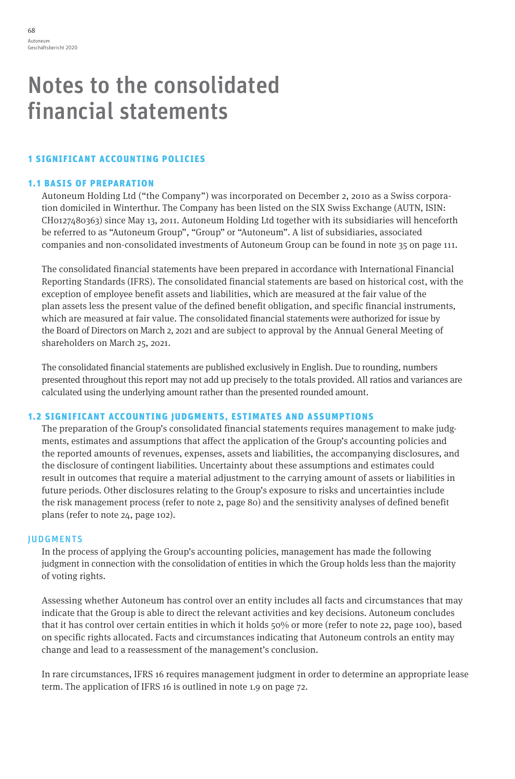# Notes to the consolidated financial statements

# 1 SIGNIFICANT ACCOUNTING POLICIES

# 1.1 BASIS OF PREPARATION

Autoneum Holding Ltd ("the Company") was incorporated on December 2, 2010 as a Swiss corporation domiciled in Winterthur. The Company has been listed on the SIX Swiss Exchange (AUTN, ISIN: CH0127480363) since May 13, 2011. Autoneum Holding Ltd together with its subsidiaries will henceforth be referred to as "Autoneum Group", "Group" or "Autoneum". A list of subsidiaries, associated companies and non-consolidated investments of Autoneum Group can be found in note 35 on page 111.

The consolidated financial statements have been prepared in accordance with International Financial Reporting Standards (IFRS). The consolidated financial statements are based on historical cost, with the exception of employee benefit assets and liabilities, which are measured at the fair value of the plan assets less the present value of the defined benefit obligation, and specific financial instruments, which are measured at fair value. The consolidated financial statements were authorized for issue by the Board of Directors on March 2, 2021 and are subject to approval by the Annual General Meeting of shareholders on March 25, 2021.

The consolidated financial statements are published exclusively in English. Due to rounding, numbers presented throughout this report may not add up precisely to the totals provided. All ratios and variances are calculated using the underlying amount rather than the presented rounded amount.

## 1.2 SIGNIFICANT ACCOUNTING JUDGMENTS, ESTIMATES AND ASSUMPTIONS

The preparation of the Group's consolidated financial statements requires management to make judgments, estimates and assumptions that affect the application of the Group's accounting policies and the reported amounts of revenues, expenses, assets and liabilities, the accompanying disclosures, and the disclosure of contingent liabilities. Uncertainty about these assumptions and estimates could result in outcomes that require a material adjustment to the carrying amount of assets or liabilities in future periods. Other disclosures relating to the Group's exposure to risks and uncertainties include the risk management process (refer to note 2, page 80) and the sensitivity analyses of defined benefit plans (refer to note 24, page 102).

## **JUDGMENTS**

In the process of applying the Group's accounting policies, management has made the following judgment in connection with the consolidation of entities in which the Group holds less than the majority of voting rights.

Assessing whether Autoneum has control over an entity includes all facts and circumstances that may indicate that the Group is able to direct the relevant activities and key decisions. Autoneum concludes that it has control over certain entities in which it holds 50% or more (refer to note 22, page 100), based on specific rights allocated. Facts and circumstances indicating that Autoneum controls an entity may change and lead to a reassessment of the management's conclusion.

In rare circumstances, IFRS 16 requires management judgment in order to determine an appropriate lease term. The application of IFRS 16 is outlined in note 1.9 on page 72.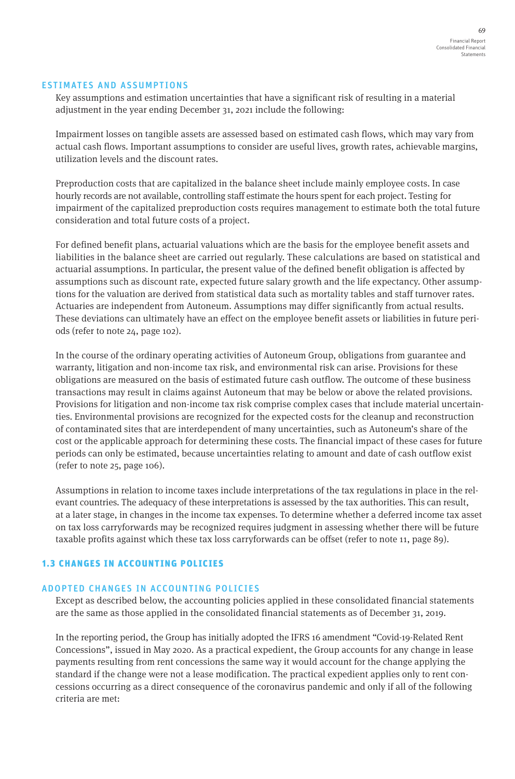#### ESTIMATES AND ASSUMPTIONS

Key assumptions and estimation uncertainties that have a significant risk of resulting in a material adjustment in the year ending December 31, 2021 include the following:

Impairment losses on tangible assets are assessed based on estimated cash flows, which may vary from actual cash flows. Important assumptions to consider are useful lives, growth rates, achievable margins, utilization levels and the discount rates.

Preproduction costs that are capitalized in the balance sheet include mainly employee costs. In case hourly records are not available, controlling staff estimate the hours spent for each project. Testing for impairment of the capitalized preproduction costs requires management to estimate both the total future consideration and total future costs of a project.

For defined benefit plans, actuarial valuations which are the basis for the employee benefit assets and liabilities in the balance sheet are carried out regularly. These calculations are based on statistical and actuarial assumptions. In particular, the present value of the defined benefit obligation is affected by assumptions such as discount rate, expected future salary growth and the life expectancy. Other assumptions for the valuation are derived from statistical data such as mortality tables and staff turnover rates. Actuaries are independent from Autoneum. Assumptions may differ significantly from actual results. These deviations can ultimately have an effect on the employee benefit assets or liabilities in future periods (refer to note 24, page 102).

In the course of the ordinary operating activities of Autoneum Group, obligations from guarantee and warranty, litigation and non-income tax risk, and environmental risk can arise. Provisions for these obligations are measured on the basis of estimated future cash outflow. The outcome of these business transactions may result in claims against Autoneum that may be below or above the related provisions. Provisions for litigation and non-income tax risk comprise complex cases that include material uncertainties. Environmental provisions are recognized for the expected costs for the cleanup and reconstruction of contaminated sites that are interdependent of many uncertainties, such as Autoneum's share of the cost or the applicable approach for determining these costs. The financial impact of these cases for future periods can only be estimated, because uncertainties relating to amount and date of cash outflow exist (refer to note 25, page 106).

Assumptions in relation to income taxes include interpretations of the tax regulations in place in the relevant countries. The adequacy of these interpretations is assessed by the tax authorities. This can result, at a later stage, in changes in the income tax expenses. To determine whether a deferred income tax asset on tax loss carryforwards may be recognized requires judgment in assessing whether there will be future taxable profits against which these tax loss carryforwards can be offset (refer to note 11, page 89).

## 1.3 CHANGES IN ACCOUNTING POLICIES

## ADOPTED CHANGES IN ACCOUNTING POLICIES

Except as described below, the accounting policies applied in these consolidated financial statements are the same as those applied in the consolidated financial statements as of December 31, 2019.

In the reporting period, the Group has initially adopted the IFRS 16 amendment "Covid-19-Related Rent Concessions", issued in May 2020. As a practical expedient, the Group accounts for any change in lease payments resulting from rent concessions the same way it would account for the change applying the standard if the change were not a lease modification. The practical expedient applies only to rent concessions occurring as a direct consequence of the coronavirus pandemic and only if all of the following criteria are met: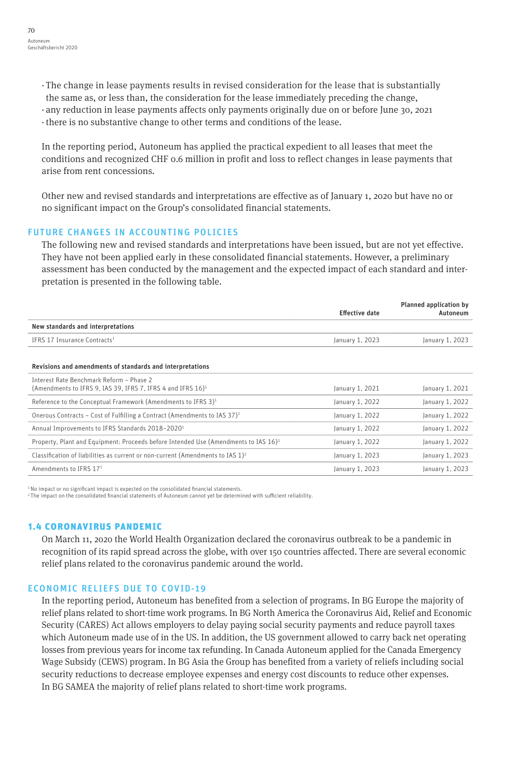- · The change in lease payments results in revised consideration for the lease that is substantially the same as, or less than, the consideration for the lease immediately preceding the change,
- · any reduction in lease payments affects only payments originally due on or before June 30, 2021
- · there is no substantive change to other terms and conditions of the lease.

In the reporting period, Autoneum has applied the practical expedient to all leases that meet the conditions and recognized CHF 0.6 million in profit and loss to reflect changes in lease payments that arise from rent concessions.

Other new and revised standards and interpretations are effective as of January 1, 2020 but have no or no significant impact on the Group's consolidated financial statements.

## FUTURE CHANGES IN ACCOUNTING POLICIES

The following new and revised standards and interpretations have been issued, but are not yet effective. They have not been applied early in these consolidated financial statements. However, a preliminary assessment has been conducted by the management and the expected impact of each standard and interpretation is presented in the following table.

|                                                                                                                     | <b>Effective date</b> | <b>Planned application by</b><br>Autoneum |
|---------------------------------------------------------------------------------------------------------------------|-----------------------|-------------------------------------------|
| New standards and interpretations                                                                                   |                       |                                           |
| IFRS 17 Insurance Contracts <sup>1</sup>                                                                            | January 1, 2023       | January 1, 2023                           |
| Revisions and amendments of standards and interpretations                                                           |                       |                                           |
| Interest Rate Benchmark Reform - Phase 2<br>(Amendments to IFRS 9, IAS 39, IFRS 7, IFRS 4 and IFRS 16) <sup>1</sup> | January 1, 2021       | January 1, 2021                           |
| Reference to the Conceptual Framework (Amendments to IFRS $3)^1$                                                    | January 1, 2022       | January 1, 2022                           |
| Onerous Contracts - Cost of Fulfilling a Contract (Amendments to IAS 37) <sup>1</sup>                               | January 1, 2022       | January 1, 2022                           |
| Annual Improvements to IFRS Standards 2018-2020 <sup>1</sup>                                                        | January 1, 2022       | January 1, 2022                           |
| Property, Plant and Equipment: Proceeds before Intended Use (Amendments to IAS 16) <sup>1</sup>                     | January 1, 2022       | January 1, 2022                           |
| Classification of liabilities as current or non-current (Amendments to IAS $1)^2$                                   | January 1, 2023       | January 1, 2023                           |
| Amendments to IFRS 171                                                                                              | January 1, 2023       | January 1, 2023                           |

<sup>1</sup> No impact or no significant impact is expected on the consolidated financial statements.

2 The impact on the consolidated financial statements of Autoneum cannot yet be determined with sufficient reliability.

#### 1.4 CORONAVIRUS PANDEMIC

On March 11, 2020 the World Health Organization declared the coronavirus outbreak to be a pandemic in recognition of its rapid spread across the globe, with over 150 countries affected. There are several economic relief plans related to the coronavirus pandemic around the world.

#### ECONOMIC RELIEFS DUE TO COVID-19

In the reporting period, Autoneum has benefited from a selection of programs. In BG Europe the majority of relief plans related to short-time work programs. In BG North America the Coronavirus Aid, Relief and Economic Security (CARES) Act allows employers to delay paying social security payments and reduce payroll taxes which Autoneum made use of in the US. In addition, the US government allowed to carry back net operating losses from previous years for income tax refunding. In Canada Autoneum applied for the Canada Emergency Wage Subsidy (CEWS) program. In BG Asia the Group has benefited from a variety of reliefs including social security reductions to decrease employee expenses and energy cost discounts to reduce other expenses. In BG SAMEA the majority of relief plans related to short-time work programs.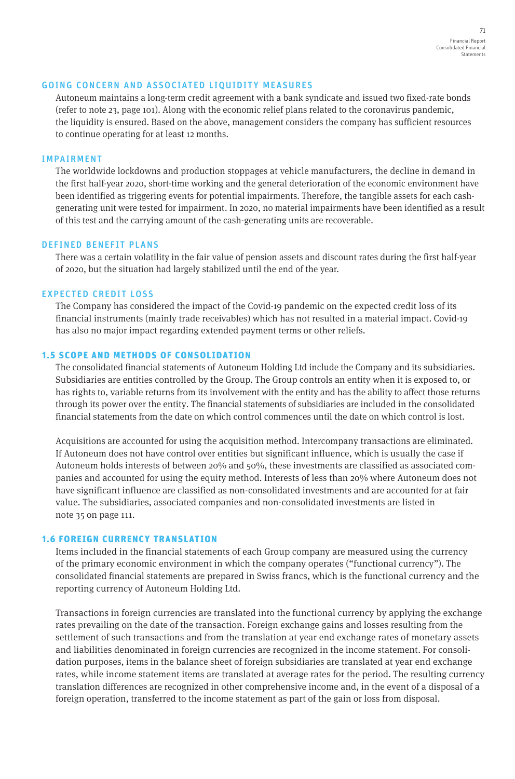#### GOING CONCERN AND ASSOCIATED LIQUIDITY MEASURES

Autoneum maintains a long-term credit agreement with a bank syndicate and issued two fixed-rate bonds (refer to note 23, page 101). Along with the economic relief plans related to the coronavirus pandemic, the liquidity is ensured. Based on the above, management considers the company has sufficient resources to continue operating for at least 12 months.

#### IMPAIRMENT

The worldwide lockdowns and production stoppages at vehicle manufacturers, the decline in demand in the first half-year 2020, short-time working and the general deterioration of the economic environment have been identified as triggering events for potential impairments. Therefore, the tangible assets for each cashgenerating unit were tested for impairment. In 2020, no material impairments have been identified as a result of this test and the carrying amount of the cash-generating units are recoverable.

#### DEFINED BENEFIT PLANS

There was a certain volatility in the fair value of pension assets and discount rates during the first half-year of 2020, but the situation had largely stabilized until the end of the year.

#### EXPECTED CREDIT LOSS

The Company has considered the impact of the Covid-19 pandemic on the expected credit loss of its financial instruments (mainly trade receivables) which has not resulted in a material impact. Covid-19 has also no major impact regarding extended payment terms or other reliefs.

#### 1.5 SCOPE AND METHODS OF CONSOLIDATION

The consolidated financial statements of Autoneum Holding Ltd include the Company and its subsidiaries. Subsidiaries are entities controlled by the Group. The Group controls an entity when it is exposed to, or has rights to, variable returns from its involvement with the entity and has the ability to affect those returns through its power over the entity. The financial statements of subsidiaries are included in the consolidated financial statements from the date on which control commences until the date on which control is lost.

Acquisitions are accounted for using the acquisition method. Intercompany transactions are eliminated. If Autoneum does not have control over entities but significant influence, which is usually the case if Autoneum holds interests of between 20% and 50%, these investments are classified as associated companies and accounted for using the equity method. Interests of less than 20% where Autoneum does not have significant influence are classified as non-consolidated investments and are accounted for at fair value. The subsidiaries, associated companies and non-consolidated investments are listed in note 35 on page 111.

#### 1.6 FOREIGN CURRENCY TRANSLATION

Items included in the financial statements of each Group company are measured using the currency of the primary economic environment in which the company operates ("functional currency"). The consolidated financial statements are prepared in Swiss francs, which is the functional currency and the reporting currency of Autoneum Holding Ltd.

Transactions in foreign currencies are translated into the functional currency by applying the exchange rates prevailing on the date of the transaction. Foreign exchange gains and losses resulting from the settlement of such transactions and from the translation at year end exchange rates of monetary assets and liabilities denominated in foreign currencies are recognized in the income statement. For consolidation purposes, items in the balance sheet of foreign subsidiaries are translated at year end exchange rates, while income statement items are translated at average rates for the period. The resulting currency translation differences are recognized in other comprehensive income and, in the event of a disposal of a foreign operation, transferred to the income statement as part of the gain or loss from disposal.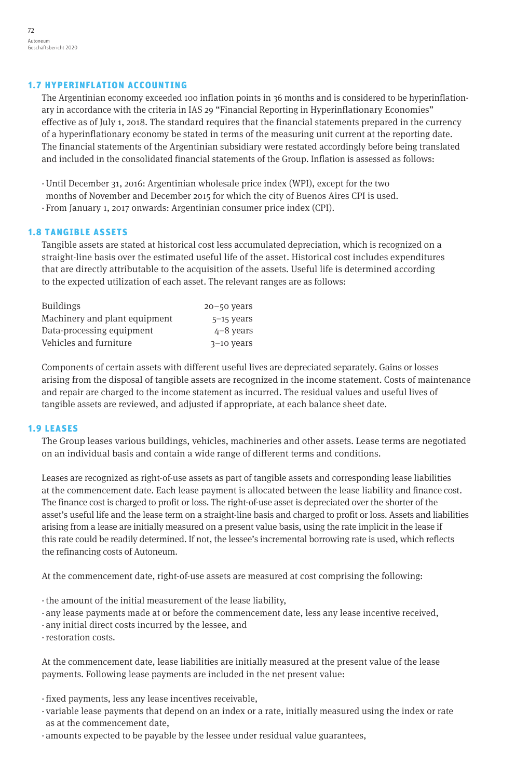# 1.7 HYPERINFLATION ACCOUNTING

The Argentinian economy exceeded 100 inflation points in 36 months and is considered to be hyperinflationary in accordance with the criteria in IAS 29 "Financial Reporting in Hyperinflationary Economies" effective as of July 1, 2018. The standard requires that the financial statements prepared in the currency of a hyperinflationary economy be stated in terms of the measuring unit current at the reporting date. The financial statements of the Argentinian subsidiary were restated accordingly before being translated and included in the consolidated financial statements of the Group. Inflation is assessed as follows:

- ·Until December 31, 2016: Argentinian wholesale price index (WPI), except for the two
- months of November and December 2015 for which the city of Buenos Aires CPI is used.
- · From January 1, 2017 onwards: Argentinian consumer price index (CPI).

# 1.8 TANGIBLE ASSETS

Tangible assets are stated at historical cost less accumulated depreciation, which is recognized on a straight-line basis over the estimated useful life of the asset. Historical cost includes expenditures that are directly attributable to the acquisition of the assets. Useful life is determined according to the expected utilization of each asset. The relevant ranges are as follows:

| <b>Buildings</b>              | $20 - 50$ years |
|-------------------------------|-----------------|
| Machinery and plant equipment | $5-15$ years    |
| Data-processing equipment     | $4 - 8$ vears   |
| Vehicles and furniture        | $3-10$ years    |

Components of certain assets with different useful lives are depreciated separately. Gains or losses arising from the disposal of tangible assets are recognized in the income statement. Costs of maintenance and repair are charged to the income statement as incurred. The residual values and useful lives of tangible assets are reviewed, and adjusted if appropriate, at each balance sheet date.

## 1.9 LEASES

The Group leases various buildings, vehicles, machineries and other assets. Lease terms are negotiated on an individual basis and contain a wide range of different terms and conditions.

Leases are recognized as right-of-use assets as part of tangible assets and corresponding lease liabilities at the commencement date. Each lease payment is allocated between the lease liability and finance cost. The finance cost is charged to profit or loss. The right-of-use asset is depreciated over the shorter of the asset's useful life and the lease term on a straight-line basis and charged to profit or loss. Assets and liabilities arising from a lease are initially measured on a present value basis, using the rate implicit in the lease if this rate could be readily determined. If not, the lessee's incremental borrowing rate is used, which reflects the refinancing costs of Autoneum.

At the commencement date, right-of-use assets are measured at cost comprising the following:

- · the amount of the initial measurement of the lease liability,
- · any lease payments made at or before the commencement date, less any lease incentive received,
- · any initial direct costs incurred by the lessee, and
- ·restoration costs.

At the commencement date, lease liabilities are initially measured at the present value of the lease payments. Following lease payments are included in the net present value:

· fixed payments, less any lease incentives receivable,

- · variable lease payments that depend on an index or a rate, initially measured using the index or rate as at the commencement date,
- · amounts expected to be payable by the lessee under residual value guarantees,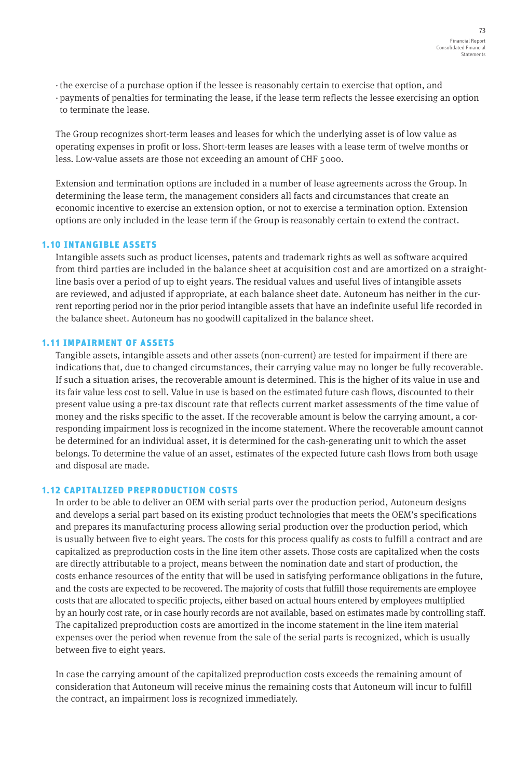- · the exercise of a purchase option if the lessee is reasonably certain to exercise that option, and
- · payments of penalties for terminating the lease, if the lease term reflects the lessee exercising an option to terminate the lease.

The Group recognizes short-term leases and leases for which the underlying asset is of low value as operating expenses in profit or loss. Short-term leases are leases with a lease term of twelve months or less. Low-value assets are those not exceeding an amount of CHF 5 000.

Extension and termination options are included in a number of lease agreements across the Group. In determining the lease term, the management considers all facts and circumstances that create an economic incentive to exercise an extension option, or not to exercise a termination option. Extension options are only included in the lease term if the Group is reasonably certain to extend the contract.

## 1.10 INTANGIBLE ASSETS

Intangible assets such as product licenses, patents and trademark rights as well as software acquired from third parties are included in the balance sheet at acquisition cost and are amortized on a straightline basis over a period of up to eight years. The residual values and useful lives of intangible assets are reviewed, and adjusted if appropriate, at each balance sheet date. Autoneum has neither in the current reporting period nor in the prior period intangible assets that have an indefinite useful life recorded in the balance sheet. Autoneum has no goodwill capitalized in the balance sheet.

### 1.11 IMPAIRMENT OF ASSETS

Tangible assets, intangible assets and other assets (non-current) are tested for impairment if there are indications that, due to changed circumstances, their carrying value may no longer be fully recoverable. If such a situation arises, the recoverable amount is determined. This is the higher of its value in use and its fair value less cost to sell. Value in use is based on the estimated future cash flows, discounted to their present value using a pre-tax discount rate that reflects current market assessments of the time value of money and the risks specific to the asset. If the recoverable amount is below the carrying amount, a corresponding impairment loss is recognized in the income statement. Where the recoverable amount cannot be determined for an individual asset, it is determined for the cash-generating unit to which the asset belongs. To determine the value of an asset, estimates of the expected future cash flows from both usage and disposal are made.

## 1.12 CAPITALIZED PREPRODUCTION COSTS

In order to be able to deliver an OEM with serial parts over the production period, Autoneum designs and develops a serial part based on its existing product technologies that meets the OEM's specifications and prepares its manufacturing process allowing serial production over the production period, which is usually between five to eight years. The costs for this process qualify as costs to fulfill a contract and are capitalized as preproduction costs in the line item other assets. Those costs are capitalized when the costs are directly attributable to a project, means between the nomination date and start of production, the costs enhance resources of the entity that will be used in satisfying performance obligations in the future, and the costs are expected to be recovered. The majority of costs that fulfill those requirements are employee costs that are allocated to specific projects, either based on actual hours entered by employees multiplied by an hourly cost rate, or in case hourly records are not available, based on estimates made by controlling staff. The capitalized preproduction costs are amortized in the income statement in the line item material expenses over the period when revenue from the sale of the serial parts is recognized, which is usually between five to eight years.

In case the carrying amount of the capitalized preproduction costs exceeds the remaining amount of consideration that Autoneum will receive minus the remaining costs that Autoneum will incur to fulfill the contract, an impairment loss is recognized immediately.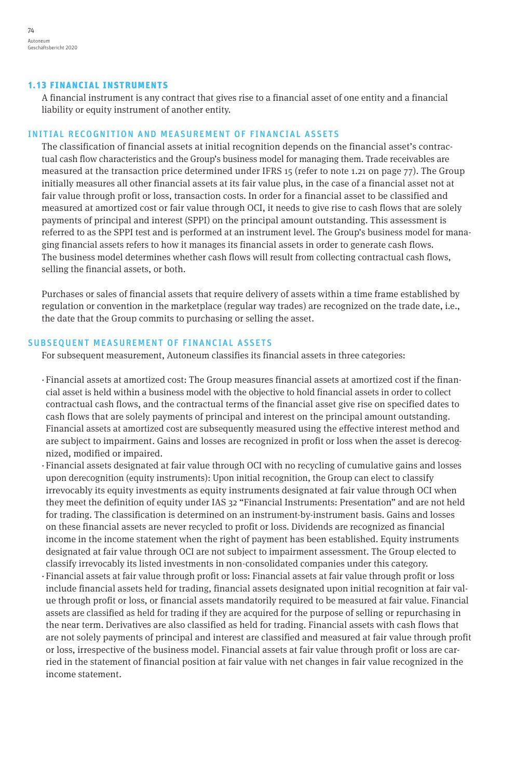#### 1.13 FINANCIAL INSTRUMENTS

A financial instrument is any contract that gives rise to a financial asset of one entity and a financial liability or equity instrument of another entity.

# INITIAL RECOGNITION AND MEASUREMENT OF FINANCIAL ASSETS

The classification of financial assets at initial recognition depends on the financial asset's contractual cash flow characteristics and the Group's business model for managing them. Trade receivables are measured at the transaction price determined under IFRS 15 (refer to note 1.21 on page 77). The Group initially measures all other financial assets at its fair value plus, in the case of a financial asset not at fair value through profit or loss, transaction costs. In order for a financial asset to be classified and measured at amortized cost or fair value through OCI, it needs to give rise to cash flows that are solely payments of principal and interest (SPPI) on the principal amount outstanding. This assessment is referred to as the SPPI test and is performed at an instrument level. The Group's business model for managing financial assets refers to how it manages its financial assets in order to generate cash flows. The business model determines whether cash flows will result from collecting contractual cash flows, selling the financial assets, or both.

Purchases or sales of financial assets that require delivery of assets within a time frame established by regulation or convention in the marketplace (regular way trades) are recognized on the trade date, i.e., the date that the Group commits to purchasing or selling the asset.

### SUBSEQUENT MEASUREMENT OF FINANCIAL ASSETS

For subsequent measurement, Autoneum classifies its financial assets in three categories:

- · Financial assets at amortized cost: The Group measures financial assets at amortized cost if the financial asset is held within a business model with the objective to hold financial assets in order to collect contractual cash flows, and the contractual terms of the financial asset give rise on specified dates to cash flows that are solely payments of principal and interest on the principal amount outstanding. Financial assets at amortized cost are subsequently measured using the effective interest method and are subject to impairment. Gains and losses are recognized in profit or loss when the asset is derecognized, modified or impaired.
- · Financial assets designated at fair value through OCI with no recycling of cumulative gains and losses upon derecognition (equity instruments): Upon initial recognition, the Group can elect to classify irrevocably its equity investments as equity instruments designated at fair value through OCI when they meet the definition of equity under IAS 32 "Financial Instruments: Presentation" and are not held for trading. The classification is determined on an instrument-by-instrument basis. Gains and losses on these financial assets are never recycled to profit or loss. Dividends are recognized as financial income in the income statement when the right of payment has been established. Equity instruments designated at fair value through OCI are not subject to impairment assessment. The Group elected to classify irrevocably its listed investments in non-consolidated companies under this category.
- · Financial assets at fair value through profit or loss: Financial assets at fair value through profit or loss include financial assets held for trading, financial assets designated upon initial recognition at fair value through profit or loss, or financial assets mandatorily required to be measured at fair value. Financial assets are classified as held for trading if they are acquired for the purpose of selling or repurchasing in the near term. Derivatives are also classified as held for trading. Financial assets with cash flows that are not solely payments of principal and interest are classified and measured at fair value through profit or loss, irrespective of the business model. Financial assets at fair value through profit or loss are carried in the statement of financial position at fair value with net changes in fair value recognized in the income statement.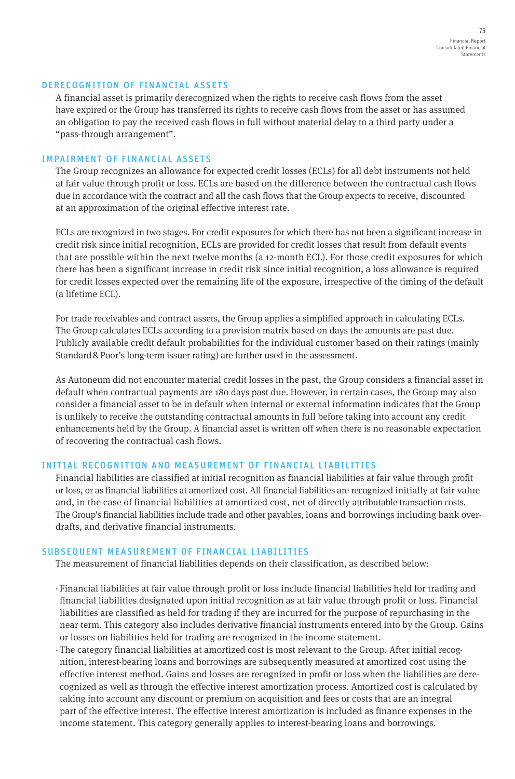### DERECOGNITION OF FINANCIAL ASSETS

A financial asset is primarily derecognized when the rights to receive cash flows from the asset have expired or the Group has transferred its rights to receive cash flows from the asset or has assumed an obligation to pay the received cash flows in full without material delay to a third party under a "pass-through arrangement".

#### IMPAIRMENT OF FINANCIAL ASSETS

The Group recognizes an allowance for expected credit losses (ECLs) for all debt instruments not held at fair value through profit or loss. ECLs are based on the difference between the contractual cash flows due in accordance with the contract and all the cash flows that the Group expects to receive, discounted at an approximation of the original effective interest rate.

ECLs are recognized in two stages. For credit exposures for which there has not been a significant increase in credit risk since initial recognition, ECLs are provided for credit losses that result from default events that are possible within the next twelve months (a 12-month ECL). For those credit exposures for which there has been a significant increase in credit risk since initial recognition, a loss allowance is required for credit losses expected over the remaining life of the exposure, irrespective of the timing of the default (a lifetime ECL).

For trade receivables and contract assets, the Group applies a simplified approach in calculating ECLs. The Group calculates ECLs according to a provision matrix based on days the amounts are past due. Publicly available credit default probabilities for the individual customer based on their ratings (mainly Standard&Poor's long-term issuer rating) are further used in the assessment.

As Autoneum did not encounter material credit losses in the past, the Group considers a financial asset in default when contractual payments are 180 days past due. However, in certain cases, the Group may also consider a financial asset to be in default when internal or external information indicates that the Group is unlikely to receive the outstanding contractual amounts in full before taking into account any credit enhancements held by the Group. A financial asset is written off when there is no reasonable expectation of recovering the contractual cash flows.

## INITIAL RECOGNITION AND MEASUREMENT OF FINANCIAL LIABILITIES

Financial liabilities are classified at initial recognition as financial liabilities at fair value through profit or loss, or as financial liabilities at amortized cost. All financial liabilities are recognized initially at fair value and, in the case of financial liabilities at amortized cost, net of directly attributable transaction costs. The Group's financial liabilities include trade and other payables, loans and borrowings including bank overdrafts, and derivative financial instruments.

#### SUBSEQUENT MEASUREMENT OF FINANCIAL LIABILITIES

The measurement of financial liabilities depends on their classification, as described below:

- · Financial liabilities at fair value through profit or loss include financial liabilities held for trading and financial liabilities designated upon initial recognition as at fair value through profit or loss. Financial liabilities are classified as held for trading if they are incurred for the purpose of repurchasing in the near term. This category also includes derivative financial instruments entered into by the Group. Gains or losses on liabilities held for trading are recognized in the income statement.
- · The category financial liabilities at amortized cost is most relevant to the Group. After initial recognition, interest-bearing loans and borrowings are subsequently measured at amortized cost using the effective interest method. Gains and losses are recognized in profit or loss when the liabilities are derecognized as well as through the effective interest amortization process. Amortized cost is calculated by taking into account any discount or premium on acquisition and fees or costs that are an integral part of the effective interest. The effective interest amortization is included as finance expenses in the income statement. This category generally applies to interest-bearing loans and borrowings.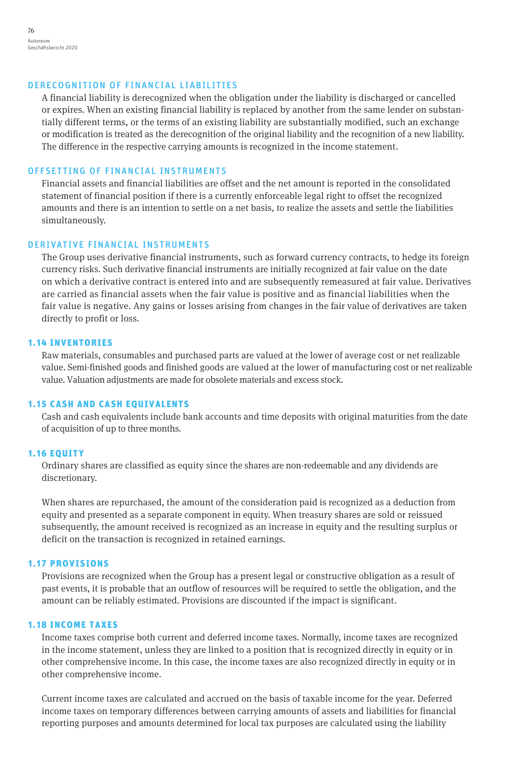#### DERECOGNITION OF FINANCIAL LIABILITIES

A financial liability is derecognized when the obligation under the liability is discharged or cancelled or expires. When an existing financial liability is replaced by another from the same lender on substantially different terms, or the terms of an existing liability are substantially modified, such an exchange or modification is treated as the derecognition of the original liability and the recognition of a new liability. The difference in the respective carrying amounts is recognized in the income statement.

### OFFSETTING OF FINANCIAL INSTRUMENTS

Financial assets and financial liabilities are offset and the net amount is reported in the consolidated statement of financial position if there is a currently enforceable legal right to offset the recognized amounts and there is an intention to settle on a net basis, to realize the assets and settle the liabilities simultaneously.

### DERIVATIVE FINANCIAL INSTRUMENTS

The Group uses derivative financial instruments, such as forward currency contracts, to hedge its foreign currency risks. Such derivative financial instruments are initially recognized at fair value on the date on which a derivative contract is entered into and are subsequently remeasured at fair value. Derivatives are carried as financial assets when the fair value is positive and as financial liabilities when the fair value is negative. Any gains or losses arising from changes in the fair value of derivatives are taken directly to profit or loss.

#### 1.14 INVENTORIES

Raw materials, consumables and purchased parts are valued at the lower of average cost or net realizable value. Semi-finished goods and finished goods are valued at the lower of manufacturing cost or net realizable value. Valuation adjustments are made for obsolete materials and excess stock.

#### 1.15 CASH AND CASH EQUIVALENTS

Cash and cash equivalents include bank accounts and time deposits with original maturities from the date of acquisition of up to three months.

#### 1.16 EQUITY

Ordinary shares are classified as equity since the shares are non-redeemable and any dividends are discretionary.

When shares are repurchased, the amount of the consideration paid is recognized as a deduction from equity and presented as a separate component in equity. When treasury shares are sold or reissued subsequently, the amount received is recognized as an increase in equity and the resulting surplus or deficit on the transaction is recognized in retained earnings.

#### 1.17 PROVISIONS

Provisions are recognized when the Group has a present legal or constructive obligation as a result of past events, it is probable that an outflow of resources will be required to settle the obligation, and the amount can be reliably estimated. Provisions are discounted if the impact is significant.

#### 1.18 INCOME TAXES

Income taxes comprise both current and deferred income taxes. Normally, income taxes are recognized in the income statement, unless they are linked to a position that is recognized directly in equity or in other comprehensive income. In this case, the income taxes are also recognized directly in equity or in other comprehensive income.

Current income taxes are calculated and accrued on the basis of taxable income for the year. Deferred income taxes on temporary differences between carrying amounts of assets and liabilities for financial reporting purposes and amounts determined for local tax purposes are calculated using the liability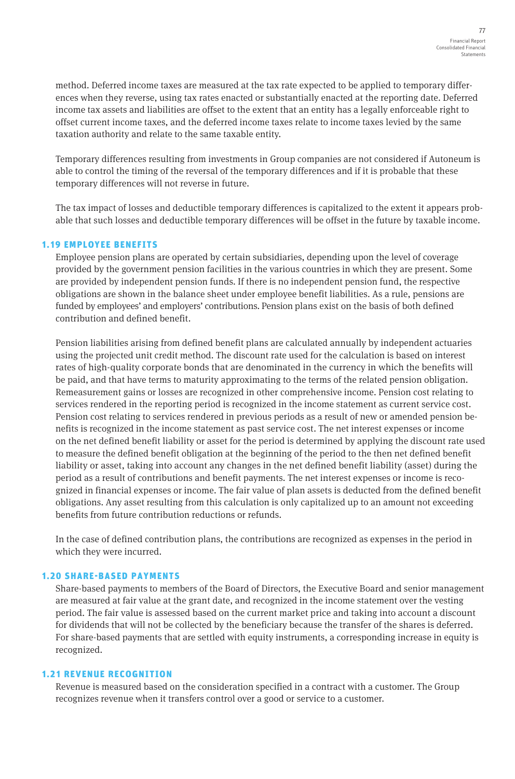method. Deferred income taxes are measured at the tax rate expected to be applied to temporary differences when they reverse, using tax rates enacted or substantially enacted at the reporting date. Deferred income tax assets and liabilities are offset to the extent that an entity has a legally enforceable right to offset current income taxes, and the deferred income taxes relate to income taxes levied by the same taxation authority and relate to the same taxable entity.

Temporary differences resulting from investments in Group companies are not considered if Autoneum is able to control the timing of the reversal of the temporary differences and if it is probable that these temporary differences will not reverse in future.

The tax impact of losses and deductible temporary differences is capitalized to the extent it appears probable that such losses and deductible temporary differences will be offset in the future by taxable income.

## 1.19 EMPLOYEE BENEFITS

Employee pension plans are operated by certain subsidiaries, depending upon the level of coverage provided by the government pension facilities in the various countries in which they are present. Some are provided by independent pension funds. If there is no independent pension fund, the respective obligations are shown in the balance sheet under employee benefit liabilities. As a rule, pensions are funded by employees' and employers' contributions. Pension plans exist on the basis of both defined contribution and defined benefit.

Pension liabilities arising from defined benefit plans are calculated annually by independent actuaries using the projected unit credit method. The discount rate used for the calculation is based on interest rates of high-quality corporate bonds that are denominated in the currency in which the benefits will be paid, and that have terms to maturity approximating to the terms of the related pension obligation. Remeasurement gains or losses are recognized in other comprehensive income. Pension cost relating to services rendered in the reporting period is recognized in the income statement as current service cost. Pension cost relating to services rendered in previous periods as a result of new or amended pension benefits is recognized in the income statement as past service cost. The net interest expenses or income on the net defined benefit liability or asset for the period is determined by applying the discount rate used to measure the defined benefit obligation at the beginning of the period to the then net defined benefit liability or asset, taking into account any changes in the net defined benefit liability (asset) during the period as a result of contributions and benefit payments. The net interest expenses or income is recognized in financial expenses or income. The fair value of plan assets is deducted from the defined benefit obligations. Any asset resulting from this calculation is only capitalized up to an amount not exceeding benefits from future contribution reductions or refunds.

In the case of defined contribution plans, the contributions are recognized as expenses in the period in which they were incurred.

## 1.20 SHARE-BASED PAYMENTS

Share-based payments to members of the Board of Directors, the Executive Board and senior management are measured at fair value at the grant date, and recognized in the income statement over the vesting period. The fair value is assessed based on the current market price and taking into account a discount for dividends that will not be collected by the beneficiary because the transfer of the shares is deferred. For share-based payments that are settled with equity instruments, a corresponding increase in equity is recognized.

# 1.21 REVENUE RECOGNITION

Revenue is measured based on the consideration specified in a contract with a customer. The Group recognizes revenue when it transfers control over a good or service to a customer.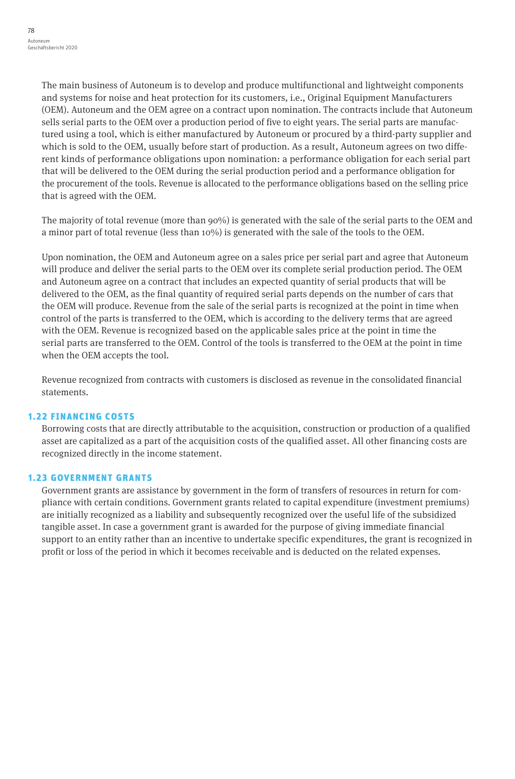The main business of Autoneum is to develop and produce multifunctional and lightweight components and systems for noise and heat protection for its customers, i.e., Original Equipment Manufacturers (OEM). Autoneum and the OEM agree on a contract upon nomination. The contracts include that Autoneum sells serial parts to the OEM over a production period of five to eight years. The serial parts are manufactured using a tool, which is either manufactured by Autoneum or procured by a third-party supplier and which is sold to the OEM, usually before start of production. As a result, Autoneum agrees on two different kinds of performance obligations upon nomination: a performance obligation for each serial part that will be delivered to the OEM during the serial production period and a performance obligation for the procurement of the tools. Revenue is allocated to the performance obligations based on the selling price that is agreed with the OEM.

The majority of total revenue (more than 90%) is generated with the sale of the serial parts to the OEM and a minor part of total revenue (less than 10%) is generated with the sale of the tools to the OEM.

Upon nomination, the OEM and Autoneum agree on a sales price per serial part and agree that Autoneum will produce and deliver the serial parts to the OEM over its complete serial production period. The OEM and Autoneum agree on a contract that includes an expected quantity of serial products that will be delivered to the OEM, as the final quantity of required serial parts depends on the number of cars that the OEM will produce. Revenue from the sale of the serial parts is recognized at the point in time when control of the parts is transferred to the OEM, which is according to the delivery terms that are agreed with the OEM. Revenue is recognized based on the applicable sales price at the point in time the serial parts are transferred to the OEM. Control of the tools is transferred to the OEM at the point in time when the OEM accepts the tool.

Revenue recognized from contracts with customers is disclosed as revenue in the consolidated financial statements.

## 1.22 FINANCING COSTS

Borrowing costs that are directly attributable to the acquisition, construction or production of a qualified asset are capitalized as a part of the acquisition costs of the qualified asset. All other financing costs are recognized directly in the income statement.

## 1.23 GOVERNMENT GRANTS

Government grants are assistance by government in the form of transfers of resources in return for compliance with certain conditions. Government grants related to capital expenditure (investment premiums) are initially recognized as a liability and subsequently recognized over the useful life of the subsidized tangible asset. In case a government grant is awarded for the purpose of giving immediate financial support to an entity rather than an incentive to undertake specific expenditures, the grant is recognized in profit or loss of the period in which it becomes receivable and is deducted on the related expenses.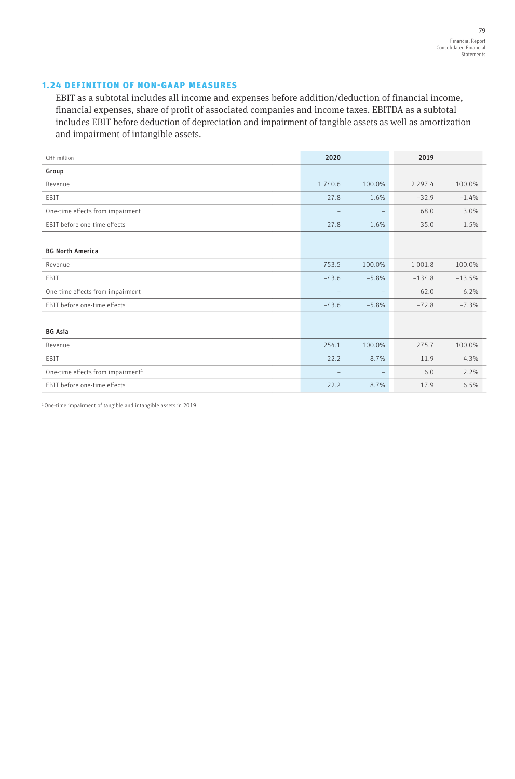# 1.24 DEFINITION OF NON-GAAP MEASURES

EBIT as a subtotal includes all income and expenses before addition/deduction of financial income, financial expenses, share of profit of associated companies and income taxes. EBITDA as a subtotal includes EBIT before deduction of depreciation and impairment of tangible assets as well as amortization and impairment of intangible assets.

| CHF million                                   | 2020    |                          | 2019        |          |
|-----------------------------------------------|---------|--------------------------|-------------|----------|
| Group                                         |         |                          |             |          |
| Revenue                                       | 1740.6  | 100.0%                   | 2 2 9 7 . 4 | 100.0%   |
| EBIT                                          | 27.8    | 1.6%                     | $-32.9$     | $-1.4%$  |
| One-time effects from impairment <sup>1</sup> |         | $\qquad \qquad -$        | 68.0        | 3.0%     |
| EBIT before one-time effects                  | 27.8    | 1.6%                     | 35.0        | 1.5%     |
|                                               |         |                          |             |          |
| <b>BG North America</b>                       |         |                          |             |          |
| Revenue                                       | 753.5   | 100.0%                   | 1 0 0 1.8   | 100.0%   |
| EBIT                                          | $-43.6$ | $-5.8%$                  | $-134.8$    | $-13.5%$ |
| One-time effects from impairment <sup>1</sup> |         | $\overline{\phantom{m}}$ | 62.0        | 6.2%     |
| EBIT before one-time effects                  | $-43.6$ | $-5.8%$                  | $-72.8$     | $-7.3%$  |
|                                               |         |                          |             |          |
| <b>BG Asia</b>                                |         |                          |             |          |
| Revenue                                       | 254.1   | 100.0%                   | 275.7       | 100.0%   |
| EBIT                                          | 22.2    | 8.7%                     | 11.9        | 4.3%     |
| One-time effects from impairment <sup>1</sup> |         | $\overline{\phantom{a}}$ | 6.0         | 2.2%     |
| EBIT before one-time effects                  | 22.2    | 8.7%                     | 17.9        | 6.5%     |

1 One-time impairment of tangible and intangible assets in 2019.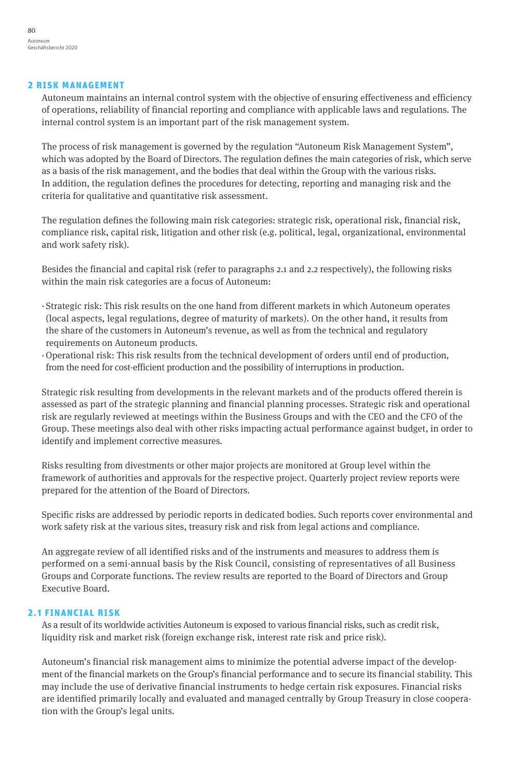#### 2 RISK MANAGEMENT

Autoneum maintains an internal control system with the objective of ensuring effectiveness and efficiency of operations, reliability of financial reporting and compliance with applicable laws and regulations. The internal control system is an important part of the risk management system.

The process of risk management is governed by the regulation "Autoneum Risk Management System", which was adopted by the Board of Directors. The regulation defines the main categories of risk, which serve as a basis of the risk management, and the bodies that deal within the Group with the various risks. In addition, the regulation defines the procedures for detecting, reporting and managing risk and the criteria for qualitative and quantitative risk assessment.

The regulation defines the following main risk categories: strategic risk, operational risk, financial risk, compliance risk, capital risk, litigation and other risk (e.g. political, legal, organizational, environmental and work safety risk).

Besides the financial and capital risk (refer to paragraphs 2.1 and 2.2 respectively), the following risks within the main risk categories are a focus of Autoneum:

- · Strategic risk: This risk results on the one hand from different markets in which Autoneum operates (local aspects, legal regulations, degree of maturity of markets). On the other hand, it results from the share of the customers in Autoneum's revenue, as well as from the technical and regulatory requirements on Autoneum products.
- ·Operational risk: This risk results from the technical development of orders until end of production, from the need for cost-efficient production and the possibility of interruptions in production.

Strategic risk resulting from developments in the relevant markets and of the products offered therein is assessed as part of the strategic planning and financial planning processes. Strategic risk and operational risk are regularly reviewed at meetings within the Business Groups and with the CEO and the CFO of the Group. These meetings also deal with other risks impacting actual performance against budget, in order to identify and implement corrective measures.

Risks resulting from divestments or other major projects are monitored at Group level within the framework of authorities and approvals for the respective project. Quarterly project review reports were prepared for the attention of the Board of Directors.

Specific risks are addressed by periodic reports in dedicated bodies. Such reports cover environmental and work safety risk at the various sites, treasury risk and risk from legal actions and compliance.

An aggregate review of all identified risks and of the instruments and measures to address them is performed on a semi-annual basis by the Risk Council, consisting of representatives of all Business Groups and Corporate functions. The review results are reported to the Board of Directors and Group Executive Board.

## 2.1 FINANCIAL RISK

As a result of its worldwide activities Autoneum is exposed to various financial risks, such as credit risk, liquidity risk and market risk (foreign exchange risk, interest rate risk and price risk).

Autoneum's financial risk management aims to minimize the potential adverse impact of the development of the financial markets on the Group's financial performance and to secure its financial stability. This may include the use of derivative financial instruments to hedge certain risk exposures. Financial risks are identified primarily locally and evaluated and managed centrally by Group Treasury in close cooperation with the Group's legal units.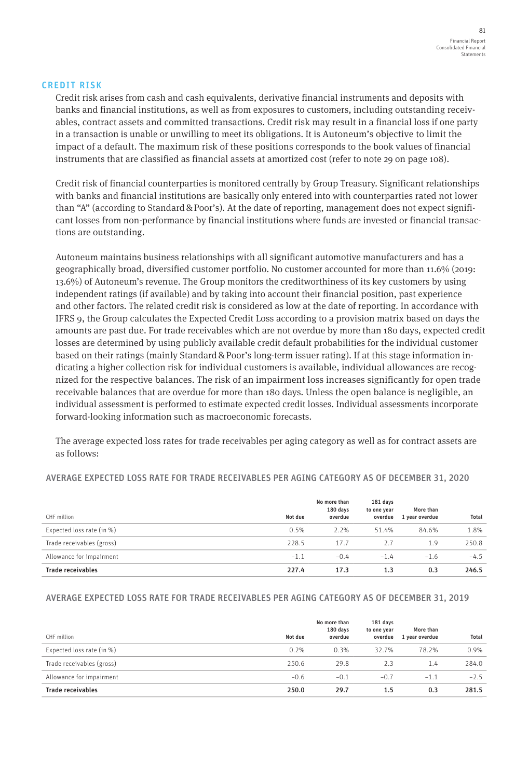#### CREDIT RISK

Credit risk arises from cash and cash equivalents, derivative financial instruments and deposits with banks and financial institutions, as well as from exposures to customers, including outstanding receivables, contract assets and committed transactions. Credit risk may result in a financial loss if one party in a transaction is unable or unwilling to meet its obligations. It is Autoneum's objective to limit the impact of a default. The maximum risk of these positions corresponds to the book values of financial instruments that are classified as financial assets at amortized cost (refer to note 29 on page 108).

Credit risk of financial counterparties is monitored centrally by Group Treasury. Significant relationships with banks and financial institutions are basically only entered into with counterparties rated not lower than "A" (according to Standard & Poor's). At the date of reporting, management does not expect significant losses from non-performance by financial institutions where funds are invested or financial transactions are outstanding.

Autoneum maintains business relationships with all significant automotive manufacturers and has a geographically broad, diversified customer portfolio. No customer accounted for more than 11.6% (2019: 13.6%) of Autoneum's revenue. The Group monitors the creditworthiness of its key customers by using independent ratings (if available) and by taking into account their financial position, past experience and other factors. The related credit risk is considered as low at the date of reporting. In accordance with IFRS 9, the Group calculates the Expected Credit Loss according to a provision matrix based on days the amounts are past due. For trade receivables which are not overdue by more than 180 days, expected credit losses are determined by using publicly available credit default probabilities for the individual customer based on their ratings (mainly Standard&Poor's long-term issuer rating). If at this stage information indicating a higher collection risk for individual customers is available, individual allowances are recognized for the respective balances. The risk of an impairment loss increases significantly for open trade receivable balances that are overdue for more than 180 days. Unless the open balance is negligible, an individual assessment is performed to estimate expected credit losses. Individual assessments incorporate forward-looking information such as macroeconomic forecasts.

The average expected loss rates for trade receivables per aging category as well as for contract assets are as follows:

#### AVERAGE EXPECTED LOSS RATE FOR TRADE RECEIVABLES PER AGING CATEGORY AS OF DECEMBER 31, 2020

| CHF million               | Not due | No more than<br>180 days<br>overdue | 181 days<br>to one year<br>overdue | More than<br>1 year overdue | Total  |
|---------------------------|---------|-------------------------------------|------------------------------------|-----------------------------|--------|
| Expected loss rate (in %) | 0.5%    | 2.2%                                | 51.4%                              | 84.6%                       | 1.8%   |
| Trade receivables (gross) | 228.5   | 17.7                                | 2.7                                | 1.9                         | 250.8  |
| Allowance for impairment  | $-1.1$  | $-0.4$                              | $-1.4$                             | $-1.6$                      | $-4.5$ |
| <b>Trade receivables</b>  | 227.4   | 17.3                                | 1.3                                | 0.3                         | 246.5  |

## AVERAGE EXPECTED LOSS RATE FOR TRADE RECEIVABLES PER AGING CATEGORY AS OF DECEMBER 31, 2019

| CHF million               | Not due | No more than<br>180 days<br>overdue | 181 days<br>to one year<br>overdue | More than<br>1 year overdue | Total  |
|---------------------------|---------|-------------------------------------|------------------------------------|-----------------------------|--------|
| Expected loss rate (in %) | 0.2%    | 0.3%                                | 32.7%                              | 78.2%                       | 0.9%   |
| Trade receivables (gross) | 250.6   | 29.8                                | 2.3                                | 1.4                         | 284.0  |
| Allowance for impairment  | $-0.6$  | $-0.1$                              | $-0.7$                             | $-1.1$                      | $-2.5$ |
| Trade receivables         | 250.0   | 29.7                                | 1.5                                | 0.3                         | 281.5  |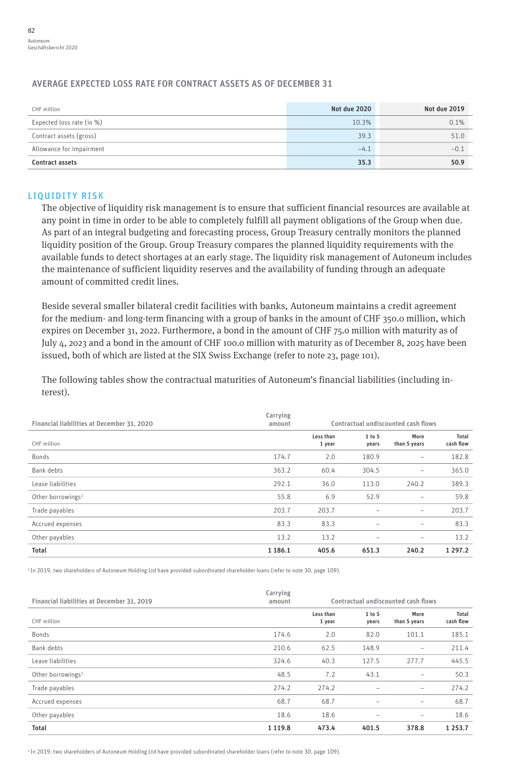# AVERAGE EXPECTED LOSS RATE FOR CONTRACT ASSETS AS OF DECEMBER 31

| CHF million               | Not due 2020 | Not due 2019 |
|---------------------------|--------------|--------------|
| Expected loss rate (in %) | 10.3%        | 0.1%         |
| Contract assets (gross)   | 39.3         | 51.0         |
| Allowance for impairment  | $-4.1$       | $-0.1$       |
| <b>Contract assets</b>    | 35.3         | 50.9         |

### LIQUIDITY RISK

The objective of liquidity risk management is to ensure that sufficient financial resources are available at any point in time in order to be able to completely fulfill all payment obligations of the Group when due. As part of an integral budgeting and forecasting process, Group Treasury centrally monitors the planned liquidity position of the Group. Group Treasury compares the planned liquidity requirements with the available funds to detect shortages at an early stage. The liquidity risk management of Autoneum includes the maintenance of sufficient liquidity reserves and the availability of funding through an adequate amount of committed credit lines.

Beside several smaller bilateral credit facilities with banks, Autoneum maintains a credit agreement for the medium- and long-term financing with a group of banks in the amount of CHF 350.0 million, which expires on December 31, 2022. Furthermore, a bond in the amount of CHF 75.0 million with maturity as of July 4, 2023 and a bond in the amount of CHF 100.0 million with maturity as of December 8, 2025 have been issued, both of which are listed at the SIX Swiss Exchange (refer to note 23, page 101).

The following tables show the contractual maturities of Autoneum's financial liabilities (including interest).

| Financial liabilities at December 31, 2020 | Carrying<br>amount |                     |                          | Contractual undiscounted cash flows |                    |
|--------------------------------------------|--------------------|---------------------|--------------------------|-------------------------------------|--------------------|
| CHF million                                |                    | Less than<br>1 year | 1 to 5<br>years          | More<br>than 5 years                | Total<br>cash flow |
| Bonds                                      | 174.7              | 2.0                 | 180.9                    | $\qquad \qquad -$                   | 182.8              |
| Bank debts                                 | 363.2              | 60.4                | 304.5                    | -                                   | 365.0              |
| Lease liabilities                          | 292.1              | 36.0                | 113.0                    | 240.2                               | 389.3              |
| Other borrowings <sup>1</sup>              | 55.8               | 6.9                 | 52.9                     | $\qquad \qquad -$                   | 59.8               |
| Trade payables                             | 203.7              | 203.7               | ۰                        | -                                   | 203.7              |
| Accrued expenses                           | 83.3               | 83.3                | $\overline{\phantom{0}}$ | $\qquad \qquad -$                   | 83.3               |
| Other payables                             | 13.2               | 13.2                | -                        | -                                   | 13.2               |
| Total                                      | 1 1 8 6 . 1        | 405.6               | 651.3                    | 240.2                               | 1 2 9 7 . 2        |

1 In 2019, two shareholders of Autoneum Holding Ltd have provided subordinated shareholder loans (refer to note 30, page 109).

| Financial liabilities at December 31, 2019 | Carrying<br>amount |                     |                          | Contractual undiscounted cash flows |                    |
|--------------------------------------------|--------------------|---------------------|--------------------------|-------------------------------------|--------------------|
| CHF million                                |                    | Less than<br>1 year | 1 to 5<br>years          | More<br>than 5 years                | Total<br>cash flow |
| Bonds                                      | 174.6              | 2.0                 | 82.0                     | 101.1                               | 185.1              |
| Bank debts                                 | 210.6              | 62.5                | 148.9                    | $\qquad \qquad -$                   | 211.4              |
| Lease liabilities                          | 324.6              | 40.3                | 127.5                    | 277.7                               | 445.5              |
| Other borrowings <sup>1</sup>              | 48.5               | 7.2                 | 43.1                     | $\qquad \qquad -$                   | 50.3               |
| Trade payables                             | 274.2              | 274.2               | ۰                        | -                                   | 274.2              |
| Accrued expenses                           | 68.7               | 68.7                | $\qquad \qquad -$        | -                                   | 68.7               |
| Other payables                             | 18.6               | 18.6                | $\overline{\phantom{0}}$ | $\qquad \qquad -$                   | 18.6               |
| <b>Total</b>                               | 1 1 1 9 . 8        | 473.4               | 401.5                    | 378.8                               | 1 2 5 3 . 7        |

1 In 2019, two shareholders of Autoneum Holding Ltd have provided subordinated shareholder loans (refer to note 30, page 109).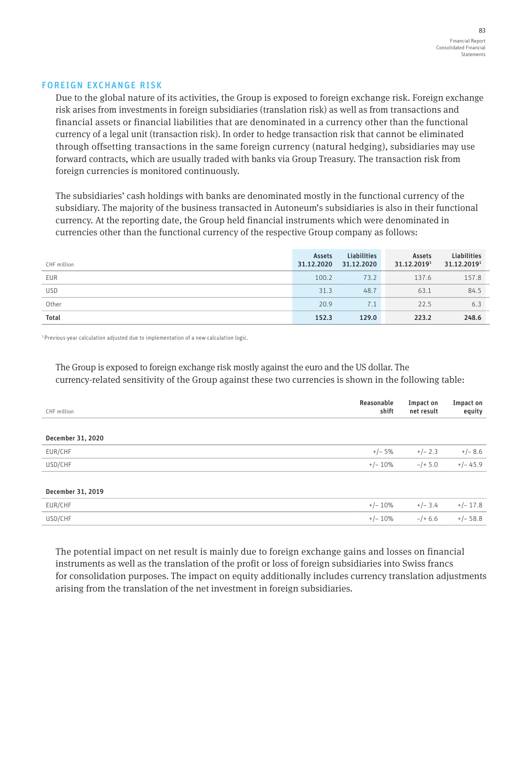#### FOREIGN EXCHANGE RISK

Due to the global nature of its activities, the Group is exposed to foreign exchange risk. Foreign exchange risk arises from investments in foreign subsidiaries (translation risk) as well as from transactions and financial assets or financial liabilities that are denominated in a currency other than the functional currency of a legal unit (transaction risk). In order to hedge transaction risk that cannot be eliminated through offsetting transactions in the same foreign currency (natural hedging), subsidiaries may use forward contracts, which are usually traded with banks via Group Treasury. The transaction risk from foreign currencies is monitored continuously.

The subsidiaries' cash holdings with banks are denominated mostly in the functional currency of the subsidiary. The majority of the business transacted in Autoneum's subsidiaries is also in their functional currency. At the reporting date, the Group held financial instruments which were denominated in currencies other than the functional currency of the respective Group company as follows:

| CHF million  | Assets<br>31.12.2020 | <b>Liabilities</b><br>31.12.2020 | Assets<br>31.12.20191 | Liabilities<br>31.12.20191 |
|--------------|----------------------|----------------------------------|-----------------------|----------------------------|
| EUR          | 100.2                | 73.2                             | 137.6                 | 157.8                      |
| <b>USD</b>   | 31.3                 | 48.7                             | 63.1                  | 84.5                       |
| Other        | 20.9                 | 7.1                              | 22.5                  | 6.3                        |
| <b>Total</b> | 152.3                | 129.0                            | 223.2                 | 248.6                      |

<sup>1</sup> Previous-year calculation adjusted due to implementation of a new calculation logic.

The Group is exposed to foreign exchange risk mostly against the euro and the US dollar. The currency-related sensitivity of the Group against these two currencies is shown in the following table:

| CHF million       | Reasonable<br>shift | Impact on<br>net result | Impact on<br>equity |
|-------------------|---------------------|-------------------------|---------------------|
|                   |                     |                         |                     |
| December 31, 2020 |                     |                         |                     |
| EUR/CHF           | $+/- 5%$            | $+/- 2.3$               | $+/- 8.6$           |
| USD/CHF           | $+/- 10\%$          | $-/+ 5.0$               | $+/- 45.9$          |
|                   |                     |                         |                     |
| December 31, 2019 |                     |                         |                     |
| EUR/CHF           | $+/- 10\%$          | $+/- 3.4$               | $+/- 17.8$          |
| USD/CHF           | $+/- 10%$           | $-/- 6.6$               | $+/- 58.8$          |
|                   |                     |                         |                     |

The potential impact on net result is mainly due to foreign exchange gains and losses on financial instruments as well as the translation of the profit or loss of foreign subsidiaries into Swiss francs for consolidation purposes. The impact on equity additionally includes currency translation adjustments arising from the translation of the net investment in foreign subsidiaries.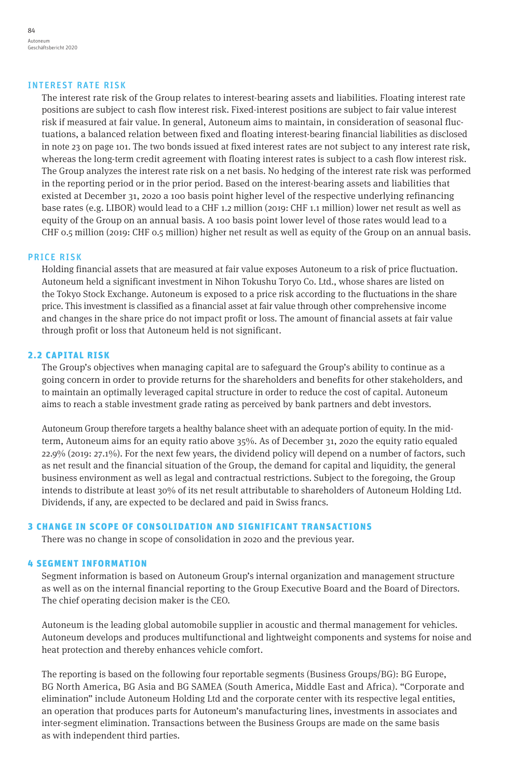#### INTEREST RATE RISK

The interest rate risk of the Group relates to interest-bearing assets and liabilities. Floating interest rate positions are subject to cash flow interest risk. Fixed-interest positions are subject to fair value interest risk if measured at fair value. In general, Autoneum aims to maintain, in consideration of seasonal fluctuations, a balanced relation between fixed and floating interest-bearing financial liabilities as disclosed in note 23 on page 101. The two bonds issued at fixed interest rates are not subject to any interest rate risk, whereas the long-term credit agreement with floating interest rates is subject to a cash flow interest risk. The Group analyzes the interest rate risk on a net basis. No hedging of the interest rate risk was performed in the reporting period or in the prior period. Based on the interest-bearing assets and liabilities that existed at December 31, 2020 a 100 basis point higher level of the respective underlying refinancing base rates (e.g. LIBOR) would lead to a CHF 1.2 million (2019: CHF 1.1 million) lower net result as well as equity of the Group on an annual basis. A 100 basis point lower level of those rates would lead to a CHF 0.5 million (2019: CHF 0.5 million) higher net result as well as equity of the Group on an annual basis.

#### PRICE RISK

Holding financial assets that are measured at fair value exposes Autoneum to a risk of price fluctuation. Autoneum held a significant investment in Nihon Tokushu Toryo Co. Ltd., whose shares are listed on the Tokyo Stock Exchange. Autoneum is exposed to a price risk according to the fluctuations in the share price. This investment is classified as a financial asset at fair value through other comprehensive income and changes in the share price do not impact profit or loss. The amount of financial assets at fair value through profit or loss that Autoneum held is not significant.

#### 2.2 CAPITAL RISK

The Group's objectives when managing capital are to safeguard the Group's ability to continue as a going concern in order to provide returns for the shareholders and benefits for other stakeholders, and to maintain an optimally leveraged capital structure in order to reduce the cost of capital. Autoneum aims to reach a stable investment grade rating as perceived by bank partners and debt investors.

Autoneum Group therefore targets a healthy balance sheet with an adequate portion of equity. In the midterm, Autoneum aims for an equity ratio above 35%. As of December 31, 2020 the equity ratio equaled 22.9% (2019: 27.1%). For the next few years, the dividend policy will depend on a number of factors, such as net result and the financial situation of the Group, the demand for capital and liquidity, the general business environment as well as legal and contractual restrictions. Subject to the foregoing, the Group intends to distribute at least 30% of its net result attributable to shareholders of Autoneum Holding Ltd. Dividends, if any, are expected to be declared and paid in Swiss francs.

#### 3 CHANGE IN SCOPE OF CONSOLIDATION AND SIGNIFICANT TRANSACTIONS

There was no change in scope of consolidation in 2020 and the previous year.

#### 4 SEGMENT INFORMATION

Segment information is based on Autoneum Group's internal organization and management structure as well as on the internal financial reporting to the Group Executive Board and the Board of Directors. The chief operating decision maker is the CEO.

Autoneum is the leading global automobile supplier in acoustic and thermal management for vehicles. Autoneum develops and produces multifunctional and lightweight components and systems for noise and heat protection and thereby enhances vehicle comfort.

The reporting is based on the following four reportable segments (Business Groups/BG): BG Europe, BG North America, BG Asia and BG SAMEA (South America, Middle East and Africa). "Corporate and elimination" include Autoneum Holding Ltd and the corporate center with its respective legal entities, an operation that produces parts for Autoneum's manufacturing lines, investments in associates and inter-segment elimination. Transactions between the Business Groups are made on the same basis as with independent third parties.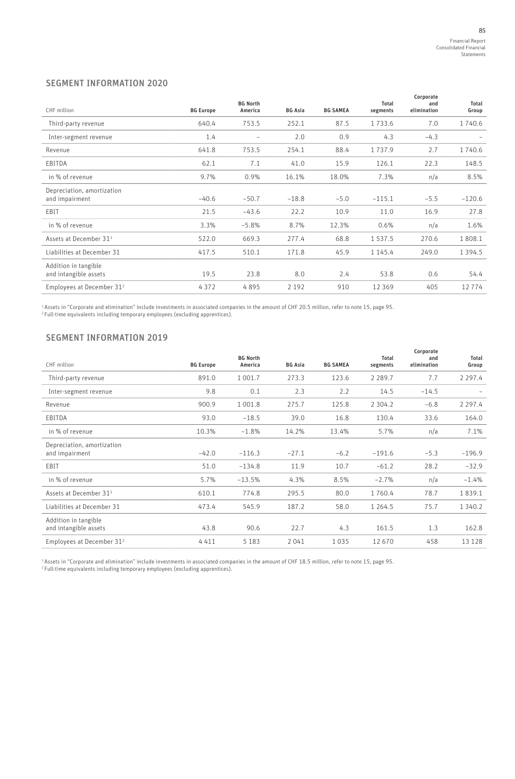# SEGMENT INFORMATION 2020

| CHF million                                   | <b>BG Europe</b> | <b>BG North</b><br>America | <b>BG Asia</b> | <b>BG SAMEA</b> | Total<br>segments | Corporate<br>and<br>elimination | Total<br>Group |
|-----------------------------------------------|------------------|----------------------------|----------------|-----------------|-------------------|---------------------------------|----------------|
| Third-party revenue                           | 640.4            | 753.5                      | 252.1          | 87.5            | 1733.6            | 7.0                             | 1740.6         |
| Inter-segment revenue                         | 1.4              | $\qquad \qquad -$          | 2.0            | 0.9             | 4.3               | $-4.3$                          |                |
| Revenue                                       | 641.8            | 753.5                      | 254.1          | 88.4            | 1737.9            | 2.7                             | 1740.6         |
| EBITDA                                        | 62.1             | 7.1                        | 41.0           | 15.9            | 126.1             | 22.3                            | 148.5          |
| in % of revenue                               | 9.7%             | 0.9%                       | 16.1%          | 18.0%           | 7.3%              | n/a                             | 8.5%           |
| Depreciation, amortization<br>and impairment  | $-40.6$          | $-50.7$                    | $-18.8$        | $-5.0$          | $-115.1$          | $-5.5$                          | $-120.6$       |
| EBIT                                          | 21.5             | $-43.6$                    | 22.2           | 10.9            | 11.0              | 16.9                            | 27.8           |
| in % of revenue                               | 3.3%             | $-5.8%$                    | 8.7%           | 12.3%           | 0.6%              | n/a                             | 1.6%           |
| Assets at December 31 <sup>1</sup>            | 522.0            | 669.3                      | 277.4          | 68.8            | 1 5 3 7 . 5       | 270.6                           | 1808.1         |
| Liabilities at December 31                    | 417.5            | 510.1                      | 171.8          | 45.9            | 1 145.4           | 249.0                           | 1 3 9 4 . 5    |
| Addition in tangible<br>and intangible assets | 19.5             | 23.8                       | 8.0            | 2.4             | 53.8              | 0.6                             | 54.4           |
| Employees at December 31 <sup>2</sup>         | 4372             | 4895                       | 2 1 9 2        | 910             | 12 3 6 9          | 405                             | 12774          |

1 Assets in "Corporate and elimination" include investments in associated companies in the amount of CHF 20.5 million, refer to note 15, page 95.<br><sup>2</sup> Full-time equivalents including temporary employees (excluding apprentic

# SEGMENT INFORMATION 2019

| CHF million                                   | <b>BG Europe</b> | <b>BG North</b><br>America | <b>BG Asia</b> | <b>BG SAMEA</b> | Total<br>segments | Corporate<br>and<br>elimination | Total<br>Group |
|-----------------------------------------------|------------------|----------------------------|----------------|-----------------|-------------------|---------------------------------|----------------|
| Third-party revenue                           | 891.0            | 1 0 0 1.7                  | 273.3          | 123.6           | 2 2 8 9 . 7       | 7.7                             | 2 2 9 7 . 4    |
| Inter-segment revenue                         | 9.8              | 0.1                        | 2.3            | 2.2             | 14.5              | $-14.5$                         |                |
| Revenue                                       | 900.9            | 1 001.8                    | 275.7          | 125.8           | 2 3 0 4 . 2       | $-6.8$                          | 2 2 9 7 . 4    |
| EBITDA                                        | 93.0             | $-18.5$                    | 39.0           | 16.8            | 130.4             | 33.6                            | 164.0          |
| in % of revenue                               | 10.3%            | $-1.8%$                    | 14.2%          | 13.4%           | 5.7%              | n/a                             | 7.1%           |
| Depreciation, amortization<br>and impairment  | $-42.0$          | $-116.3$                   | $-27.1$        | $-6.2$          | $-191.6$          | $-5.3$                          | $-196.9$       |
| EBIT                                          | 51.0             | $-134.8$                   | 11.9           | 10.7            | $-61.2$           | 28.2                            | $-32.9$        |
| in % of revenue                               | 5.7%             | $-13.5%$                   | 4.3%           | 8.5%            | $-2.7%$           | n/a                             | $-1.4%$        |
| Assets at December 31 <sup>1</sup>            | 610.1            | 774.8                      | 295.5          | 80.0            | 1760.4            | 78.7                            | 1839.1         |
| Liabilities at December 31                    | 473.4            | 545.9                      | 187.2          | 58.0            | 1 264.5           | 75.7                            | 1 3 4 0 . 2    |
| Addition in tangible<br>and intangible assets | 43.8             | 90.6                       | 22.7           | 4.3             | 161.5             | 1.3                             | 162.8          |
| Employees at December 31 <sup>2</sup>         | 4411             | 5 1 8 3                    | 2041           | 1035            | 12 670            | 458                             | 13 128         |

1 Assets in "Corporate and elimination" include investments in associated companies in the amount of CHF 18.5 million, refer to note 15, page 95.<br><sup>2</sup> Full-time equivalents including temporary employees (excluding apprentic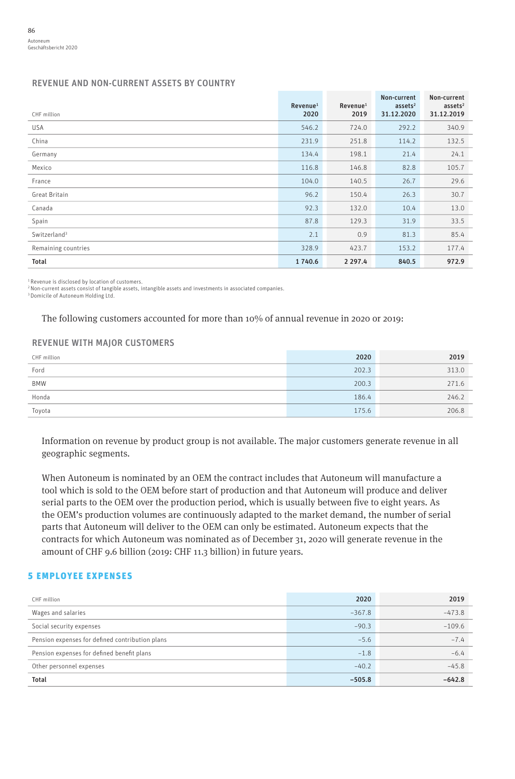### REVENUE AND NON-CURRENT ASSETS BY COUNTRY

|                          | Revenue <sup>1</sup><br>2020 | Revenue <sup>1</sup><br>2019 | Non-current<br>$ases$ <sup>2</sup><br>31.12.2020 | Non-current<br>$ases$ <sup>2</sup><br>31.12.2019 |
|--------------------------|------------------------------|------------------------------|--------------------------------------------------|--------------------------------------------------|
| CHF million              |                              |                              |                                                  |                                                  |
| USA                      | 546.2                        | 724.0                        | 292.2                                            | 340.9                                            |
| China                    | 231.9                        | 251.8                        | 114.2                                            | 132.5                                            |
| Germany                  | 134.4                        | 198.1                        | 21.4                                             | 24.1                                             |
| Mexico                   | 116.8                        | 146.8                        | 82.8                                             | 105.7                                            |
| France                   | 104.0                        | 140.5                        | 26.7                                             | 29.6                                             |
| Great Britain            | 96.2                         | 150.4                        | 26.3                                             | 30.7                                             |
| Canada                   | 92.3                         | 132.0                        | 10.4                                             | 13.0                                             |
| Spain                    | 87.8                         | 129.3                        | 31.9                                             | 33.5                                             |
| Switzerland <sup>3</sup> | 2.1                          | 0.9                          | 81.3                                             | 85.4                                             |
| Remaining countries      | 328.9                        | 423.7                        | 153.2                                            | 177.4                                            |
| Total                    | 1740.6                       | 2 2 9 7 . 4                  | 840.5                                            | 972.9                                            |

<sup>1</sup> Revenue is disclosed by location of customers.<br><sup>2</sup> Non-current assets consist of tangible assets, intangible assets and investments in associated companies.

3 Domicile of Autoneum Holding Ltd.

The following customers accounted for more than 10% of annual revenue in 2020 or 2019:

#### REVENUE WITH MAJOR CUSTOMERS

| CHF million | 2020  | 2019  |
|-------------|-------|-------|
| Ford        | 202.3 | 313.0 |
| <b>BMW</b>  | 200.3 | 271.6 |
| Honda       | 186.4 | 246.2 |
| Toyota      | 175.6 | 206.8 |

Information on revenue by product group is not available. The major customers generate revenue in all geographic segments.

When Autoneum is nominated by an OEM the contract includes that Autoneum will manufacture a tool which is sold to the OEM before start of production and that Autoneum will produce and deliver serial parts to the OEM over the production period, which is usually between five to eight years. As the OEM's production volumes are continuously adapted to the market demand, the number of serial parts that Autoneum will deliver to the OEM can only be estimated. Autoneum expects that the contracts for which Autoneum was nominated as of December 31, 2020 will generate revenue in the amount of CHF 9.6 billion (2019: CHF 11.3 billion) in future years.

# 5 EMPLOYEE EXPENSES

| CHF million                                     | 2020     | 2019     |
|-------------------------------------------------|----------|----------|
| Wages and salaries                              | $-367.8$ | $-473.8$ |
| Social security expenses                        | $-90.3$  | $-109.6$ |
| Pension expenses for defined contribution plans | $-5.6$   | $-7.4$   |
| Pension expenses for defined benefit plans      | $-1.8$   | $-6.4$   |
| Other personnel expenses                        | $-40.2$  | $-45.8$  |
| <b>Total</b>                                    | $-505.8$ | $-642.8$ |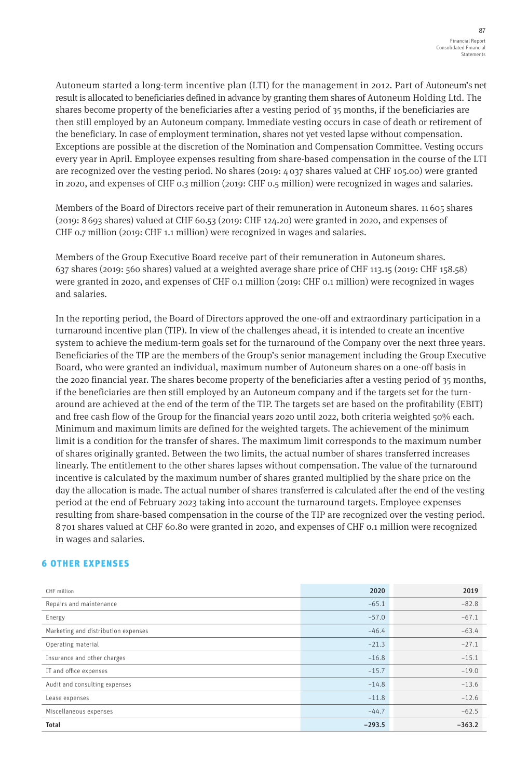Autoneum started a long-term incentive plan (LTI) for the management in 2012. Part of Autoneum's net result is allocated to beneficiaries defined in advance by granting them shares of Autoneum Holding Ltd. The shares become property of the beneficiaries after a vesting period of 35 months, if the beneficiaries are then still employed by an Autoneum company. Immediate vesting occurs in case of death or retirement of the beneficiary. In case of employment termination, shares not yet vested lapse without compensation. Exceptions are possible at the discretion of the Nomination and Compensation Committee. Vesting occurs every year in April. Employee expenses resulting from share-based compensation in the course of the LTI are recognized over the vesting period. No shares (2019: 4 037 shares valued at CHF 105.00) were granted in 2020, and expenses of CHF 0.3 million (2019: CHF 0.5 million) were recognized in wages and salaries.

Members of the Board of Directors receive part of their remuneration in Autoneum shares. 11 605 shares (2019: 8 693 shares) valued at CHF 60.53 (2019: CHF 124.20) were granted in 2020, and expenses of CHF 0.7 million (2019: CHF 1.1 million) were recognized in wages and salaries.

Members of the Group Executive Board receive part of their remuneration in Autoneum shares. 637 shares (2019: 560 shares) valued at a weighted average share price of CHF 113.15 (2019: CHF 158.58) were granted in 2020, and expenses of CHF 0.1 million (2019: CHF 0.1 million) were recognized in wages and salaries.

In the reporting period, the Board of Directors approved the one-off and extraordinary participation in a turnaround incentive plan (TIP). In view of the challenges ahead, it is intended to create an incentive system to achieve the medium-term goals set for the turnaround of the Company over the next three years. Beneficiaries of the TIP are the members of the Group's senior management including the Group Executive Board, who were granted an individual, maximum number of Autoneum shares on a one-off basis in the 2020 financial year. The shares become property of the beneficiaries after a vesting period of 35 months, if the beneficiaries are then still employed by an Autoneum company and if the targets set for the turnaround are achieved at the end of the term of the TIP. The targets set are based on the profitability (EBIT) and free cash flow of the Group for the financial years 2020 until 2022, both criteria weighted 50% each. Minimum and maximum limits are defined for the weighted targets. The achievement of the minimum limit is a condition for the transfer of shares. The maximum limit corresponds to the maximum number of shares originally granted. Between the two limits, the actual number of shares transferred increases linearly. The entitlement to the other shares lapses without compensation. The value of the turnaround incentive is calculated by the maximum number of shares granted multiplied by the share price on the day the allocation is made. The actual number of shares transferred is calculated after the end of the vesting period at the end of February 2023 taking into account the turnaround targets. Employee expenses resulting from share-based compensation in the course of the TIP are recognized over the vesting period. 8 701 shares valued at CHF 60.80 were granted in 2020, and expenses of CHF 0.1 million were recognized in wages and salaries.

## 6 OTHER EXPENSES

| CHF million                         | 2020     | 2019     |
|-------------------------------------|----------|----------|
| Repairs and maintenance             | $-65.1$  | $-82.8$  |
| Energy                              | $-57.0$  | $-67.1$  |
| Marketing and distribution expenses | $-46.4$  | $-63.4$  |
| Operating material                  | $-21.3$  | $-27.1$  |
| Insurance and other charges         | $-16.8$  | $-15.1$  |
| IT and office expenses              | $-15.7$  | $-19.0$  |
| Audit and consulting expenses       | $-14.8$  | $-13.6$  |
| Lease expenses                      | $-11.8$  | $-12.6$  |
| Miscellaneous expenses              | $-44.7$  | $-62.5$  |
| Total                               | $-293.5$ | $-363.2$ |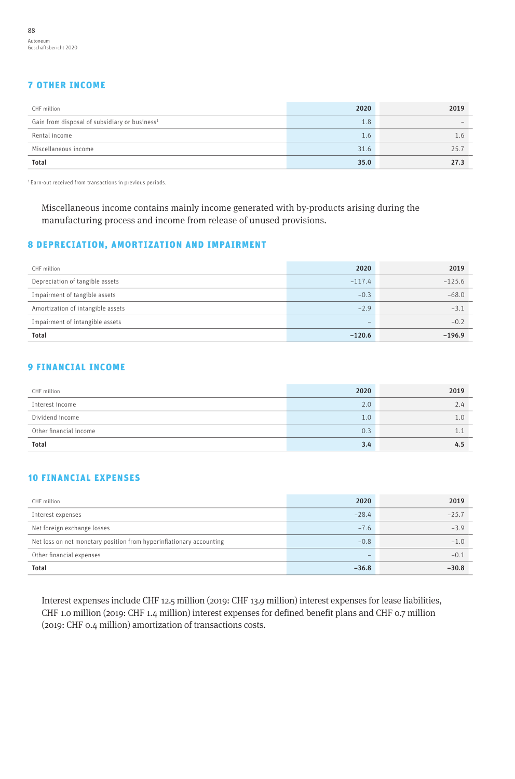# 7 OTHER INCOME

| CHF million                                               | 2020 | 2019 |
|-----------------------------------------------------------|------|------|
| Gain from disposal of subsidiary or business <sup>1</sup> | 1.8  |      |
| Rental income                                             | 1.6  |      |
| Miscellaneous income                                      | 31.6 | 25.7 |
| <b>Total</b>                                              | 35.0 | 27.3 |

1 Earn-out received from transactions in previous periods.

Miscellaneous income contains mainly income generated with by-products arising during the manufacturing process and income from release of unused provisions.

# 8 DEPRECIATION, AMORTIZATION AND IMPAIRMENT

| CHF million                       | 2020                     | 2019     |
|-----------------------------------|--------------------------|----------|
| Depreciation of tangible assets   | $-117.4$                 | $-125.6$ |
| Impairment of tangible assets     | $-0.3$                   | $-68.0$  |
| Amortization of intangible assets | $-2.9$                   | $-3.1$   |
| Impairment of intangible assets   | $\overline{\phantom{0}}$ | $-0.2$   |
| <b>Total</b>                      | $-120.6$                 | $-196.9$ |

# 9 FINANCIAL INCOME

| CHF million            | 2020 | 2019 |
|------------------------|------|------|
| Interest income        | 2.0  | 2.4  |
| Dividend income        | 1.0  |      |
| Other financial income | 0.3  |      |
| <b>Total</b>           | 3.4  | 4.5  |

# 10 FINANCIAL EXPENSES

| CHF million                                                         | 2020    | 2019    |
|---------------------------------------------------------------------|---------|---------|
| Interest expenses                                                   | $-28.4$ | $-25.7$ |
| Net foreign exchange losses                                         | $-7.6$  | $-3.9$  |
| Net loss on net monetary position from hyperinflationary accounting | $-0.8$  | $-1.0$  |
| Other financial expenses                                            | -       | $-0.1$  |
| <b>Total</b>                                                        | $-36.8$ | $-30.8$ |

Interest expenses include CHF 12.5 million (2019: CHF 13.9 million) interest expenses for lease liabilities, CHF 1.0 million (2019: CHF 1.4 million) interest expenses for defined benefit plans and CHF 0.7 million (2019: CHF 0.4 million) amortization of transactions costs.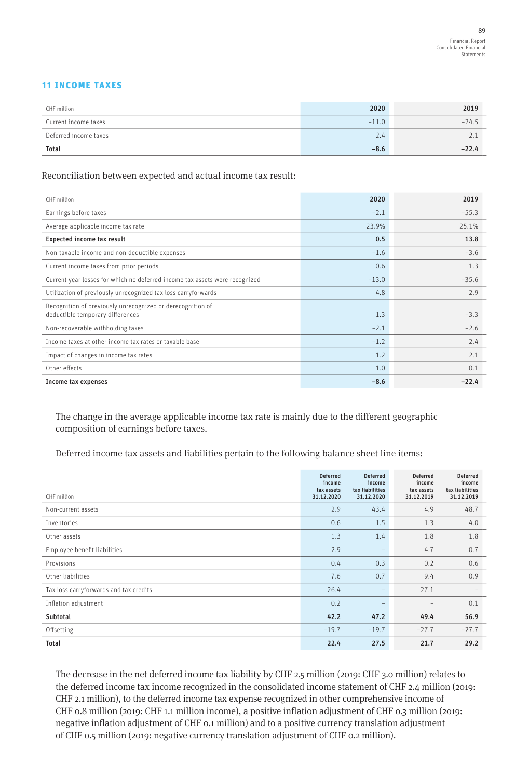# 11 INCOME TAXES

| CHF million           | 2020    | 2019    |
|-----------------------|---------|---------|
| Current income taxes  | $-11.0$ | $-24.5$ |
| Deferred income taxes | 2.4     |         |
| <b>Total</b>          | $-8.6$  | $-22.4$ |

#### Reconciliation between expected and actual income tax result:

| CHF million                                                                                    | 2020    | 2019    |
|------------------------------------------------------------------------------------------------|---------|---------|
| Earnings before taxes                                                                          | $-2.1$  | $-55.3$ |
| Average applicable income tax rate                                                             | 23.9%   | 25.1%   |
| Expected income tax result                                                                     | 0.5     | 13.8    |
| Non-taxable income and non-deductible expenses                                                 | $-1.6$  | $-3.6$  |
| Current income taxes from prior periods                                                        | 0.6     | 1.3     |
| Current year losses for which no deferred income tax assets were recognized                    | $-13.0$ | $-35.6$ |
| Utilization of previously unrecognized tax loss carryforwards                                  | 4.8     | 2.9     |
| Recognition of previously unrecognized or derecognition of<br>deductible temporary differences | 1.3     | $-3.3$  |
| Non-recoverable withholding taxes                                                              | $-2.1$  | $-2.6$  |
| Income taxes at other income tax rates or taxable base                                         | $-1.2$  | 2.4     |
| Impact of changes in income tax rates                                                          | 1.2     | 2.1     |
| Other effects                                                                                  | 1.0     | 0.1     |
| Income tax expenses                                                                            | $-8.6$  | $-22.4$ |

The change in the average applicable income tax rate is mainly due to the different geographic composition of earnings before taxes.

Deferred income tax assets and liabilities pertain to the following balance sheet line items:

| CHF million                            | <b>Deferred</b><br>income<br>tax assets<br>31.12.2020 | <b>Deferred</b><br>income<br>tax liabilities<br>31.12.2020 | <b>Deferred</b><br>income<br>tax assets<br>31.12.2019 | <b>Deferred</b><br>income<br>tax liabilities<br>31.12.2019 |
|----------------------------------------|-------------------------------------------------------|------------------------------------------------------------|-------------------------------------------------------|------------------------------------------------------------|
| Non-current assets                     | 2.9                                                   | 43.4                                                       | 4.9                                                   | 48.7                                                       |
| Inventories                            | 0.6                                                   | 1.5                                                        | 1.3                                                   | 4.0                                                        |
| Other assets                           | 1.3                                                   | 1.4                                                        | 1.8                                                   | 1.8                                                        |
| Employee benefit liabilities           | 2.9                                                   | $\overline{\phantom{m}}$                                   | 4.7                                                   | 0.7                                                        |
| Provisions                             | 0.4                                                   | 0.3                                                        | 0.2                                                   | 0.6                                                        |
| Other liabilities                      | 7.6                                                   | 0.7                                                        | 9.4                                                   | 0.9                                                        |
| Tax loss carryforwards and tax credits | 26.4                                                  |                                                            | 27.1                                                  |                                                            |
| Inflation adjustment                   | 0.2                                                   | $\qquad \qquad -$                                          | -                                                     | 0.1                                                        |
| Subtotal                               | 42.2                                                  | 47.2                                                       | 49.4                                                  | 56.9                                                       |
| Offsetting                             | $-19.7$                                               | $-19.7$                                                    | $-27.7$                                               | $-27.7$                                                    |
| Total                                  | 22.4                                                  | 27.5                                                       | 21.7                                                  | 29.2                                                       |

The decrease in the net deferred income tax liability by CHF 2.5 million (2019: CHF 3.0 million) relates to the deferred income tax income recognized in the consolidated income statement of CHF 2.4 million (2019: CHF 2.1 million), to the deferred income tax expense recognized in other comprehensive income of CHF 0.8 million (2019: CHF 1.1 million income), a positive inflation adjustment of CHF 0.3 million (2019: negative inflation adjustment of CHF 0.1 million) and to a positive currency translation adjustment of CHF 0.5 million (2019: negative currency translation adjustment of CHF 0.2 million).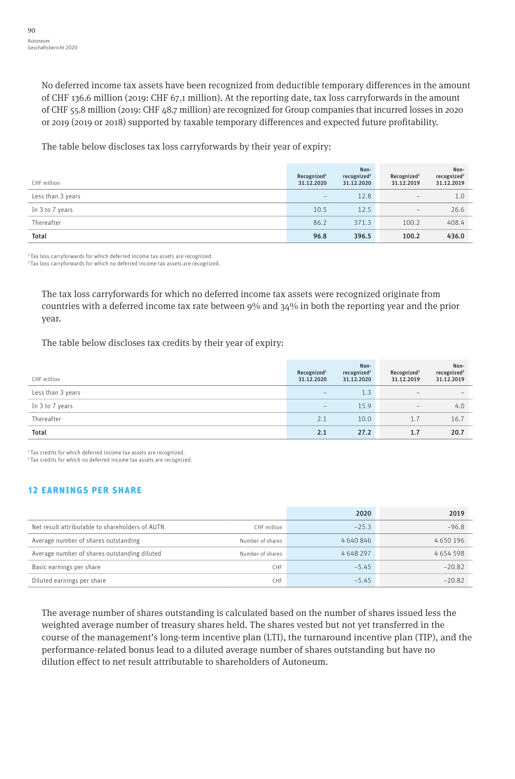No deferred income tax assets have been recognized from deductible temporary differences in the amount of CHF 136.6 million (2019: CHF 67.1 million). At the reporting date, tax loss carryforwards in the amount of CHF 55.8 million (2019: CHF 48.7 million) are recognized for Group companies that incurred losses in 2020 or 2019 (2019 or 2018) supported by taxable temporary differences and expected future profitability.

The table below discloses tax loss carryforwards by their year of expiry:

| CHF million       | Recognized <sup>1</sup><br>31.12.2020 | Non-<br>recognized <sup>2</sup><br>31.12.2020 | Recognized <sup>1</sup><br>31.12.2019 | Non-<br>recognized <sup>2</sup><br>31.12.2019 |
|-------------------|---------------------------------------|-----------------------------------------------|---------------------------------------|-----------------------------------------------|
| Less than 3 years | $\qquad \qquad -$                     | 12.8                                          | $\qquad \qquad =$                     | 1.0                                           |
| In 3 to 7 years   | 10.5                                  | 12.5                                          | $\qquad \qquad -$                     | 26.6                                          |
| Thereafter        | 86.2                                  | 371.3                                         | 100.2                                 | 408.4                                         |
| <b>Total</b>      | 96.8                                  | 396.5                                         | 100.2                                 | 436.0                                         |

1 Tax loss carryforwards for which deferred income tax assets are recognized.

2 Tax loss carryforwards for which no deferred income tax assets are recognized.

The tax loss carryforwards for which no deferred income tax assets were recognized originate from countries with a deferred income tax rate between 9% and 34% in both the reporting year and the prior year.

The table below discloses tax credits by their year of expiry:

| CHF million       | Recognized <sup>1</sup><br>31.12.2020 | Non-<br>recognized <sup>2</sup><br>31.12.2020 | Recognized <sup>1</sup><br>31.12.2019 | Non-<br>recognized <sup>2</sup><br>31.12.2019 |
|-------------------|---------------------------------------|-----------------------------------------------|---------------------------------------|-----------------------------------------------|
| Less than 3 years | $\qquad \qquad -$                     | 1.3                                           | $\qquad \qquad =$                     | $\overline{\phantom{a}}$                      |
| In 3 to 7 years   | $\qquad \qquad -$                     | 15.9                                          | $\qquad \qquad$                       | 4.0                                           |
| Thereafter        | 2.1                                   | 10.0                                          | 1.7                                   | 16.7                                          |
| <b>Total</b>      | 2.1                                   | 27.2                                          | 1.7                                   | 20.7                                          |

1 Tax credits for which deferred income tax assets are recognized.

2 Tax credits for which no deferred income tax assets are recognized.

# 12 EARNINGS PER SHARE

|                                                 |                  | 2020      | 2019     |
|-------------------------------------------------|------------------|-----------|----------|
| Net result attributable to shareholders of AUTN | CHF million      | $-25.3$   | $-96.8$  |
| Average number of shares outstanding            | Number of shares | 4 640 846 | 4650196  |
| Average number of shares outstanding diluted    | Number of shares | 4 648 297 | 4654598  |
| Basic earnings per share                        | CHF              | $-5.45$   | $-20.82$ |
| Diluted earnings per share                      | CHE.             | $-5.45$   | $-20.82$ |

The average number of shares outstanding is calculated based on the number of shares issued less the weighted average number of treasury shares held. The shares vested but not yet transferred in the course of the management's long-term incentive plan (LTI), the turnaround incentive plan (TIP), and the performance-related bonus lead to a diluted average number of shares outstanding but have no dilution effect to net result attributable to shareholders of Autoneum.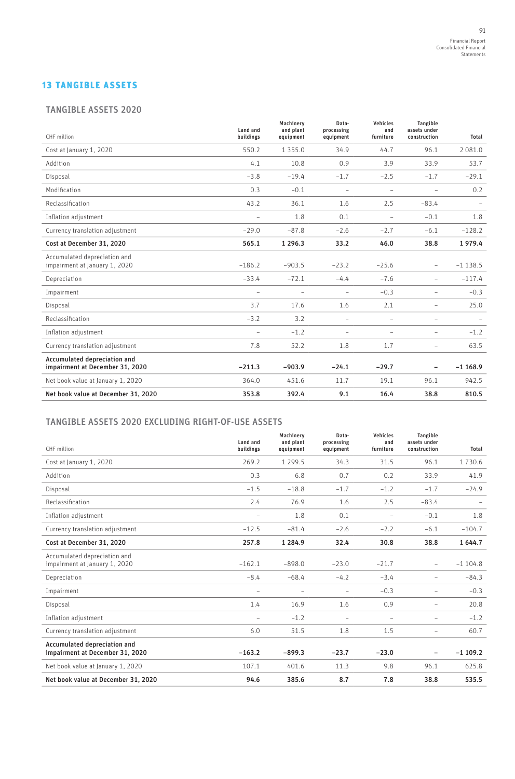# 13 TANGIBLE ASSETS

#### TANGIBLE ASSETS 2020

| CHF million                                                     | Land and<br>buildings | Machinerv<br>and plant<br>equipment | Data-<br>processing<br>equipment | Vehicles<br>and<br>furniture | <b>Tangible</b><br>assets under<br>construction | Total     |
|-----------------------------------------------------------------|-----------------------|-------------------------------------|----------------------------------|------------------------------|-------------------------------------------------|-----------|
| Cost at January 1, 2020                                         | 550.2                 | 1 3 5 5 .0                          | 34.9                             | 44.7                         | 96.1                                            | 2 081.0   |
| Addition                                                        | 4.1                   | 10.8                                | 0.9                              | 3.9                          | 33.9                                            | 53.7      |
| Disposal                                                        | $-3.8$                | $-19.4$                             | $-1.7$                           | $-2.5$                       | $-1.7$                                          | $-29.1$   |
| Modification                                                    | 0.3                   | $-0.1$                              | ÷                                | ÷                            | $\overline{\phantom{a}}$                        | 0.2       |
| Reclassification                                                | 43.2                  | 36.1                                | 1.6                              | 2.5                          | $-83.4$                                         |           |
| Inflation adjustment                                            | $\equiv$              | 1.8                                 | 0.1                              | ÷                            | $-0.1$                                          | 1.8       |
| Currency translation adjustment                                 | $-29.0$               | $-87.8$                             | $-2.6$                           | $-2.7$                       | $-6.1$                                          | $-128.2$  |
| Cost at December 31, 2020                                       | 565.1                 | 1 2 9 6 . 3                         | 33.2                             | 46.0                         | 38.8                                            | 1979.4    |
| Accumulated depreciation and<br>impairment at January 1, 2020   | $-186.2$              | $-903.5$                            | $-23.2$                          | $-25.6$                      | ÷.                                              | $-1138.5$ |
| Depreciation                                                    | $-33.4$               | $-72.1$                             | $-4.4$                           | $-7.6$                       | $\overline{\phantom{0}}$                        | $-117.4$  |
| Impairment                                                      | ÷                     | $\equiv$                            | ÷                                | $-0.3$                       | $\equiv$                                        | $-0.3$    |
| Disposal                                                        | 3.7                   | 17.6                                | 1.6                              | 2.1                          | $\overline{\phantom{a}}$                        | 25.0      |
| Reclassification                                                | $-3.2$                | 3.2                                 | $\equiv$                         | $\equiv$                     | $\overline{\phantom{a}}$                        |           |
| Inflation adjustment                                            | $\equiv$              | $-1.2$                              | $\equiv$                         | $\equiv$                     | $\overline{\phantom{a}}$                        | $-1.2$    |
| Currency translation adjustment                                 | 7.8                   | 52.2                                | 1.8                              | 1.7                          | $\overline{\phantom{0}}$                        | 63.5      |
| Accumulated depreciation and<br>impairment at December 31, 2020 | $-211.3$              | $-903.9$                            | $-24.1$                          | $-29.7$                      |                                                 | $-1168.9$ |
| Net book value at January 1, 2020                               | 364.0                 | 451.6                               | 11.7                             | 19.1                         | 96.1                                            | 942.5     |
| Net book value at December 31, 2020                             | 353.8                 | 392.4                               | 9.1                              | 16.4                         | 38.8                                            | 810.5     |

# TANGIBLE ASSETS 2020 EXCLUDING RIGHT-OF-USE ASSETS

| CHF million                                                     | Land and<br>buildings | Machinerv<br>and plant<br>equipment | Data-<br>processing<br>equipment | Vehicles<br>and<br>furniture | <b>Tangible</b><br>assets under<br>construction | Total     |
|-----------------------------------------------------------------|-----------------------|-------------------------------------|----------------------------------|------------------------------|-------------------------------------------------|-----------|
| Cost at January 1, 2020                                         | 269.2                 | 1 2 9 9 . 5                         | 34.3                             | 31.5                         | 96.1                                            | 1730.6    |
| Addition                                                        | 0.3                   | 6.8                                 | 0.7                              | 0.2                          | 33.9                                            | 41.9      |
| Disposal                                                        | $-1.5$                | $-18.8$                             | $-1.7$                           | $-1.2$                       | $-1.7$                                          | $-24.9$   |
| Reclassification                                                | 2.4                   | 76.9                                | 1.6                              | 2.5                          | $-83.4$                                         |           |
| Inflation adjustment                                            | $\equiv$              | 1.8                                 | 0.1                              | $\equiv$                     | $-0.1$                                          | 1.8       |
| Currency translation adjustment                                 | $-12.5$               | $-81.4$                             | $-2.6$                           | $-2.2$                       | $-6.1$                                          | $-104.7$  |
| Cost at December 31, 2020                                       | 257.8                 | 1 2 8 4 . 9                         | 32.4                             | 30.8                         | 38.8                                            | 1 644.7   |
| Accumulated depreciation and<br>impairment at January 1, 2020   | $-162.1$              | $-898.0$                            | $-23.0$                          | $-21.7$                      | $\overline{\phantom{0}}$                        | $-1104.8$ |
| Depreciation                                                    | $-8.4$                | $-68.4$                             | $-4.2$                           | $-3.4$                       | -                                               | $-84.3$   |
| Impairment                                                      | $\equiv$              | $\equiv$                            | $\equiv$                         | $-0.3$                       | $\equiv$                                        | $-0.3$    |
| Disposal                                                        | 1.4                   | 16.9                                | 1.6                              | 0.9                          | $\equiv$                                        | 20.8      |
| Inflation adjustment                                            | $\equiv$              | $-1.2$                              | $\equiv$                         | $\overline{\phantom{a}}$     | $\overline{\phantom{0}}$                        | $-1.2$    |
| Currency translation adjustment                                 | 6.0                   | 51.5                                | 1.8                              | 1.5                          | $\equiv$                                        | 60.7      |
| Accumulated depreciation and<br>impairment at December 31, 2020 | $-163.2$              | $-899.3$                            | $-23.7$                          | $-23.0$                      |                                                 | $-1109.2$ |
| Net book value at January 1, 2020                               | 107.1                 | 401.6                               | 11.3                             | 9.8                          | 96.1                                            | 625.8     |
| Net book value at December 31, 2020                             | 94.6                  | 385.6                               | 8.7                              | 7.8                          | 38.8                                            | 535.5     |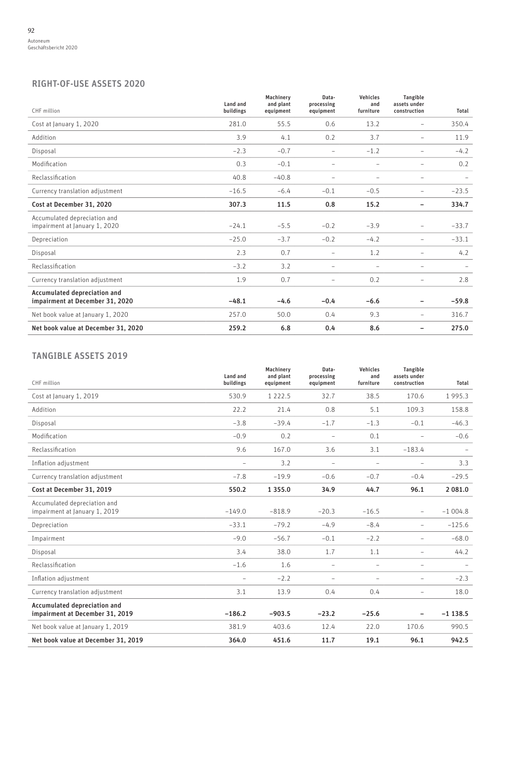# RIGHT-OF-USE ASSETS 2020

| CHF million                                                     | Land and<br>buildings | Machinery<br>and plant<br>equipment | Data-<br>processing<br>equipment | Vehicles<br>and<br>furniture | Tangible<br>assets under<br>construction | Total   |
|-----------------------------------------------------------------|-----------------------|-------------------------------------|----------------------------------|------------------------------|------------------------------------------|---------|
| Cost at January 1, 2020                                         | 281.0                 | 55.5                                | 0.6                              | 13.2                         | $\overline{\phantom{m}}$                 | 350.4   |
| Addition                                                        | 3.9                   | 4.1                                 | 0.2                              | 3.7                          | $\qquad \qquad -$                        | 11.9    |
| Disposal                                                        | $-2.3$                | $-0.7$                              | $\equiv$                         | $-1.2$                       | $\overline{\phantom{a}}$                 | $-4.2$  |
| Modification                                                    | 0.3                   | $-0.1$                              | $\overline{\phantom{a}}$         | $\overline{\phantom{a}}$     | $\overline{\phantom{a}}$                 | 0.2     |
| Reclassification                                                | 40.8                  | $-40.8$                             | -                                | $\overline{\phantom{a}}$     | $\overline{\phantom{m}}$                 |         |
| Currency translation adjustment                                 | $-16.5$               | $-6.4$                              | $-0.1$                           | $-0.5$                       | $\overline{\phantom{a}}$                 | $-23.5$ |
| Cost at December 31, 2020                                       | 307.3                 | 11.5                                | 0.8                              | 15.2                         | -                                        | 334.7   |
| Accumulated depreciation and<br>impairment at January 1, 2020   | $-24.1$               | $-5.5$                              | $-0.2$                           | $-3.9$                       | $\equiv$                                 | $-33.7$ |
| Depreciation                                                    | $-25.0$               | $-3.7$                              | $-0.2$                           | $-4.2$                       | $\qquad \qquad -$                        | $-33.1$ |
| Disposal                                                        | 2.3                   | 0.7                                 | $\overline{\phantom{a}}$         | 1.2                          | $\qquad \qquad -$                        | 4.2     |
| Reclassification                                                | $-3.2$                | 3.2                                 | $\overline{\phantom{m}}$         |                              | $\overline{\phantom{m}}$                 |         |
| Currency translation adjustment                                 | 1.9                   | 0.7                                 | $\qquad \qquad -$                | 0.2                          | $\qquad \qquad -$                        | 2.8     |
| Accumulated depreciation and<br>impairment at December 31, 2020 | $-48.1$               | $-4.6$                              | $-0.4$                           | $-6.6$                       | -                                        | $-59.8$ |
| Net book value at January 1, 2020                               | 257.0                 | 50.0                                | 0.4                              | 9.3                          | $\qquad \qquad -$                        | 316.7   |
| Net book value at December 31, 2020                             | 259.2                 | 6.8                                 | 0.4                              | 8.6                          | -                                        | 275.0   |

# TANGIBLE ASSETS 2019

| CHF million                                                     | Land and<br>buildings    | Machinery<br>and plant<br>equipment | Data-<br>processing<br>equipment | <b>Vehicles</b><br>and<br>furniture | Tangible<br>assets under<br>construction | Total     |
|-----------------------------------------------------------------|--------------------------|-------------------------------------|----------------------------------|-------------------------------------|------------------------------------------|-----------|
| Cost at January 1, 2019                                         | 530.9                    | 1 2 2 2 .5                          | 32.7                             | 38.5                                | 170.6                                    | 1995.3    |
| Addition                                                        | 22.2                     | 21.4                                | 0.8                              | 5.1                                 | 109.3                                    | 158.8     |
| Disposal                                                        | $-3.8$                   | $-39.4$                             | $-1.7$                           | $-1.3$                              | $-0.1$                                   | $-46.3$   |
| Modification                                                    | $-0.9$                   | 0.2                                 | $\overline{\phantom{a}}$         | 0.1                                 | $\overline{\phantom{a}}$                 | $-0.6$    |
| Reclassification                                                | 9.6                      | 167.0                               | 3.6                              | 3.1                                 | $-183.4$                                 |           |
| Inflation adjustment                                            | $\overline{\phantom{a}}$ | 3.2                                 | $\overline{\phantom{a}}$         | $\sim$                              | $\sim$                                   | 3.3       |
| Currency translation adjustment                                 | $-7.8$                   | $-19.9$                             | $-0.6$                           | $-0.7$                              | $-0.4$                                   | $-29.5$   |
| Cost at December 31, 2019                                       | 550.2                    | 1 3 5 5 . 0                         | 34.9                             | 44.7                                | 96.1                                     | 2 081.0   |
| Accumulated depreciation and<br>impairment at January 1, 2019   | $-149.0$                 | $-818.9$                            | $-20.3$                          | $-16.5$                             | $\overline{\phantom{a}}$                 | $-1004.8$ |
| Depreciation                                                    | $-33.1$                  | $-79.2$                             | $-4.9$                           | $-8.4$                              | $\overline{\phantom{a}}$                 | $-125.6$  |
| Impairment                                                      | $-9.0$                   | $-56.7$                             | $-0.1$                           | $-2.2$                              | $\equiv$                                 | $-68.0$   |
| Disposal                                                        | 3.4                      | 38.0                                | 1.7                              | 1.1                                 | $\qquad \qquad -$                        | 44.2      |
| Reclassification                                                | $-1.6$                   | 1.6                                 | $\equiv$                         | $\equiv$                            | $\equiv$                                 |           |
| Inflation adjustment                                            | $\equiv$                 | $-2.2$                              | $\equiv$                         | $\overline{\phantom{a}}$            | $\overline{\phantom{a}}$                 | $-2.3$    |
| Currency translation adjustment                                 | 3.1                      | 13.9                                | 0.4                              | 0.4                                 | $\equiv$                                 | 18.0      |
| Accumulated depreciation and<br>impairment at December 31, 2019 | $-186.2$                 | $-903.5$                            | $-23.2$                          | $-25.6$                             |                                          | $-1138.5$ |
| Net book value at January 1, 2019                               | 381.9                    | 403.6                               | 12.4                             | 22.0                                | 170.6                                    | 990.5     |
| Net book value at December 31, 2019                             | 364.0                    | 451.6                               | 11.7                             | 19.1                                | 96.1                                     | 942.5     |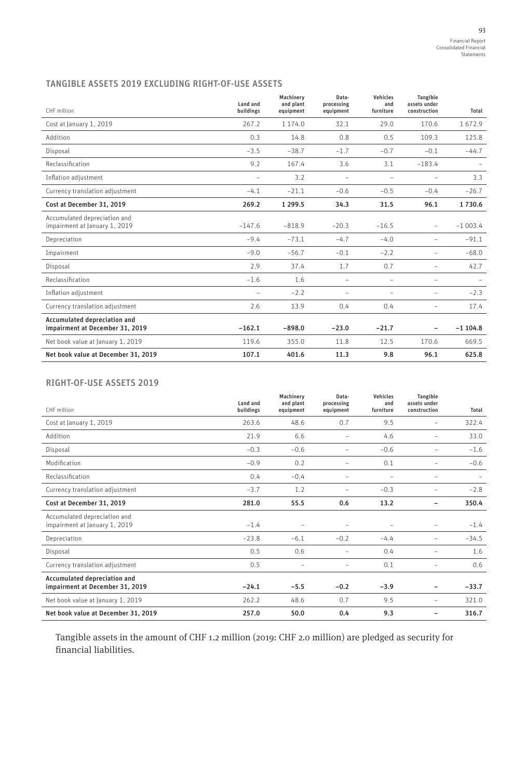# TANGIBLE ASSETS 2019 EXCLUDING RIGHT-OF-USE ASSETS

| CHF million                                                     | Land and<br>buildings | Machinerv<br>and plant<br>equipment | Data-<br>processing<br>equipment | Vehicles<br>and<br>furniture | <b>Tangible</b><br>assets under<br>construction | Total     |
|-----------------------------------------------------------------|-----------------------|-------------------------------------|----------------------------------|------------------------------|-------------------------------------------------|-----------|
| Cost at January 1, 2019                                         | 267.2                 | 1 174.0                             | 32.1                             | 29.0                         | 170.6                                           | 1672.9    |
|                                                                 |                       |                                     |                                  |                              |                                                 |           |
| Addition                                                        | 0.3                   | 14.8                                | 0.8                              | 0.5                          | 109.3                                           | 125.8     |
| Disposal                                                        | $-3.5$                | $-38.7$                             | $-1.7$                           | $-0.7$                       | $-0.1$                                          | $-44.7$   |
| Reclassification                                                | 9.2                   | 167.4                               | 3.6                              | 3.1                          | $-183.4$                                        |           |
| Inflation adjustment                                            | $\equiv$              | 3.2                                 | $\equiv$                         |                              | $\overline{\phantom{a}}$                        | 3.3       |
| Currency translation adjustment                                 | $-4.1$                | $-21.1$                             | $-0.6$                           | $-0.5$                       | $-0.4$                                          | $-26.7$   |
| Cost at December 31, 2019                                       | 269.2                 | 1 2 9 9.5                           | 34.3                             | 31.5                         | 96.1                                            | 1730.6    |
| Accumulated depreciation and<br>impairment at January 1, 2019   | $-147.6$              | $-818.9$                            | $-20.3$                          | $-16.5$                      | $\overline{\phantom{a}}$                        | $-1003.4$ |
| Depreciation                                                    | $-9.4$                | $-73.1$                             | $-4.7$                           | $-4.0$                       | $\overline{\phantom{a}}$                        | $-91.1$   |
| Impairment                                                      | $-9.0$                | $-56.7$                             | $-0.1$                           | $-2.2$                       | $\overline{\phantom{a}}$                        | $-68.0$   |
| Disposal                                                        | 2.9                   | 37.4                                | 1.7                              | 0.7                          | $\overline{\phantom{a}}$                        | 42.7      |
| Reclassification                                                | $-1.6$                | 1.6                                 | $\qquad \qquad -$                | $\overline{\phantom{a}}$     | $\overline{\phantom{a}}$                        |           |
| Inflation adjustment                                            | $\equiv$              | $-2.2$                              | $\overline{\phantom{0}}$         | $\qquad \qquad -$            | $\overline{\phantom{a}}$                        | $-2.3$    |
| Currency translation adjustment                                 | 2.6                   | 13.9                                | 0.4                              | 0.4                          | $\overline{\phantom{a}}$                        | 17.4      |
| Accumulated depreciation and<br>impairment at December 31, 2019 | $-162.1$              | $-898.0$                            | $-23.0$                          | $-21.7$                      |                                                 | $-1104.8$ |
| Net book value at January 1, 2019                               | 119.6                 | 355.0                               | 11.8                             | 12.5                         | 170.6                                           | 669.5     |
| Net book value at December 31, 2019                             | 107.1                 | 401.6                               | 11.3                             | 9.8                          | 96.1                                            | 625.8     |

# RIGHT-OF-USE ASSETS 2019

| CHF million                                                     | Land and<br>buildings | Machinerv<br>and plant<br>equipment | Data-<br>processing<br>equipment | Vehicles<br>and<br>furniture | <b>Tangible</b><br>assets under<br>construction | Total   |
|-----------------------------------------------------------------|-----------------------|-------------------------------------|----------------------------------|------------------------------|-------------------------------------------------|---------|
| Cost at January 1, 2019                                         | 263.6                 | 48.6                                | 0.7                              | 9.5                          | -                                               | 322.4   |
| Addition                                                        | 21.9                  | 6.6                                 | -                                | 4.6                          | -                                               | 33.0    |
| Disposal                                                        | $-0.3$                | $-0.6$                              | -                                | $-0.6$                       | $\overline{\phantom{0}}$                        | $-1.6$  |
| Modification                                                    | $-0.9$                | 0.2                                 | -                                | 0.1                          | -                                               | $-0.6$  |
| Reclassification                                                | 0.4                   | $-0.4$                              | -                                | $\overline{\phantom{0}}$     | $\qquad \qquad -$                               |         |
| Currency translation adjustment                                 | $-3.7$                | 1.2                                 | $\overline{\phantom{0}}$         | $-0.3$                       | -                                               | $-2.8$  |
| Cost at December 31, 2019                                       | 281.0                 | 55.5                                | 0.6                              | 13.2                         | $\overline{\phantom{0}}$                        | 350.4   |
| Accumulated depreciation and<br>impairment at January 1, 2019   | $-1.4$                |                                     | -                                | $\overline{\phantom{0}}$     | $\equiv$                                        | $-1.4$  |
| Depreciation                                                    | $-23.8$               | $-6.1$                              | $-0.2$                           | $-4.4$                       | -                                               | $-34.5$ |
| Disposal                                                        | 0.5                   | 0.6                                 | -                                | 0.4                          | -                                               | 1.6     |
| Currency translation adjustment                                 | 0.5                   |                                     | $\overline{\phantom{0}}$         | 0.1                          |                                                 | 0.6     |
| Accumulated depreciation and<br>impairment at December 31, 2019 | $-24.1$               | $-5.5$                              | $-0.2$                           | $-3.9$                       | $\overline{\phantom{0}}$                        | $-33.7$ |
| Net book value at January 1, 2019                               | 262.2                 | 48.6                                | 0.7                              | 9.5                          | $\overline{\phantom{0}}$                        | 321.0   |
| Net book value at December 31, 2019                             | 257.0                 | 50.0                                | 0.4                              | 9.3                          |                                                 | 316.7   |

Tangible assets in the amount of CHF 1.2 million (2019: CHF 2.0 million) are pledged as security for financial liabilities.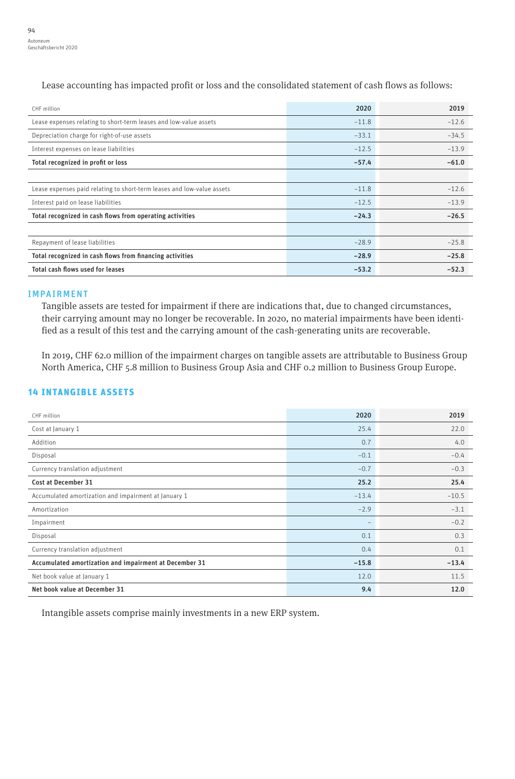CHF million 2020 2019 Lease expenses relating to short-term leases and low-value assets –11.8 –12.6 Depreciation charge for right-of-use assets example of the state of the state of the state of the state of the state of the state of the state of the state of the state of the state of the state of the state of the state o Interest expenses on lease liabilities –12.5 –13.9 Total recognized in profit or loss –57.4 –61.0 Lease expenses paid relating to short-term leases and low-value assets –11.8 –12.6 Interest paid on lease liabilities –12.5 –13.9 Total recognized in cash flows from operating activities –24.3 –26.5 Repayment of lease liabilities –28.9 –25.8 Total recognized in cash flows from financing activities –28.9 –25.8 Total cash flows used for leases  $-52.3$   $-52.3$ 

Lease accounting has impacted profit or loss and the consolidated statement of cash flows as follows:

#### IMPAIRMENT

Tangible assets are tested for impairment if there are indications that, due to changed circumstances, their carrying amount may no longer be recoverable. In 2020, no material impairments have been identified as a result of this test and the carrying amount of the cash-generating units are recoverable.

In 2019, CHF 62.0 million of the impairment charges on tangible assets are attributable to Business Group North America, CHF 5.8 million to Business Group Asia and CHF 0.2 million to Business Group Europe.

## 14 INTANGIBLE ASSETS

| CHF million                                            | 2020    | 2019    |
|--------------------------------------------------------|---------|---------|
| Cost at January 1                                      | 25.4    | 22.0    |
| Addition                                               | 0.7     | 4.0     |
| Disposal                                               | $-0.1$  | $-0.4$  |
| Currency translation adjustment                        | $-0.7$  | $-0.3$  |
| Cost at December 31                                    | 25.2    | 25.4    |
| Accumulated amortization and impairment at January 1   | $-13.4$ | $-10.5$ |
| Amortization                                           | $-2.9$  | $-3.1$  |
| Impairment                                             |         | $-0.2$  |
| Disposal                                               | 0.1     | 0.3     |
| Currency translation adjustment                        | 0.4     | 0.1     |
| Accumulated amortization and impairment at December 31 | $-15.8$ | $-13.4$ |
| Net book value at January 1                            | 12.0    | 11.5    |
| Net book value at December 31                          | 9.4     | 12.0    |

Intangible assets comprise mainly investments in a new ERP system.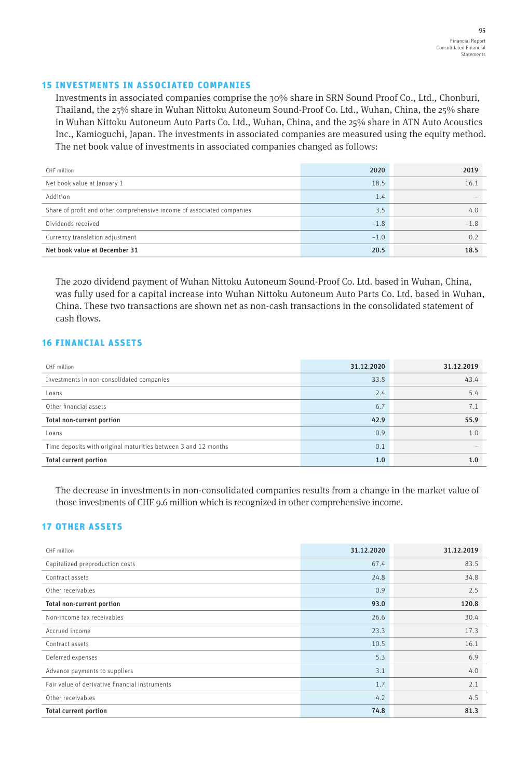#### 15 INVESTMENTS IN ASSOCIATED COMPANIES

Investments in associated companies comprise the 30% share in SRN Sound Proof Co., Ltd., Chonburi, Thailand, the 25% share in Wuhan Nittoku Autoneum Sound-Proof Co. Ltd., Wuhan, China, the 25% share in Wuhan Nittoku Autoneum Auto Parts Co. Ltd., Wuhan, China, and the 25% share in ATN Auto Acoustics Inc., Kamioguchi, Japan. The investments in associated companies are measured using the equity method. The net book value of investments in associated companies changed as follows:

| CHF million                                                            | 2020   | 2019   |
|------------------------------------------------------------------------|--------|--------|
| Net book value at January 1                                            | 18.5   | 16.1   |
| Addition                                                               | 1.4    |        |
| Share of profit and other comprehensive income of associated companies | 3.5    | 4.0    |
| Dividends received                                                     | $-1.8$ | $-1.8$ |
| Currency translation adjustment                                        | $-1.0$ | 0.2    |
| Net book value at December 31                                          | 20.5   | 18.5   |

The 2020 dividend payment of Wuhan Nittoku Autoneum Sound-Proof Co. Ltd. based in Wuhan, China, was fully used for a capital increase into Wuhan Nittoku Autoneum Auto Parts Co. Ltd. based in Wuhan, China. These two transactions are shown net as non-cash transactions in the consolidated statement of cash flows.

# 16 FINANCIAL ASSETS

| CHF million                                                    | 31.12.2020 | 31.12.2019 |
|----------------------------------------------------------------|------------|------------|
| Investments in non-consolidated companies                      | 33.8       | 43.4       |
| Loans                                                          | 2.4        | 5.4        |
| Other financial assets                                         | 6.7        | 7.1        |
| Total non-current portion                                      | 42.9       | 55.9       |
| Loans                                                          | 0.9        | 1.0        |
| Time deposits with original maturities between 3 and 12 months | 0.1        |            |
| <b>Total current portion</b>                                   | 1.0        | 1.0        |

The decrease in investments in non-consolidated companies results from a change in the market value of those investments of CHF 9.6 million which is recognized in other comprehensive income.

# 17 OTHER ASSETS

| CHF million                                    | 31.12.2020 | 31.12.2019 |
|------------------------------------------------|------------|------------|
| Capitalized preproduction costs                | 67.4       | 83.5       |
| Contract assets                                | 24.8       | 34.8       |
| Other receivables                              | 0.9        | 2.5        |
| Total non-current portion                      | 93.0       | 120.8      |
| Non-income tax receivables                     | 26.6       | 30.4       |
| Accrued income                                 | 23.3       | 17.3       |
| Contract assets                                | 10.5       | 16.1       |
| Deferred expenses                              | 5.3        | 6.9        |
| Advance payments to suppliers                  | 3.1        | 4.0        |
| Fair value of derivative financial instruments | 1.7        | 2.1        |
| Other receivables                              | 4.2        | 4.5        |
| <b>Total current portion</b>                   | 74.8       | 81.3       |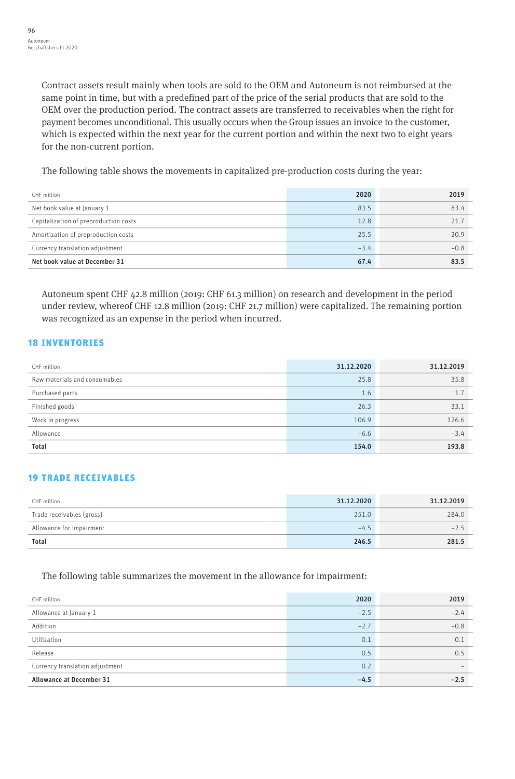Contract assets result mainly when tools are sold to the OEM and Autoneum is not reimbursed at the same point in time, but with a predefined part of the price of the serial products that are sold to the OEM over the production period. The contract assets are transferred to receivables when the right for payment becomes unconditional. This usually occurs when the Group issues an invoice to the customer, which is expected within the next year for the current portion and within the next two to eight years for the non-current portion.

The following table shows the movements in capitalized pre-production costs during the year:

| CHF million                           | 2020    | 2019    |
|---------------------------------------|---------|---------|
| Net book value at January 1           | 83.5    | 83.4    |
| Capitalization of preproduction costs | 12.8    | 21.7    |
| Amortization of preproduction costs   | $-25.5$ | $-20.9$ |
| Currency translation adjustment       | $-3.4$  | $-0.8$  |
| Net book value at December 31         | 67.4    | 83.5    |

Autoneum spent CHF 42.8 million (2019: CHF 61.3 million) on research and development in the period under review, whereof CHF 12.8 million (2019: CHF 21.7 million) were capitalized. The remaining portion was recognized as an expense in the period when incurred.

# 18 INVENTORIES

| CHF million                   | 31.12.2020 | 31.12.2019 |
|-------------------------------|------------|------------|
| Raw materials and consumables | 25.8       | 35.8       |
| Purchased parts               | 1.6        | 1.7        |
| Finished goods                | 26.3       | 33.1       |
| Work in progress              | 106.9      | 126.6      |
| Allowance                     | $-6.6$     | $-3.4$     |
| <b>Total</b>                  | 154.0      | 193.8      |

# 19 TRADE RECEIVABLES

| CHF million               | 31.12.2020 | 31.12.2019 |
|---------------------------|------------|------------|
| Trade receivables (gross) | 251.0      | 284.0      |
| Allowance for impairment  | $-4.5$     | $-2.5$     |
| <b>Total</b>              | 246.5      | 281.5      |

The following table summarizes the movement in the allowance for impairment:

| CHF million                     | 2020   | 2019   |
|---------------------------------|--------|--------|
| Allowance at January 1          | $-2.5$ | $-2.4$ |
| Addition                        | $-2.7$ | $-0.8$ |
| Utilization                     | 0.1    | 0.1    |
| Release                         | 0.5    | 0.5    |
| Currency translation adjustment | 0.2    |        |
| <b>Allowance at December 31</b> | $-4.5$ | $-2.5$ |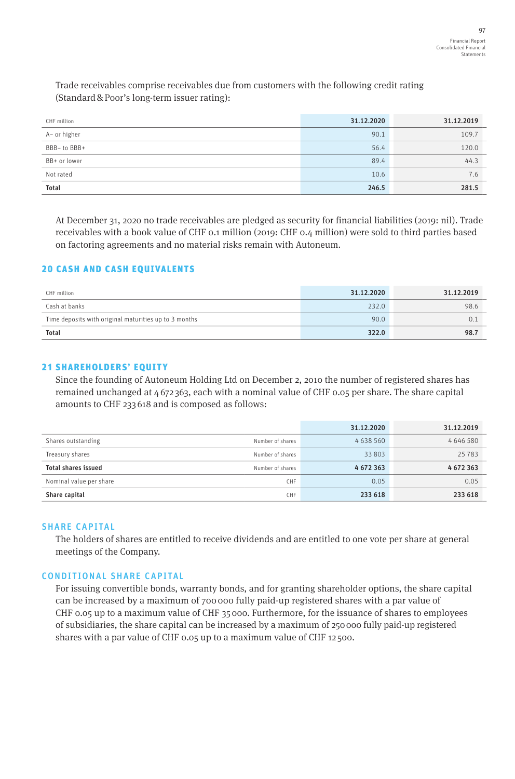Trade receivables comprise receivables due from customers with the following credit rating (Standard&Poor's long-term issuer rating):

| CHF million  | 31.12.2020 | 31.12.2019 |
|--------------|------------|------------|
| A- or higher | 90.1       | 109.7      |
| BBB-to BBB+  | 56.4       | 120.0      |
| BB+ or lower | 89.4       | 44.3       |
| Not rated    | 10.6       | 7.6        |
| Total        | 246.5      | 281.5      |

At December 31, 2020 no trade receivables are pledged as security for financial liabilities (2019: nil). Trade receivables with a book value of CHF 0.1 million (2019: CHF 0.4 million) were sold to third parties based on factoring agreements and no material risks remain with Autoneum.

## 20 CASH AND CASH EQUIVALENTS

| CHF million                                           | 31.12.2020 | 31.12.2019 |
|-------------------------------------------------------|------------|------------|
| Cash at banks                                         | 232.0      | 98.6       |
| Time deposits with original maturities up to 3 months | 90.0       | 0.1        |
| <b>Total</b>                                          | 322.0      | 98.7       |

## 21 SHAREHOLDERS' EQUITY

Since the founding of Autoneum Holding Ltd on December 2, 2010 the number of registered shares has remained unchanged at 4 672 363, each with a nominal value of CHF 0.05 per share. The share capital amounts to CHF 233 618 and is composed as follows:

|                            |                  | 31.12.2020 | 31.12.2019    |
|----------------------------|------------------|------------|---------------|
| Shares outstanding         | Number of shares | 4638560    | 4 6 4 6 5 8 0 |
| Treasury shares            | Number of shares | 33 803     | 25 7 8 3      |
| <b>Total shares issued</b> | Number of shares | 4672363    | 4672363       |
| Nominal value per share    | <b>CHF</b>       | 0.05       | 0.05          |
| Share capital              | <b>CHF</b>       | 233 618    | 233 618       |

## SHARE CAPITAL

The holders of shares are entitled to receive dividends and are entitled to one vote per share at general meetings of the Company.

# CONDITIONAL SHARE CAPITAL

For issuing convertible bonds, warranty bonds, and for granting shareholder options, the share capital can be increased by a maximum of 700 000 fully paid-up registered shares with a par value of CHF 0.05 up to a maximum value of CHF 35 000. Furthermore, for the issuance of shares to employees of subsidiaries, the share capital can be increased by a maximum of 250000 fully paid-up registered shares with a par value of CHF 0.05 up to a maximum value of CHF 12 500.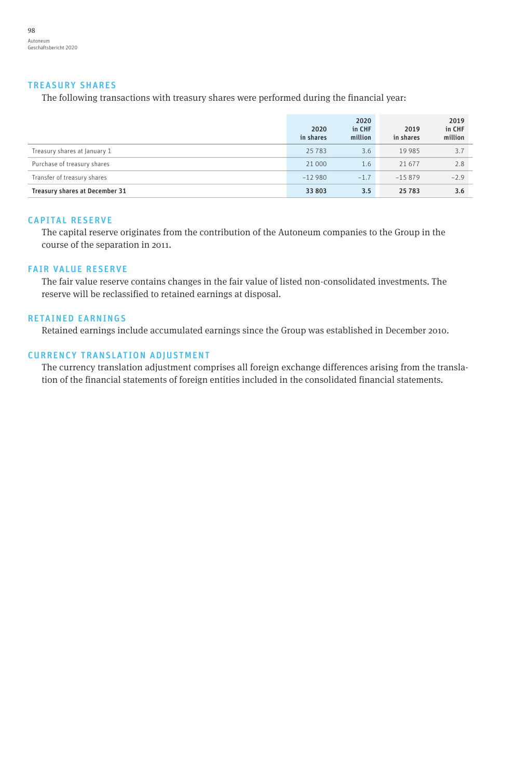#### TREASURY SHARES

The following transactions with treasury shares were performed during the financial year:

|                                | 2020<br>in shares | 2020<br>in CHF<br>million | 2019<br>in shares | 2019<br>in CHF<br>million |
|--------------------------------|-------------------|---------------------------|-------------------|---------------------------|
| Treasury shares at January 1   | 25783             | 3.6                       | 19 9 8 5          | 3.7                       |
| Purchase of treasury shares    | 21 000            | 1.6                       | 21 677            | 2.8                       |
| Transfer of treasury shares    | $-12980$          | $-1.7$                    | $-15879$          | $-2.9$                    |
| Treasury shares at December 31 | 33 803            | 3.5                       | 25 783            | 3.6                       |

#### CAPITAL RESERVE

The capital reserve originates from the contribution of the Autoneum companies to the Group in the course of the separation in 2011.

## FAIR VALUE RESERVE

The fair value reserve contains changes in the fair value of listed non-consolidated investments. The reserve will be reclassified to retained earnings at disposal.

#### RETAINED EARNINGS

Retained earnings include accumulated earnings since the Group was established in December 2010.

#### CURRENCY TRANSLATION ADJUSTMENT

The currency translation adjustment comprises all foreign exchange differences arising from the translation of the financial statements of foreign entities included in the consolidated financial statements.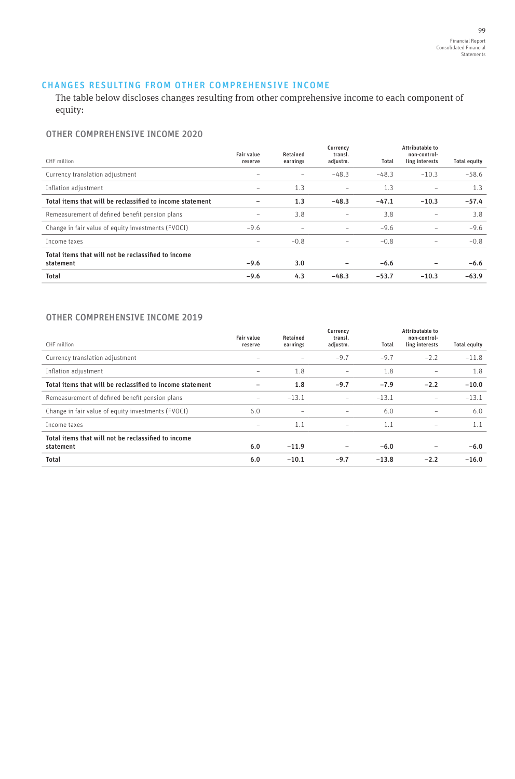## CHANGES RESULTING FROM OTHER COMPREHENSIVE INCOME

The table below discloses changes resulting from other comprehensive income to each component of equity:

## OTHER COMPREHENSIVE INCOME 2020

| CHF million                                                      | <b>Fair value</b><br>reserve | Retained<br>earnings | Currency<br>transl.<br>adjustm. | Total   | Attributable to<br>non-control-<br>ling interests | <b>Total equity</b> |
|------------------------------------------------------------------|------------------------------|----------------------|---------------------------------|---------|---------------------------------------------------|---------------------|
| Currency translation adjustment                                  |                              |                      | $-48.3$                         | $-48.3$ | $-10.3$                                           | $-58.6$             |
| Inflation adjustment                                             | $\overline{\phantom{0}}$     | 1.3                  | -                               | 1.3     | $\qquad \qquad$                                   | 1.3                 |
| Total items that will be reclassified to income statement        |                              | 1.3                  | $-48.3$                         | $-47.1$ | $-10.3$                                           | $-57.4$             |
| Remeasurement of defined benefit pension plans                   | -                            | 3.8                  | -                               | 3.8     | -                                                 | 3.8                 |
| Change in fair value of equity investments (FVOCI)               | $-9.6$                       |                      | $\overline{\phantom{a}}$        | $-9.6$  | -                                                 | $-9.6$              |
| Income taxes                                                     | -                            | $-0.8$               | -                               | $-0.8$  | $\overline{\phantom{0}}$                          | $-0.8$              |
| Total items that will not be reclassified to income<br>statement | $-9.6$                       | 3.0                  |                                 | $-6.6$  |                                                   | $-6.6$              |
| <b>Total</b>                                                     | $-9.6$                       | 4.3                  | $-48.3$                         | $-53.7$ | $-10.3$                                           | $-63.9$             |

## OTHER COMPREHENSIVE INCOME 2019

| CHF million                                                      | <b>Fair value</b><br>reserve | Retained<br>earnings     | Currency<br>transl.<br>adjustm. | Total   | Attributable to<br>non-control-<br>ling interests | <b>Total equity</b> |
|------------------------------------------------------------------|------------------------------|--------------------------|---------------------------------|---------|---------------------------------------------------|---------------------|
| Currency translation adjustment                                  |                              |                          | $-9.7$                          | $-9.7$  | $-2.2$                                            | $-11.8$             |
| Inflation adjustment                                             | $\overline{\phantom{0}}$     | 1.8                      | $\overline{\phantom{0}}$        | 1.8     | ۰                                                 | 1.8                 |
| Total items that will be reclassified to income statement        |                              | 1.8                      | $-9.7$                          | $-7.9$  | $-2.2$                                            | $-10.0$             |
| Remeasurement of defined benefit pension plans                   | -                            | $-13.1$                  | -                               | $-13.1$ | $\overline{\phantom{0}}$                          | $-13.1$             |
| Change in fair value of equity investments (FVOCI)               | 6.0                          | $\overline{\phantom{0}}$ | -                               | 6.0     | ۰                                                 | 6.0                 |
| Income taxes                                                     | -                            | 1.1                      | $\qquad \qquad$                 | 1.1     | ۰                                                 | 1.1                 |
| Total items that will not be reclassified to income<br>statement | 6.0                          | $-11.9$                  |                                 | $-6.0$  |                                                   | $-6.0$              |
| <b>Total</b>                                                     | 6.0                          | $-10.1$                  | $-9.7$                          | $-13.8$ | $-2.2$                                            | $-16.0$             |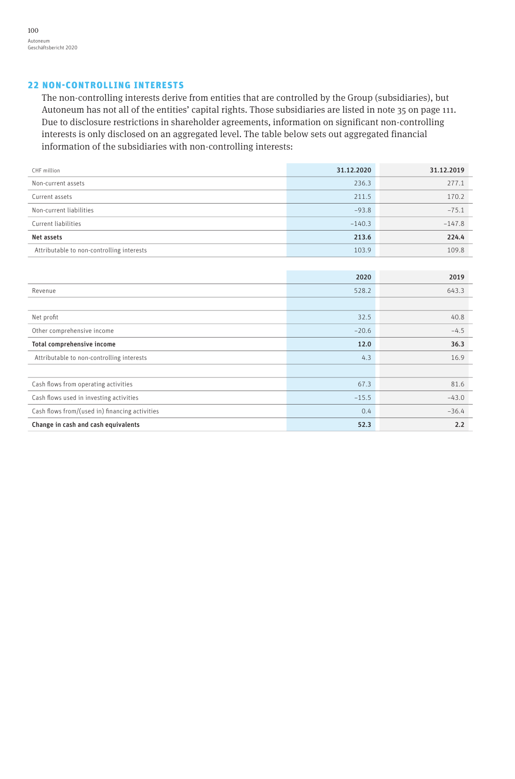## 22 NON-CONTROLLING INTERESTS

The non-controlling interests derive from entities that are controlled by the Group (subsidiaries), but Autoneum has not all of the entities' capital rights. Those subsidiaries are listed in note 35 on page 111. Due to disclosure restrictions in shareholder agreements, information on significant non-controlling interests is only disclosed on an aggregated level. The table below sets out aggregated financial information of the subsidiaries with non-controlling interests:

| CHF million                                    | 31.12.2020 | 31.12.2019 |
|------------------------------------------------|------------|------------|
| Non-current assets                             | 236.3      | 277.1      |
| Current assets                                 | 211.5      | 170.2      |
| Non-current liabilities                        | $-93.8$    | $-75.1$    |
| Current liabilities                            | $-140.3$   | $-147.8$   |
| Net assets                                     | 213.6      | 224.4      |
| Attributable to non-controlling interests      | 103.9      | 109.8      |
|                                                |            |            |
|                                                | 2020       | 2019       |
| Revenue                                        | 528.2      | 643.3      |
|                                                |            |            |
| Net profit                                     | 32.5       | 40.8       |
| Other comprehensive income                     | $-20.6$    | $-4.5$     |
| Total comprehensive income                     | 12.0       | 36.3       |
| Attributable to non-controlling interests      | 4.3        | 16.9       |
|                                                |            |            |
| Cash flows from operating activities           | 67.3       | 81.6       |
| Cash flows used in investing activities        | $-15.5$    | $-43.0$    |
| Cash flows from/(used in) financing activities | 0.4        | $-36.4$    |
| Change in cash and cash equivalents            | 52.3       | 2.2        |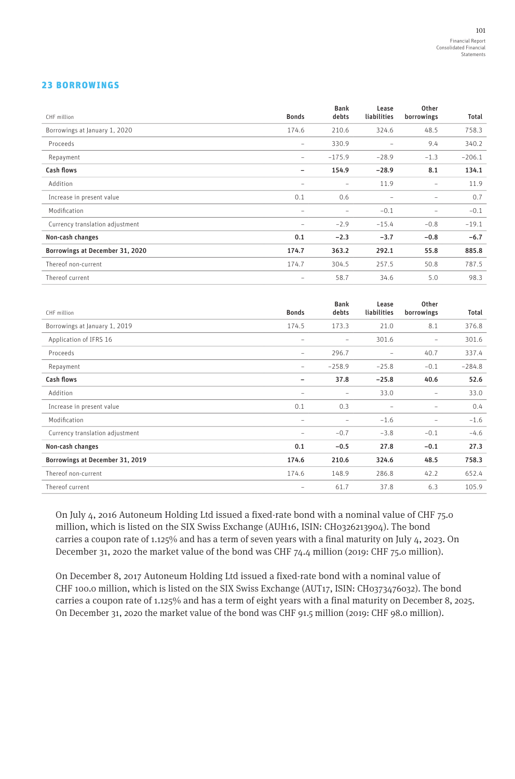## 23 BORROWINGS

| CHF million                     | <b>Bonds</b>             | <b>Bank</b><br>debts | Lease<br>liabilities | Other<br>borrowings      | Total    |
|---------------------------------|--------------------------|----------------------|----------------------|--------------------------|----------|
| Borrowings at January 1, 2020   | 174.6                    | 210.6                | 324.6                | 48.5                     | 758.3    |
| Proceeds                        | $\overline{\phantom{0}}$ | 330.9                | $\qquad \qquad -$    | 9.4                      | 340.2    |
| Repayment                       | -                        | $-175.9$             | $-28.9$              | $-1.3$                   | $-206.1$ |
| <b>Cash flows</b>               |                          | 154.9                | $-28.9$              | 8.1                      | 134.1    |
| Addition                        |                          | -                    | 11.9                 | $\qquad \qquad -$        | 11.9     |
| Increase in present value       | 0.1                      | 0.6                  | -                    | $\overline{\phantom{a}}$ | 0.7      |
| Modification                    | $\overline{\phantom{0}}$ |                      | $-0.1$               | $\qquad \qquad -$        | $-0.1$   |
| Currency translation adjustment | $\overline{\phantom{0}}$ | $-2.9$               | $-15.4$              | $-0.8$                   | $-19.1$  |
| Non-cash changes                | 0.1                      | $-2.3$               | $-3.7$               | $-0.8$                   | $-6.7$   |
| Borrowings at December 31, 2020 | 174.7                    | 363.2                | 292.1                | 55.8                     | 885.8    |
| Thereof non-current             | 174.7                    | 304.5                | 257.5                | 50.8                     | 787.5    |
| Thereof current                 | -                        | 58.7                 | 34.6                 | 5.0                      | 98.3     |

| CHF million                     | <b>Bonds</b>             | <b>Bank</b><br>debts     | Lease<br>liabilities     | Other<br>borrowings | Total    |
|---------------------------------|--------------------------|--------------------------|--------------------------|---------------------|----------|
| Borrowings at January 1, 2019   | 174.5                    | 173.3                    | 21.0                     | 8.1                 | 376.8    |
| Application of IFRS 16          | -                        | -                        | 301.6                    | $\qquad \qquad -$   | 301.6    |
| Proceeds                        | $\overline{\phantom{0}}$ | 296.7                    | $\overline{\phantom{a}}$ | 40.7                | 337.4    |
| Repayment                       | -                        | $-258.9$                 | $-25.8$                  | $-0.1$              | $-284.8$ |
| Cash flows                      |                          | 37.8                     | $-25.8$                  | 40.6                | 52.6     |
| Addition                        | $\overline{\phantom{0}}$ | $\overline{\phantom{0}}$ | 33.0                     | -                   | 33.0     |
| Increase in present value       | 0.1                      | 0.3                      |                          |                     | 0.4      |
| Modification                    | $\overline{\phantom{0}}$ | $\overline{\phantom{0}}$ | $-1.6$                   | $\qquad \qquad -$   | $-1.6$   |
| Currency translation adjustment |                          | $-0.7$                   | $-3.8$                   | $-0.1$              | $-4.6$   |
| Non-cash changes                | 0.1                      | $-0.5$                   | 27.8                     | $-0.1$              | 27.3     |
| Borrowings at December 31, 2019 | 174.6                    | 210.6                    | 324.6                    | 48.5                | 758.3    |
| Thereof non-current             | 174.6                    | 148.9                    | 286.8                    | 42.2                | 652.4    |
| Thereof current                 |                          | 61.7                     | 37.8                     | 6.3                 | 105.9    |

On July 4, 2016 Autoneum Holding Ltd issued a fixed-rate bond with a nominal value of CHF 75.0 million, which is listed on the SIX Swiss Exchange (AUH16, ISIN: CH0326213904). The bond carries a coupon rate of 1.125% and has a term of seven years with a final maturity on July 4, 2023. On December 31, 2020 the market value of the bond was CHF 74.4 million (2019: CHF 75.0 million).

On December 8, 2017 Autoneum Holding Ltd issued a fixed-rate bond with a nominal value of CHF 100.0 million, which is listed on the SIX Swiss Exchange (AUT17, ISIN: CH0373476032). The bond carries a coupon rate of 1.125% and has a term of eight years with a final maturity on December 8, 2025. On December 31, 2020 the market value of the bond was CHF 91.5 million (2019: CHF 98.0 million).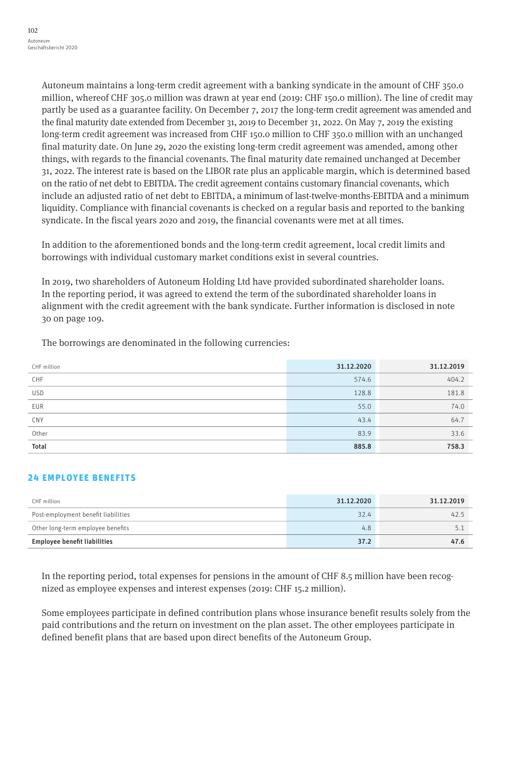Autoneum maintains a long-term credit agreement with a banking syndicate in the amount of CHF 350.0 million, whereof CHF 305.0 million was drawn at year end (2019: CHF 150.0 million). The line of credit may partly be used as a guarantee facility. On December 7, 2017 the long-term credit agreement was amended and the final maturity date extended from December 31, 2019 to December 31, 2022. On May 7, 2019 the existing long-term credit agreement was increased from CHF 150.0 million to CHF 350.0 million with an unchanged final maturity date. On June 29, 2020 the existing long-term credit agreement was amended, among other things, with regards to the financial covenants. The final maturity date remained unchanged at December 31, 2022. The interest rate is based on the LIBOR rate plus an applicable margin, which is determined based on the ratio of net debt to EBITDA. The credit agreement contains customary financial covenants, which include an adjusted ratio of net debt to EBITDA, a minimum of last-twelve-months-EBITDA and a minimum liquidity. Compliance with financial covenants is checked on a regular basis and reported to the banking syndicate. In the fiscal years 2020 and 2019, the financial covenants were met at all times.

In addition to the aforementioned bonds and the long-term credit agreement, local credit limits and borrowings with individual customary market conditions exist in several countries.

In 2019, two shareholders of Autoneum Holding Ltd have provided subordinated shareholder loans. In the reporting period, it was agreed to extend the term of the subordinated shareholder loans in alignment with the credit agreement with the bank syndicate. Further information is disclosed in note 30 on page 109.

The borrowings are denominated in the following currencies:

| CHF million | 31.12.2020 | 31.12.2019 |
|-------------|------------|------------|
| CHF         | 574.6      | 404.2      |
| <b>USD</b>  | 128.8      | 181.8      |
| EUR         | 55.0       | 74.0       |
| CNY<br>--   | 43.4       | 64.7       |
| Other       | 83.9       | 33.6       |
| Total       | 885.8      | 758.3      |

## 24 EMPLOYEE BENEFITS

| CHF million                         | 31.12.2020 | 31.12.2019 |
|-------------------------------------|------------|------------|
| Post-employment benefit liabilities | 32.4       | 42.5       |
| Other long-term employee benefits   | 4.8        |            |
| Employee benefit liabilities        | 37.2       | 47.6       |

In the reporting period, total expenses for pensions in the amount of CHF 8.5 million have been recognized as employee expenses and interest expenses (2019: CHF 15.2 million).

Some employees participate in defined contribution plans whose insurance benefit results solely from the paid contributions and the return on investment on the plan asset. The other employees participate in defined benefit plans that are based upon direct benefits of the Autoneum Group.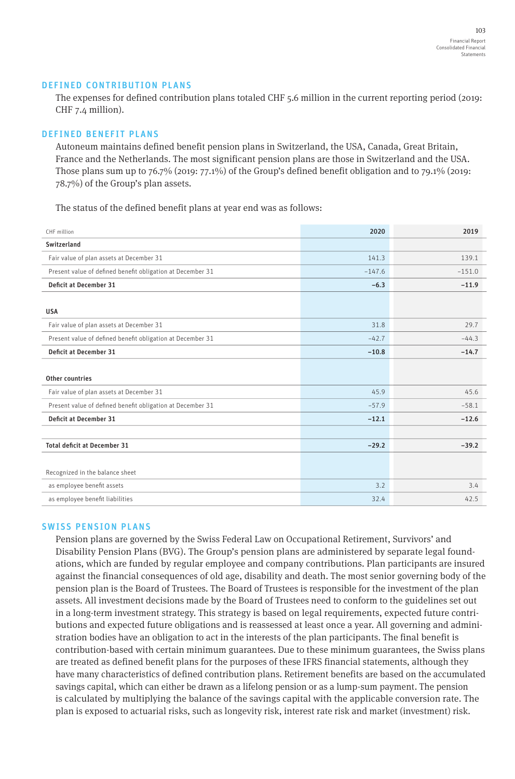## DEFINED CONTRIBUTION PLANS

The expenses for defined contribution plans totaled CHF 5.6 million in the current reporting period (2019: CHF 7.4 million).

## DEFINED BENEFIT PLANS

Autoneum maintains defined benefit pension plans in Switzerland, the USA, Canada, Great Britain, France and the Netherlands. The most significant pension plans are those in Switzerland and the USA. Those plans sum up to 76.7% (2019: 77.1%) of the Group's defined benefit obligation and to 79.1% (2019: 78.7%) of the Group's plan assets.

The status of the defined benefit plans at year end was as follows:

| CHF million                                                | 2020     | 2019     |
|------------------------------------------------------------|----------|----------|
| Switzerland                                                |          |          |
| Fair value of plan assets at December 31                   | 141.3    | 139.1    |
| Present value of defined benefit obligation at December 31 | $-147.6$ | $-151.0$ |
| Deficit at December 31                                     | $-6.3$   | $-11.9$  |
|                                                            |          |          |
| <b>USA</b>                                                 |          |          |
| Fair value of plan assets at December 31                   | 31.8     | 29.7     |
| Present value of defined benefit obligation at December 31 | $-42.7$  | $-44.3$  |
| Deficit at December 31                                     | $-10.8$  | $-14.7$  |
|                                                            |          |          |
| Other countries                                            |          |          |
| Fair value of plan assets at December 31                   | 45.9     | 45.6     |
| Present value of defined benefit obligation at December 31 | $-57.9$  | $-58.1$  |
| Deficit at December 31                                     | $-12.1$  | $-12.6$  |
|                                                            |          |          |
| <b>Total deficit at December 31</b>                        | $-29.2$  | $-39.2$  |
|                                                            |          |          |
| Recognized in the balance sheet                            |          |          |
| as employee benefit assets                                 | 3.2      | 3.4      |
| as employee benefit liabilities                            | 32.4     | 42.5     |

#### SWISS PENSION PLANS

Pension plans are governed by the Swiss Federal Law on Occupational Retirement, Survivors' and Disability Pension Plans (BVG). The Group's pension plans are administered by separate legal foundations, which are funded by regular employee and company contributions. Plan participants are insured against the financial consequences of old age, disability and death. The most senior governing body of the pension plan is the Board of Trustees. The Board of Trustees is responsible for the investment of the plan assets. All investment decisions made by the Board of Trustees need to conform to the guidelines set out in a long-term investment strategy. This strategy is based on legal requirements, expected future contributions and expected future obligations and is reassessed at least once a year. All governing and administration bodies have an obligation to act in the interests of the plan participants. The final benefit is contribution-based with certain minimum guarantees. Due to these minimum guarantees, the Swiss plans are treated as defined benefit plans for the purposes of these IFRS financial statements, although they have many characteristics of defined contribution plans. Retirement benefits are based on the accumulated savings capital, which can either be drawn as a lifelong pension or as a lump-sum payment. The pension is calculated by multiplying the balance of the savings capital with the applicable conversion rate. The plan is exposed to actuarial risks, such as longevity risk, interest rate risk and market (investment) risk.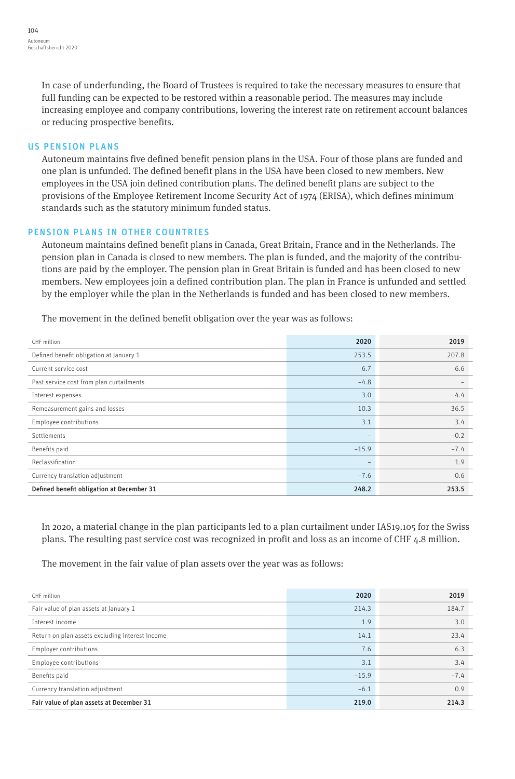In case of underfunding, the Board of Trustees is required to take the necessary measures to ensure that full funding can be expected to be restored within a reasonable period. The measures may include increasing employee and company contributions, lowering the interest rate on retirement account balances or reducing prospective benefits.

## US PENSION PLANS

Autoneum maintains five defined benefit pension plans in the USA. Four of those plans are funded and one plan is unfunded. The defined benefit plans in the USA have been closed to new members. New employees in the USA join defined contribution plans. The defined benefit plans are subject to the provisions of the Employee Retirement Income Security Act of 1974 (ERISA), which defines minimum standards such as the statutory minimum funded status.

## PENSION PLANS IN OTHER COUNTRIES

Autoneum maintains defined benefit plans in Canada, Great Britain, France and in the Netherlands. The pension plan in Canada is closed to new members. The plan is funded, and the majority of the contributions are paid by the employer. The pension plan in Great Britain is funded and has been closed to new members. New employees join a defined contribution plan. The plan in France is unfunded and settled by the employer while the plan in the Netherlands is funded and has been closed to new members.

The movement in the defined benefit obligation over the year was as follows:

| CHF million                               | 2020              | 2019   |
|-------------------------------------------|-------------------|--------|
| Defined benefit obligation at January 1   | 253.5             | 207.8  |
| Current service cost                      | 6.7               | 6.6    |
| Past service cost from plan curtailments  | $-4.8$            |        |
| Interest expenses                         | 3.0               | 4.4    |
| Remeasurement gains and losses            | 10.3              | 36.5   |
| Employee contributions                    | 3.1               | 3.4    |
| Settlements                               | $\qquad \qquad -$ | $-0.2$ |
| Benefits paid                             | $-15.9$           | $-7.4$ |
| Reclassification                          | $\qquad \qquad -$ | 1.9    |
| Currency translation adjustment           | $-7.6$            | 0.6    |
| Defined benefit obligation at December 31 | 248.2             | 253.5  |

In 2020, a material change in the plan participants led to a plan curtailment under IAS19.105 for the Swiss plans. The resulting past service cost was recognized in profit and loss as an income of CHF 4.8 million.

The movement in the fair value of plan assets over the year was as follows:

| CHF million                                     | 2020    | 2019   |
|-------------------------------------------------|---------|--------|
| Fair value of plan assets at January 1          | 214.3   | 184.7  |
| Interest income                                 | 1.9     | 3.0    |
| Return on plan assets excluding interest income | 14.1    | 23.4   |
| Employer contributions                          | 7.6     | 6.3    |
| Employee contributions                          | 3.1     | 3.4    |
| Benefits paid                                   | $-15.9$ | $-7.4$ |
| Currency translation adjustment                 | $-6.1$  | 0.9    |
| Fair value of plan assets at December 31        | 219.0   | 214.3  |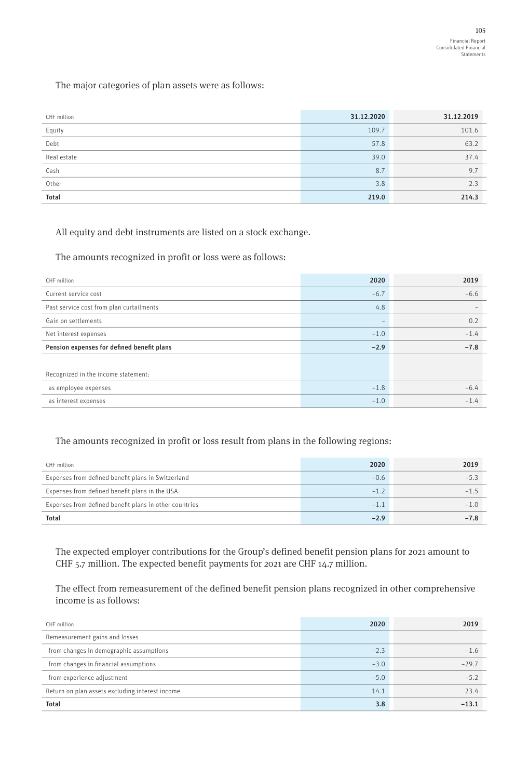The major categories of plan assets were as follows:

| CHF million<br>___ | 31.12.2020 | 31.12.2019 |
|--------------------|------------|------------|
| Equity             | 109.7      | 101.6      |
| Debt               | 57.8       | 63.2       |
| Real estate        | 39.0       | 37.4       |
| Cash               | 8.7        | 9.7        |
| Other              | 3.8        | 2.3        |
| Total              | 219.0      | 214.3      |

All equity and debt instruments are listed on a stock exchange.

The amounts recognized in profit or loss were as follows:

| CHF million                                | 2020                     | 2019   |
|--------------------------------------------|--------------------------|--------|
| Current service cost                       | $-6.7$                   | $-6.6$ |
| Past service cost from plan curtailments   | 4.8                      |        |
| Gain on settlements                        | $\overline{\phantom{a}}$ | 0.2    |
| Net interest expenses                      | $-1.0$                   | $-1.4$ |
| Pension expenses for defined benefit plans | $-2.9$                   | $-7.8$ |
|                                            |                          |        |
| Recognized in the income statement:        |                          |        |
| as employee expenses                       | $-1.8$                   | $-6.4$ |
| as interest expenses                       | $-1.0$                   | $-1.4$ |

## The amounts recognized in profit or loss result from plans in the following regions:

| CHF million                                            | 2020   | 2019   |
|--------------------------------------------------------|--------|--------|
| Expenses from defined benefit plans in Switzerland     | $-0.6$ | $-5.3$ |
| Expenses from defined benefit plans in the USA         | $-1.2$ | $-1.5$ |
| Expenses from defined benefit plans in other countries | $-1.1$ | $-1.0$ |
| <b>Total</b>                                           | $-2.9$ | $-7.8$ |

The expected employer contributions for the Group's defined benefit pension plans for 2021 amount to CHF 5.7 million. The expected benefit payments for 2021 are CHF 14.7 million.

The effect from remeasurement of the defined benefit pension plans recognized in other comprehensive income is as follows:

| CHF million                                     | 2020   | 2019    |
|-------------------------------------------------|--------|---------|
| Remeasurement gains and losses                  |        |         |
| from changes in demographic assumptions         | $-2.3$ | $-1.6$  |
| from changes in financial assumptions           | $-3.0$ | $-29.7$ |
| from experience adjustment                      | $-5.0$ | $-5.2$  |
| Return on plan assets excluding interest income | 14.1   | 23.4    |
| <b>Total</b>                                    | 3.8    | $-13.1$ |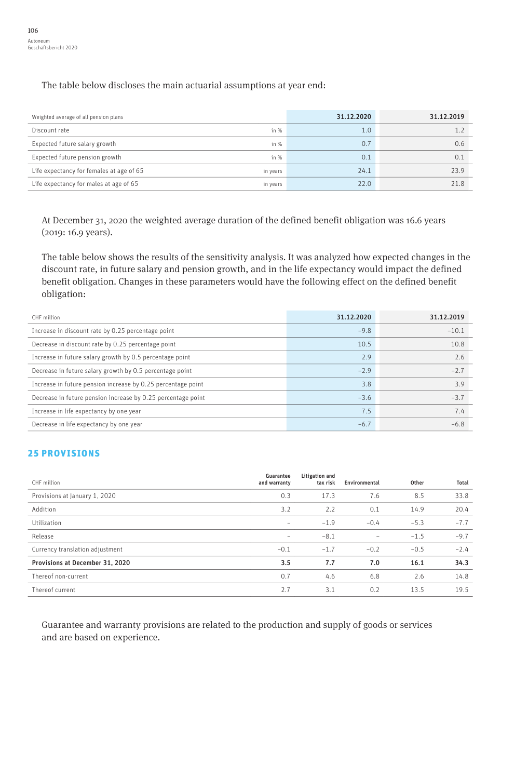The table below discloses the main actuarial assumptions at year end:

| Weighted average of all pension plans                | 31.12.2020       | 31.12.2019 |
|------------------------------------------------------|------------------|------------|
| Discount rate<br>in $%$                              | 1.0              |            |
| Expected future salary growth<br>in $%$              | $0.\overline{7}$ | 0.6        |
| Expected future pension growth<br>in $%$             | 0.1              | 0.1        |
| Life expectancy for females at age of 65<br>in years | 24.1             | 23.9       |
| Life expectancy for males at age of 65<br>in years   | 22.0             | 21.8       |

At December 31, 2020 the weighted average duration of the defined benefit obligation was 16.6 years (2019: 16.9 years).

The table below shows the results of the sensitivity analysis. It was analyzed how expected changes in the discount rate, in future salary and pension growth, and in the life expectancy would impact the defined benefit obligation. Changes in these parameters would have the following effect on the defined benefit obligation:

| CHF million                                                  | 31.12.2020 | 31.12.2019 |
|--------------------------------------------------------------|------------|------------|
| Increase in discount rate by 0.25 percentage point           | $-9.8$     | $-10.1$    |
| Decrease in discount rate by 0.25 percentage point           | 10.5       | 10.8       |
| Increase in future salary growth by 0.5 percentage point     | 2.9        | 2.6        |
| Decrease in future salary growth by 0.5 percentage point     | $-2.9$     | $-2.7$     |
| Increase in future pension increase by 0.25 percentage point | 3.8        | 3.9        |
| Decrease in future pension increase by 0.25 percentage point | $-3.6$     | $-3.7$     |
| Increase in life expectancy by one year                      | 7.5        | 7.4        |
| Decrease in life expectancy by one year                      | $-6.7$     | $-6.8$     |

## 25 PROVISIONS

| CHF million                     | Guarantee<br>and warranty | Litigation and<br>tax risk | Environmental            | Other  | Total  |
|---------------------------------|---------------------------|----------------------------|--------------------------|--------|--------|
| Provisions at January 1, 2020   | 0.3                       | 17.3                       | 7.6                      | 8.5    | 33.8   |
| Addition                        | 3.2                       | 2.2                        | 0.1                      | 14.9   | 20.4   |
| Utilization                     | -                         | $-1.9$                     | $-0.4$                   | $-5.3$ | $-7.7$ |
| Release                         |                           | $-8.1$                     | $\overline{\phantom{a}}$ | $-1.5$ | $-9.7$ |
| Currency translation adjustment | $-0.1$                    | $-1.7$                     | $-0.2$                   | $-0.5$ | $-2.4$ |
| Provisions at December 31, 2020 | 3.5                       | 7.7                        | 7.0                      | 16.1   | 34.3   |
| Thereof non-current             | 0.7                       | 4.6                        | 6.8                      | 2.6    | 14.8   |
| Thereof current                 | 2.7                       | 3.1                        | 0.2                      | 13.5   | 19.5   |

Guarantee and warranty provisions are related to the production and supply of goods or services and are based on experience.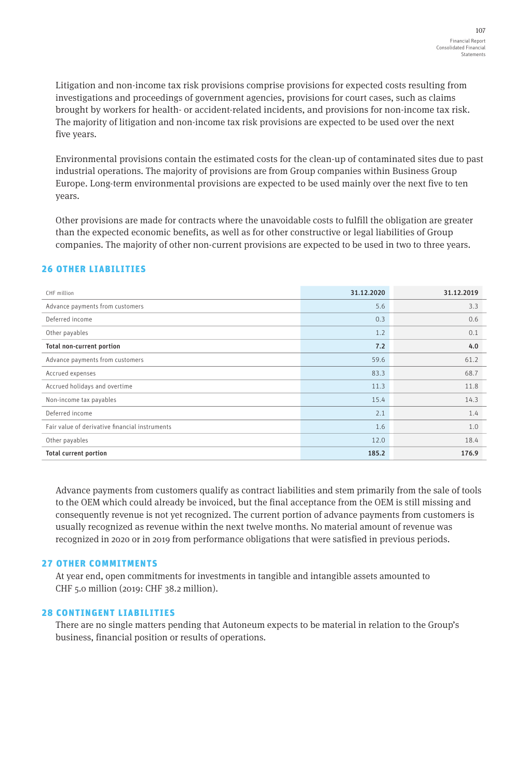Litigation and non-income tax risk provisions comprise provisions for expected costs resulting from investigations and proceedings of government agencies, provisions for court cases, such as claims brought by workers for health- or accident-related incidents, and provisions for non-income tax risk. The majority of litigation and non-income tax risk provisions are expected to be used over the next five years.

Environmental provisions contain the estimated costs for the clean-up of contaminated sites due to past industrial operations. The majority of provisions are from Group companies within Business Group Europe. Long-term environmental provisions are expected to be used mainly over the next five to ten years.

Other provisions are made for contracts where the unavoidable costs to fulfill the obligation are greater than the expected economic benefits, as well as for other constructive or legal liabilities of Group companies. The majority of other non-current provisions are expected to be used in two to three years.

## 26 OTHER LIABILITIES

| CHF million                                    | 31.12.2020 | 31.12.2019 |
|------------------------------------------------|------------|------------|
| Advance payments from customers                | 5.6        | 3.3        |
| Deferred income                                | 0.3        | 0.6        |
| Other payables                                 | 1.2        | 0.1        |
| Total non-current portion                      | 7.2        | 4.0        |
| Advance payments from customers                | 59.6       | 61.2       |
| Accrued expenses                               | 83.3       | 68.7       |
| Accrued holidays and overtime                  | 11.3       | 11.8       |
| Non-income tax payables                        | 15.4       | 14.3       |
| Deferred income                                | 2.1        | 1.4        |
| Fair value of derivative financial instruments | 1.6        | 1.0        |
| Other payables                                 | 12.0       | 18.4       |
| <b>Total current portion</b>                   | 185.2      | 176.9      |

Advance payments from customers qualify as contract liabilities and stem primarily from the sale of tools to the OEM which could already be invoiced, but the final acceptance from the OEM is still missing and consequently revenue is not yet recognized. The current portion of advance payments from customers is usually recognized as revenue within the next twelve months. No material amount of revenue was recognized in 2020 or in 2019 from performance obligations that were satisfied in previous periods.

## 27 OTHER COMMITMENTS

At year end, open commitments for investments in tangible and intangible assets amounted to CHF 5.0 million (2019: CHF 38.2 million).

## 28 CONTINGENT LIABILITIES

There are no single matters pending that Autoneum expects to be material in relation to the Group's business, financial position or results of operations.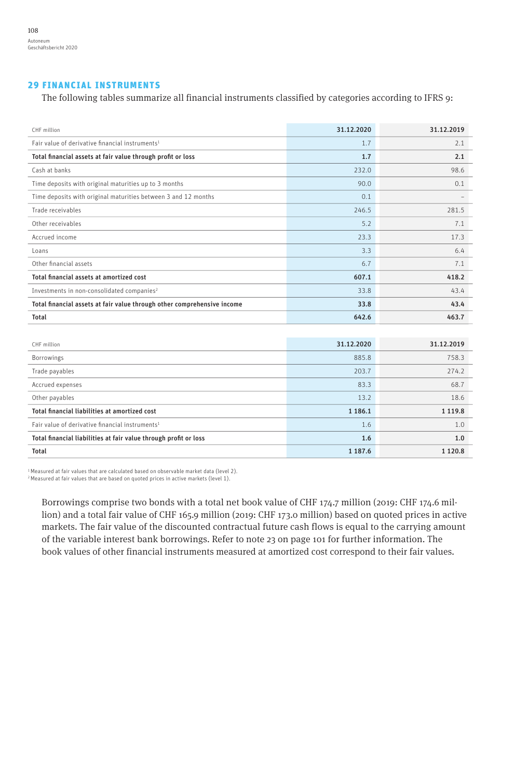## 29 FINANCIAL INSTRUMENTS

The following tables summarize all financial instruments classified by categories according to IFRS 9:

| CHF million                                                             | 31.12.2020  | 31.12.2019  |
|-------------------------------------------------------------------------|-------------|-------------|
| Fair value of derivative financial instruments <sup>1</sup>             | 1.7         | 2.1         |
| Total financial assets at fair value through profit or loss             | 1.7         | 2.1         |
| Cash at banks                                                           | 232.0       | 98.6        |
| Time deposits with original maturities up to 3 months                   | 90.0        | 0.1         |
| Time deposits with original maturities between 3 and 12 months          | 0.1         |             |
| Trade receivables                                                       | 246.5       | 281.5       |
| Other receivables                                                       | 5.2         | 7.1         |
| Accrued income                                                          | 23.3        | 17.3        |
| l oans                                                                  | 3.3         | 6.4         |
| Other financial assets                                                  | 6.7         | 7.1         |
| Total financial assets at amortized cost                                | 607.1       | 418.2       |
| Investments in non-consolidated companies <sup>2</sup>                  | 33.8        | 43.4        |
| Total financial assets at fair value through other comprehensive income | 33.8        | 43.4        |
| <b>Total</b>                                                            | 642.6       | 463.7       |
|                                                                         |             |             |
| CHF million                                                             | 31.12.2020  | 31.12.2019  |
| Borrowings                                                              | 885.8       | 758.3       |
| Trade payables                                                          | 203.7       | 274.2       |
| Accrued expenses                                                        | 83.3        | 68.7        |
| Other payables                                                          | 13.2        | 18.6        |
| Total financial liabilities at amortized cost                           | 1 1 8 6 . 1 | 1 1 1 9 . 8 |
| Fair value of derivative financial instruments <sup>1</sup>             | 1.6         | 1.0         |
| Total financial liabilities at fair value through profit or loss        | 1.6         | 1.0         |
| <b>Total</b>                                                            | 1 187.6     | 1 1 2 0 . 8 |

1 Measured at fair values that are calculated based on observable market data (level 2). 2 Measured at fair values that are based on quoted prices in active markets (level 1).

Borrowings comprise two bonds with a total net book value of CHF 174.7 million (2019: CHF 174.6 million) and a total fair value of CHF 165.9 million (2019: CHF 173.0 million) based on quoted prices in active markets. The fair value of the discounted contractual future cash flows is equal to the carrying amount of the variable interest bank borrowings. Refer to note 23 on page 101 for further information. The book values of other financial instruments measured at amortized cost correspond to their fair values.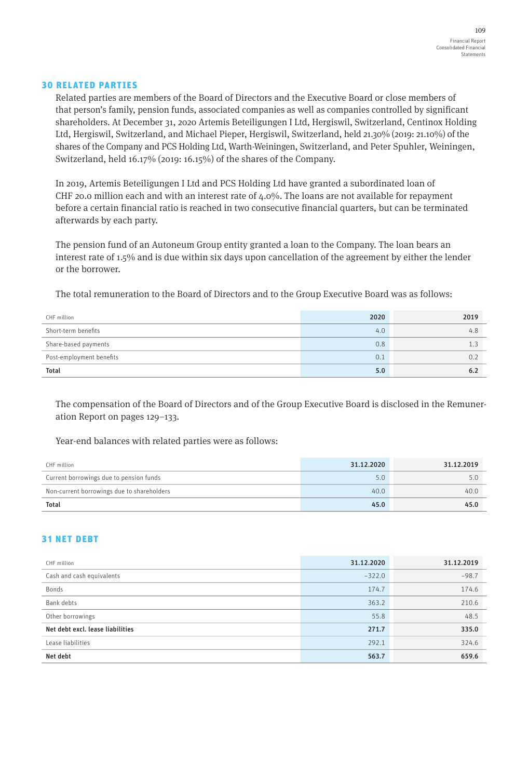## 30 RELATED PARTIES

Related parties are members of the Board of Directors and the Executive Board or close members of that person's family, pension funds, associated companies as well as companies controlled by significant shareholders. At December 31, 2020 Artemis Beteiligungen I Ltd, Hergiswil, Switzerland, Centinox Holding Ltd, Hergiswil, Switzerland, and Michael Pieper, Hergiswil, Switzerland, held 21.30% (2019: 21.10%) of the shares of the Company and PCS Holding Ltd, Warth-Weiningen, Switzerland, and Peter Spuhler, Weiningen, Switzerland, held 16.17% (2019: 16.15%) of the shares of the Company.

In 2019, Artemis Beteiligungen I Ltd and PCS Holding Ltd have granted a subordinated loan of CHF 20.0 million each and with an interest rate of  $4.0\%$ . The loans are not available for repayment before a certain financial ratio is reached in two consecutive financial quarters, but can be terminated afterwards by each party.

The pension fund of an Autoneum Group entity granted a loan to the Company. The loan bears an interest rate of 1.5% and is due within six days upon cancellation of the agreement by either the lender or the borrower.

The total remuneration to the Board of Directors and to the Group Executive Board was as follows:

| CHF million              | 2020 | 2019 |
|--------------------------|------|------|
| Short-term benefits      | 4.0  | 4.8  |
| Share-based payments     | 0.8  |      |
| Post-employment benefits | 0.1  | 0.2  |
| <b>Total</b>             | 5.0  | ხ.∠  |

The compensation of the Board of Directors and of the Group Executive Board is disclosed in the Remuneration Report on pages 129–133.

Year-end balances with related parties were as follows:

| CHF million                                | 31.12.2020 | 31.12.2019 |
|--------------------------------------------|------------|------------|
| Current borrowings due to pension funds    | 5.0        |            |
| Non-current borrowings due to shareholders | 40.0       | 40.0       |
| <b>Total</b>                               | 45.0       | 45.0       |

## 31 NET DEBT

| CHF million                      | 31.12.2020 | 31.12.2019 |
|----------------------------------|------------|------------|
| Cash and cash equivalents        | $-322.0$   | $-98.7$    |
| Bonds                            | 174.7      | 174.6      |
| Bank debts                       | 363.2      | 210.6      |
| Other borrowings                 | 55.8       | 48.5       |
| Net debt excl. lease liabilities | 271.7      | 335.0      |
| Lease liabilities                | 292.1      | 324.6      |
| Net debt                         | 563.7      | 659.6      |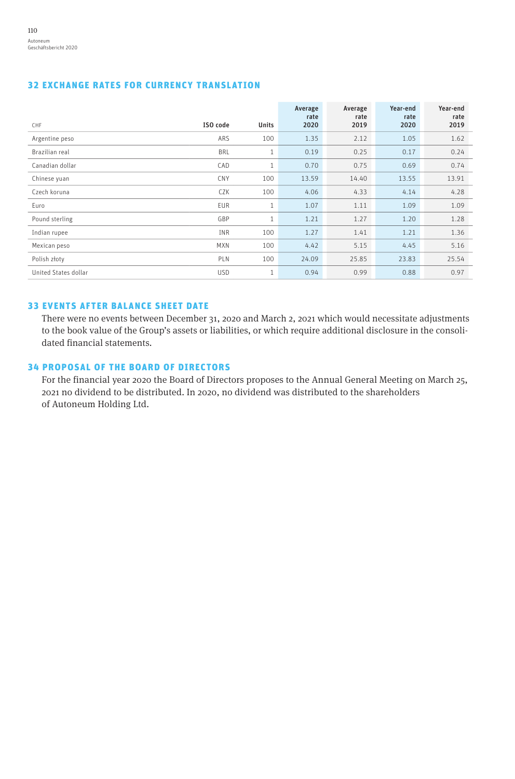## 32 EXCHANGE RATES FOR CURRENCY TRANSLATION

|                      |            |              | Average<br>rate | Average<br>rate | Year-end<br>rate | Year-end<br>rate |
|----------------------|------------|--------------|-----------------|-----------------|------------------|------------------|
| <b>CHF</b>           | ISO code   | <b>Units</b> | 2020            | 2019            | 2020             | 2019             |
| Argentine peso       | ARS        | 100          | 1.35            | 2.12            | 1.05             | 1.62             |
| Brazilian real       | <b>BRL</b> | $\mathbf{1}$ | 0.19            | 0.25            | 0.17             | 0.24             |
| Canadian dollar      | CAD        | 1            | 0.70            | 0.75            | 0.69             | 0.74             |
| Chinese yuan         | <b>CNY</b> | 100          | 13.59           | 14.40           | 13.55            | 13.91            |
| Czech koruna         | CZK        | 100          | 4.06            | 4.33            | 4.14             | 4.28             |
| Euro                 | EUR        | $\mathbf{1}$ | 1.07            | 1.11            | 1.09             | 1.09             |
| Pound sterling       | GBP        | $\mathbf{1}$ | 1.21            | 1.27            | 1.20             | 1.28             |
| Indian rupee         | INR        | 100          | 1.27            | 1.41            | 1.21             | 1.36             |
| Mexican peso         | <b>MXN</b> | 100          | 4.42            | 5.15            | 4.45             | 5.16             |
| Polish złoty         | PLN        | 100          | 24.09           | 25.85           | 23.83            | 25.54            |
| United States dollar | <b>USD</b> | $\mathbf{1}$ | 0.94            | 0.99            | 0.88             | 0.97             |

## 33 EVENTS AFTER BALANCE SHEET DATE

There were no events between December 31, 2020 and March 2, 2021 which would necessitate adjustments to the book value of the Group's assets or liabilities, or which require additional disclosure in the consolidated financial statements.

## 34 PROPOSAL OF THE BOARD OF DIRECTORS

For the financial year 2020 the Board of Directors proposes to the Annual General Meeting on March 25, 2021 no dividend to be distributed. In 2020, no dividend was distributed to the shareholders of Autoneum Holding Ltd.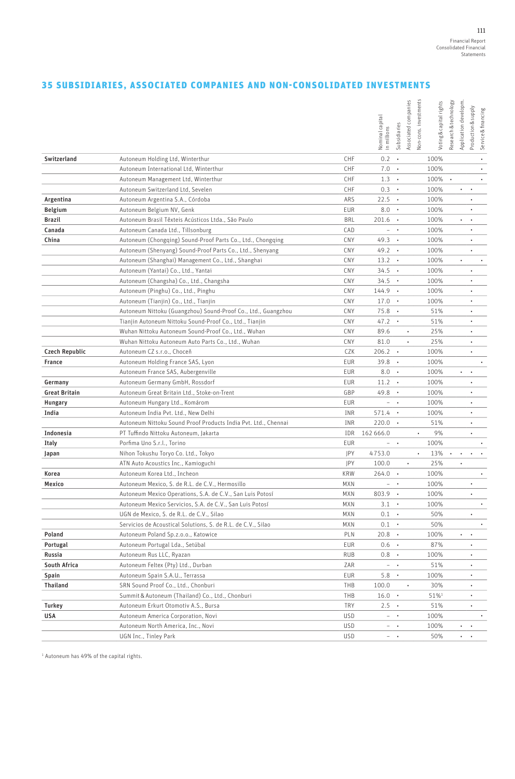## 35 SUBSIDIARIES, ASSOCIATED COMPANIES AND NON-CONSOLIDATED INVESTMENTS

|                       |                                                                |            | Nominal capital<br>in millions | Subsidiaries       | Von-cons. investments<br>Associated companies | Voting & capital rights | Research & technology | Application developm. | Production & supply<br>Service & financing |           |
|-----------------------|----------------------------------------------------------------|------------|--------------------------------|--------------------|-----------------------------------------------|-------------------------|-----------------------|-----------------------|--------------------------------------------|-----------|
| Switzerland           | Autoneum Holding Ltd, Winterthur                               | CHF        | $0.2 -$                        |                    |                                               | 100%                    |                       |                       | $\bullet$                                  |           |
|                       | Autoneum International Ltd, Winterthur                         | CHF        | 7.0                            | $\blacksquare$     |                                               | 100%                    |                       |                       | ٠                                          |           |
|                       | Autoneum Management Ltd, Winterthur                            | CHF        | 1.3                            | $\bullet$          |                                               | 100%                    | $\bullet$             |                       |                                            | $\bullet$ |
|                       | Autoneum Switzerland Ltd, Sevelen                              | CHF        | $0.3 \cdot$                    |                    |                                               | 100%                    |                       | $\bullet$ .           |                                            |           |
| Argentina             | Autoneum Argentina S.A., Córdoba                               | ARS        | 22.5                           | $\bullet$          |                                               | 100%                    |                       |                       |                                            |           |
| Belgium               | Autoneum Belgium NV, Genk                                      | EUR        | 8.0                            | $\bullet$          |                                               | 100%                    |                       |                       | $\bullet$                                  |           |
| <b>Brazil</b>         | Autoneum Brasil Têxteis Acústicos Ltda., São Paulo             | <b>BRL</b> | $201.6$ .                      |                    |                                               | 100%                    |                       | $\bullet$             | ٠                                          |           |
| Canada                | Autoneum Canada Ltd., Tillsonburg                              | CAD        |                                | $ +$               |                                               | 100%                    |                       |                       | $\bullet$                                  |           |
| China                 | Autoneum (Chongging) Sound-Proof Parts Co., Ltd., Chongging    | CNY        | $49.3 \cdot$                   |                    |                                               | 100%                    |                       |                       |                                            |           |
|                       | Autoneum (Shenyang) Sound-Proof Parts Co., Ltd., Shenyang      | CNY        | $49.2 \cdot$                   |                    |                                               | 100%                    |                       |                       | $\bullet$                                  |           |
|                       | Autoneum (Shanghai) Management Co., Ltd., Shanghai             | CNY        | $13.2 \cdot$                   |                    |                                               | 100%                    |                       | $\bullet$             |                                            | $\bullet$ |
|                       | Autoneum (Yantai) Co., Ltd., Yantai                            | CNY        | $34.5 \cdot$                   |                    |                                               | 100%                    |                       |                       | ٠                                          |           |
|                       | Autoneum (Changsha) Co., Ltd., Changsha                        | CNY        | $34.5 -$                       |                    |                                               | 100%                    |                       |                       | ٠                                          |           |
|                       | Autoneum (Pinghu) Co., Ltd., Pinghu                            | CNY        | 144.9                          | $\bullet$          |                                               | 100%                    |                       |                       | ٠                                          |           |
|                       | Autoneum (Tianjin) Co., Ltd., Tianjin                          | CNY        | $17.0 \cdot$                   |                    |                                               | 100%                    |                       |                       | $\bullet$                                  |           |
|                       | Autoneum Nittoku (Guangzhou) Sound-Proof Co., Ltd., Guangzhou  | CNY        | 75.8                           | $\blacksquare$     |                                               | 51%                     |                       |                       | ٠                                          |           |
|                       | Tianjin Autoneum Nittoku Sound-Proof Co., Ltd., Tianjin        | CNY        | 47.2                           | $\bullet$          |                                               | 51%                     |                       |                       | $\ddot{\phantom{0}}$                       |           |
|                       | Wuhan Nittoku Autoneum Sound-Proof Co., Ltd., Wuhan            | CNY        | 89.6                           |                    | $\bullet$                                     | 25%                     |                       |                       |                                            |           |
|                       | Wuhan Nittoku Autoneum Auto Parts Co., Ltd., Wuhan             | CNY        | 81.0                           |                    |                                               | 25%                     |                       |                       | $\bullet$                                  |           |
| <b>Czech Republic</b> | Autoneum CZ s.r.o., Choceň                                     | CZK        | 206.2                          | $\blacksquare$     |                                               | 100%                    |                       |                       | ٠                                          |           |
| <b>France</b>         | Autoneum Holding France SAS, Lyon                              | EUR        | 39.8                           | $\bullet$          |                                               | 100%                    |                       |                       |                                            | $\bullet$ |
|                       | Autoneum France SAS, Aubergenville                             | EUR        | 8.0                            | $\blacksquare$     |                                               | 100%                    |                       | ٠                     |                                            |           |
| Germany               | Autoneum Germany GmbH, Rossdorf                                | EUR        | $11.2 \cdot$                   |                    |                                               | 100%                    |                       |                       | ٠                                          |           |
| <b>Great Britain</b>  | Autoneum Great Britain Ltd., Stoke-on-Trent                    | GBP        | 49.8                           | $\cdot$            |                                               | 100%                    |                       |                       | $\ddot{\phantom{0}}$                       |           |
| Hungary               | Autoneum Hungary Ltd., Komárom                                 | EUR        |                                | $ \cdot$           |                                               | 100%                    |                       |                       | ٠                                          |           |
| India                 | Autoneum India Pvt. Ltd., New Delhi                            | INR        | $571.4 \cdot$                  |                    |                                               | 100%                    |                       |                       | ٠                                          |           |
|                       | Autoneum Nittoku Sound Proof Products India Pvt. Ltd., Chennai | INR        | $220.0 \cdot$                  |                    |                                               | 51%                     |                       |                       | ٠                                          |           |
| Indonesia             | PT Tuffindo Nittoku Autoneum, Jakarta                          | IDR        | 162 666.0                      |                    | $\bullet$                                     | 9%                      |                       |                       | $\bullet$                                  |           |
| Italy                 | Porfima Uno S.r.l., Torino                                     | EUR        | $ \,$                          | $\cdot$            |                                               | 100%                    |                       |                       |                                            |           |
| Japan                 | Nihon Tokushu Toryo Co. Ltd., Tokyo                            | JPY        | 4753.0                         |                    | $\bullet$                                     | 13%                     | $\bullet$             | $\bullet$             | $\cdot$ $\cdot$                            |           |
|                       | ATN Auto Acoustics Inc., Kamioguchi                            | JPY        | 100.0                          |                    |                                               | 25%                     |                       | ٠                     |                                            |           |
| Korea                 | Autoneum Korea Ltd., Incheon                                   | <b>KRW</b> | 264.0                          | $\bullet$          |                                               | 100%                    |                       |                       |                                            | $\bullet$ |
| Mexico                | Autoneum Mexico, S. de R.L. de C.V., Hermosillo                | <b>MXN</b> |                                | $ \rightarrow$     |                                               | 100%                    |                       |                       | ٠                                          |           |
|                       | Autoneum Mexico Operations, S.A. de C.V., San Luis Potosí      | <b>MXN</b> | $803.9 \cdot$                  |                    |                                               | 100%                    |                       |                       | $\ddot{\phantom{0}}$                       |           |
|                       | Autoneum Mexico Servicios, S.A. de C.V., San Luis Potosí       | <b>MXN</b> | 3.1                            | $\blacksquare$ .   |                                               | 100%                    |                       |                       |                                            | $\bullet$ |
|                       | UGN de Mexico, S. de R.L. de C.V., Silao                       | <b>MXN</b> | $0.1$ $\cdot$                  |                    |                                               | 50%                     |                       |                       | ٠                                          |           |
|                       | Servicios de Acoustical Solutions, S. de R.L. de C.V., Silao   | MXN        | 0.1                            | $\cdot$            |                                               | 50%                     |                       |                       |                                            | $\bullet$ |
| Poland                | Autoneum Poland Sp.z.o.o., Katowice                            | PLN        | 20.8                           | $\blacksquare$     |                                               | 100%                    |                       |                       |                                            |           |
|                       |                                                                |            |                                |                    |                                               |                         |                       |                       | ٠                                          |           |
| Portugal<br>Russia    | Autoneum Portugal Lda., Setúbal<br>Autoneum Rus LLC, Ryazan    | EUR        | $0.6$ $\cdot$                  |                    |                                               | 87%                     |                       |                       |                                            |           |
|                       |                                                                | RUB        | $0.8$ .                        |                    |                                               | 100%                    |                       |                       | ٠                                          |           |
| South Africa          | Autoneum Feltex (Pty) Ltd., Durban                             | ZAR        |                                | $ +$               |                                               | 51%                     |                       |                       | ٠                                          |           |
| Spain                 | Autoneum Spain S.A.U., Terrassa                                | EUR        | $5.8 \cdot$                    |                    |                                               | 100%                    |                       |                       | ٠                                          |           |
| Thailand              | SRN Sound Proof Co., Ltd., Chonburi                            | THB        | 100.0                          |                    | $\bullet$                                     | 30%                     |                       |                       | ٠                                          |           |
|                       | Summit & Autoneum (Thailand) Co., Ltd., Chonburi               | THB        | $16.0 +$                       |                    |                                               | 51%1                    |                       |                       | ٠                                          |           |
| Turkey                | Autoneum Erkurt Otomotiv A.S., Bursa                           | TRY        | $2.5 -$                        |                    |                                               | 51%                     |                       |                       | ٠                                          |           |
| USA                   | Autoneum America Corporation, Novi                             | <b>USD</b> |                                | $ \cdot$           |                                               | 100%                    |                       |                       |                                            |           |
|                       | Autoneum North America, Inc., Novi                             | <b>USD</b> |                                | $ \cdot$           |                                               | 100%                    |                       | $\bullet$             |                                            |           |
|                       | UGN Inc., Tinley Park                                          | <b>USD</b> |                                | $ \quad$ $\bullet$ |                                               | 50%                     |                       | $\ddotsc$             |                                            |           |

1 Autoneum has 49% of the capital rights.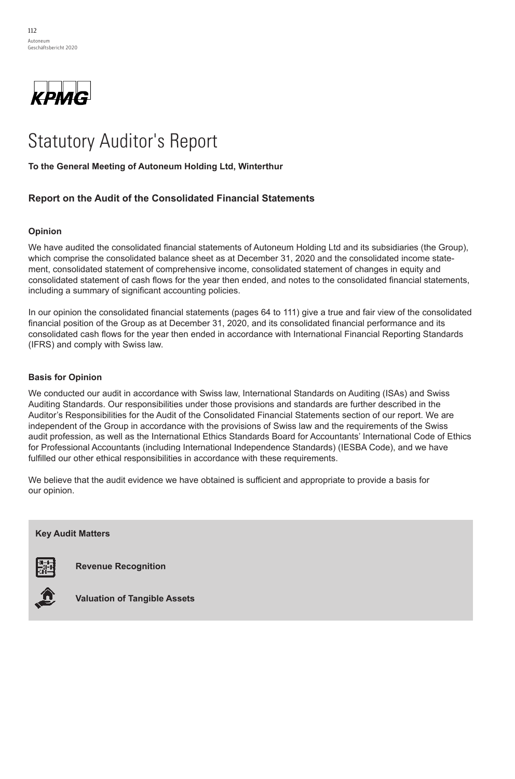

# Statutory Auditor's Report Statutory Auditor's Report

**To the General Meeting of Autoneum Holding Ltd, Winterthur To the General Meeting of Autoneum Holding Ltd, Winterthur** 

## **Report on the Audit of the Consolidated Financial Statements**

#### $W$ have audited the consolidated financial statements of  $A$ utoneum Holding Ltd and its subsidiaries (the Group),  $W$ **Opinion**

who bays quidited the consolidated financial at themsets of Autonoum Holding I to and the consolidated financial statements of Autonoum Holding I to and the We have audited the consolidated financial statements of Autoneum Holding Ltd and its subsidiaries (the Group),<br>We have audited the consolidated financial statements of Autoneum Holding Ltd and its subsidiaries (the Group) which comprise the consolidated balance sheet as at December  $31, \, 2020$  and the consolidated income statement, consolidated statement of comprehensive income, consolidated statement of changes in equity and  $I_{\rm 2}$  our operator operation the consolidation  $I_{\rm 2}$  to  $I_{\rm 1}$  and fair view of the consolidation  $I_{\rm 2}$ including a summary of significant accounting policies. consolidated statement of cash flows for the year then ended, and notes to the consolidated financial statements,

In our opinion the consolidated financial statements (pages 64 to 111) give a true and fair view of the consolidated **Basis for Opinion**  (IFRS) and comply with Swiss law. financial position of the Group as at December 31, 2020, and its consolidated financial performance and its consolidated cash flows for the year then ended in accordance with International Financial Reporting Standards

#### Auditor's Responsibilities for the Audit of the Consolidated Financial Statements section of our report. We are **Basis for Opinion** independent of the Group in accordance with the provisions of Swiss law and the Swiss law and the Swiss audit of the Swiss audit of the Swiss and the Swiss audit of the Swiss audit of the Swiss audit of the Swiss audit of

We conducted our audit in accordance with Swiss law, International Standards on Auditing (ISAs) and Swiss Auditing Standards. Our responsibilities under those provisions and standards are further described in the Auditor's Responsibilities for the Audit of the Consolidated Financial Statements section of our report. We are independent of the Group in accordance with the provisions of Swiss law and the requirements of the Swiss audit profession, as well as the International Ethics Standards Board for Accountants' International Code of Ethics for Professional Accountants (including International Independence Standards) (IESBA Code), and we have fulfilled our other ethical responsibilities in accordance with these requirements.

We believe that the audit evidence we have obtained is sufficient and appropriate to provide a basis for our opinion.

## Key audit matters are those matters that, in our professional judgment, were of most significance in our audit of **Key Audit Matters**



**provide a separate a separate opinion**<br>The matter matter matters. In the matter matter



**Valuation of Tangible Assets**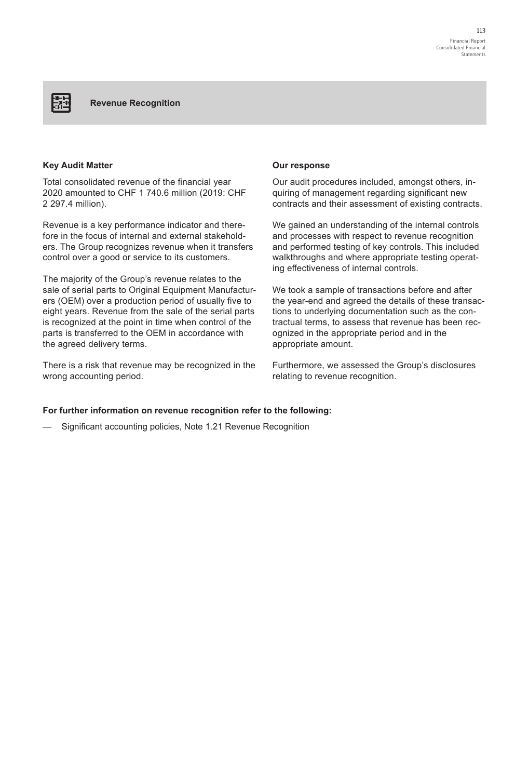## **Key Audit Matter**

麗

Total consolidated revenue of the financial year 2020 amounted to CHF 1 740.6 million (2019: CHF 2 297.4 million).

Revenue is a key performance indicator and therefore in the focus of internal and external stakeholders. The Group recognizes revenue when it transfers control over a good or service to its customers.

The majority of the Group's revenue relates to the sale of serial parts to Original Equipment Manufacturers (OEM) over a production period of usually five to eight years. Revenue from the sale of the serial parts is recognized at the point in time when control of the parts is transferred to the OEM in accordance with the agreed delivery terms.

There is a risk that revenue may be recognized in the wrong accounting period.

#### **Our response**

Our audit procedures included, amongst others, inquiring of management regarding significant new contracts and their assessment of existing contracts.

We gained an understanding of the internal controls and processes with respect to revenue recognition and performed testing of key controls. This included walkthroughs and where appropriate testing operating effectiveness of internal controls.

We took a sample of transactions before and after the year-end and agreed the details of these transactions to underlying documentation such as the contractual terms, to assess that revenue has been recognized in the appropriate period and in the appropriate amount.

Furthermore, we assessed the Group's disclosures relating to revenue recognition.

#### **For further information on revenue recognition refer to the following:**

Significant accounting policies, Note 1.21 Revenue Recognition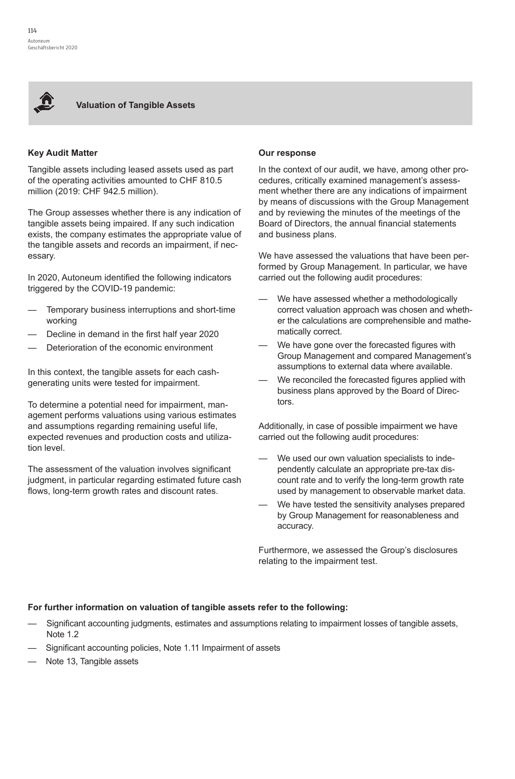

**Valuation of Tangible Assets**

## **Key Audit Matter**

Tangible assets including leased assets used as part of the operating activities amounted to CHF 810.5 million (2019: CHF 942.5 million).

The Group assesses whether there is any indication of tangible assets being impaired. If any such indication exists, the company estimates the appropriate value of the tangible assets and records an impairment, if necessary.

In 2020, Autoneum identified the following indicators triggered by the COVID-19 pandemic:

- Temporary business interruptions and short-time working
- Decline in demand in the first half year 2020
- Deterioration of the economic environment

In this context, the tangible assets for each cashgenerating units were tested for impairment.

To determine a potential need for impairment, management performs valuations using various estimates and assumptions regarding remaining useful life, expected revenues and production costs and utilization level.

The assessment of the valuation involves significant judgment, in particular regarding estimated future cash flows, long-term growth rates and discount rates.

## **Our response**

In the context of our audit, we have, among other procedures, critically examined management's assessment whether there are any indications of impairment by means of discussions with the Group Management and by reviewing the minutes of the meetings of the Board of Directors, the annual financial statements and business plans.

We have assessed the valuations that have been performed by Group Management. In particular, we have carried out the following audit procedures:

- We have assessed whether a methodologically correct valuation approach was chosen and whether the calculations are comprehensible and mathematically correct.
- We have gone over the forecasted figures with Group Management and compared Management's assumptions to external data where available.
- We reconciled the forecasted figures applied with business plans approved by the Board of Directors.

Additionally, in case of possible impairment we have carried out the following audit procedures:

- We used our own valuation specialists to independently calculate an appropriate pre-tax discount rate and to verify the long-term growth rate used by management to observable market data.
- We have tested the sensitivity analyses prepared by Group Management for reasonableness and accuracy.

Furthermore, we assessed the Group's disclosures relating to the impairment test.

## **For further information on valuation of tangible assets refer to the following:**

- —— Significant accounting judgments, estimates and assumptions relating to impairment losses of tangible assets, Note 1.2
- Significant accounting policies, Note 1.11 Impairment of assets
- Note 13, Tangible assets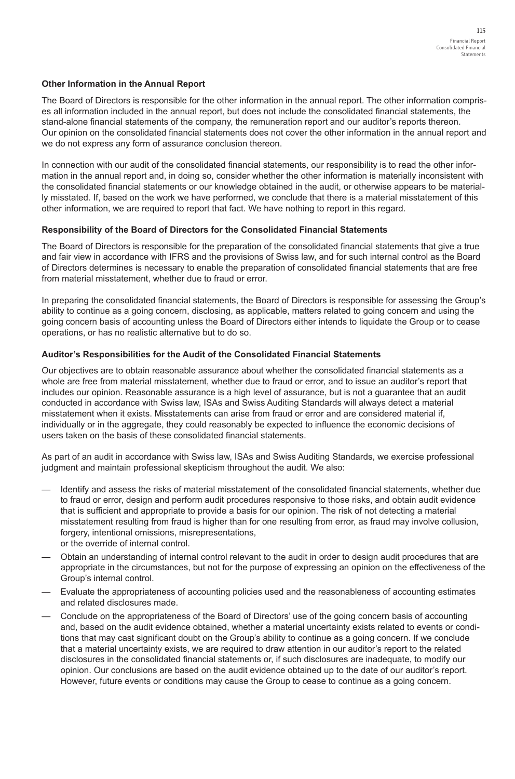## **Other Information in the Annual Report**

The Board of Directors is responsible for the other information in the annual report. The other information comprises all information included in the annual report, but does not include the consolidated financial statements, the stand-alone financial statements of the company, the remuneration report and our auditor's reports thereon. Our opinion on the consolidated financial statements does not cover the other information in the annual report and we do not express any form of assurance conclusion thereon.

In connection with our audit of the consolidated financial statements, our responsibility is to read the other information in the annual report and, in doing so, consider whether the other information is materially inconsistent with the consolidated financial statements or our knowledge obtained in the audit, or otherwise appears to be materially misstated. If, based on the work we have performed, we conclude that there is a material misstatement of this other information, we are required to report that fact. We have nothing to report in this regard.

## **Responsibility of the Board of Directors for the Consolidated Financial Statements**

The Board of Directors is responsible for the preparation of the consolidated financial statements that give a true and fair view in accordance with IFRS and the provisions of Swiss law, and for such internal control as the Board of Directors determines is necessary to enable the preparation of consolidated financial statements that are free from material misstatement, whether due to fraud or error.

In preparing the consolidated financial statements, the Board of Directors is responsible for assessing the Group's ability to continue as a going concern, disclosing, as applicable, matters related to going concern and using the going concern basis of accounting unless the Board of Directors either intends to liquidate the Group or to cease operations, or has no realistic alternative but to do so.

#### **Auditor's Responsibilities for the Audit of the Consolidated Financial Statements**

Our objectives are to obtain reasonable assurance about whether the consolidated financial statements as a whole are free from material misstatement, whether due to fraud or error, and to issue an auditor's report that includes our opinion. Reasonable assurance is a high level of assurance, but is not a guarantee that an audit conducted in accordance with Swiss law, ISAs and Swiss Auditing Standards will always detect a material misstatement when it exists. Misstatements can arise from fraud or error and are considered material if, individually or in the aggregate, they could reasonably be expected to influence the economic decisions of users taken on the basis of these consolidated financial statements.

As part of an audit in accordance with Swiss law, ISAs and Swiss Auditing Standards, we exercise professional judgment and maintain professional skepticism throughout the audit. We also:

- Identify and assess the risks of material misstatement of the consolidated financial statements, whether due to fraud or error, design and perform audit procedures responsive to those risks, and obtain audit evidence that is sufficient and appropriate to provide a basis for our opinion. The risk of not detecting a material misstatement resulting from fraud is higher than for one resulting from error, as fraud may involve collusion, forgery, intentional omissions, misrepresentations, or the override of internal control.
- —— Obtain an understanding of internal control relevant to the audit in order to design audit procedures that are appropriate in the circumstances, but not for the purpose of expressing an opinion on the effectiveness of the Group's internal control.
- —— Evaluate the appropriateness of accounting policies used and the reasonableness of accounting estimates and related disclosures made.
- —— Conclude on the appropriateness of the Board of Directors' use of the going concern basis of accounting and, based on the audit evidence obtained, whether a material uncertainty exists related to events or conditions that may cast significant doubt on the Group's ability to continue as a going concern. If we conclude that a material uncertainty exists, we are required to draw attention in our auditor's report to the related disclosures in the consolidated financial statements or, if such disclosures are inadequate, to modify our opinion. Our conclusions are based on the audit evidence obtained up to the date of our auditor's report. However, future events or conditions may cause the Group to cease to continue as a going concern.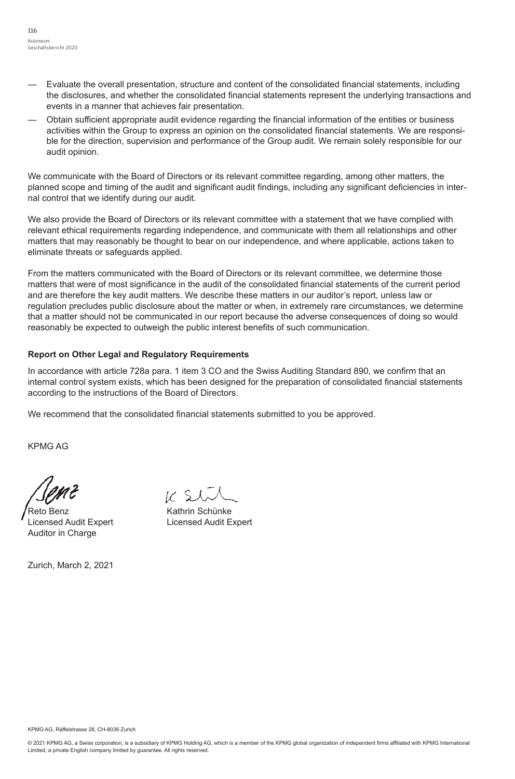- —— Evaluate the overall presentation, structure and content of the consolidated financial statements, including the disclosures, and whether the consolidated financial statements represent the underlying transactions and events in a manner that achieves fair presentation.
- —— Obtain sufficient appropriate audit evidence regarding the financial information of the entities or business activities within the Group to express an opinion on the consolidated financial statements. We are responsible for the direction, supervision and performance of the Group audit. We remain solely responsible for our audit opinion.

We communicate with the Board of Directors or its relevant committee regarding, among other matters, the planned scope and timing of the audit and significant audit findings, including any significant deficiencies in internal control that we identify during our audit.

We also provide the Board of Directors or its relevant committee with a statement that we have complied with relevant ethical requirements regarding independence, and communicate with them all relationships and other matters that may reasonably be thought to bear on our independence, and where applicable, actions taken to eliminate threats or safeguards applied.

From the matters communicated with the Board of Directors or its relevant committee, we determine those matters that were of most significance in the audit of the consolidated financial statements of the current period and are therefore the key audit matters. We describe these matters in our auditor's report, unless law or regulation precludes public disclosure about the matter or when, in extremely rare circumstances, we determine that a matter should not be communicated in our report because the adverse consequences of doing so would reasonably be expected to outweigh the public interest benefits of such communication.

## **Report on Other Legal and Regulatory Requirements**

In accordance with article 728a para. 1 item 3 CO and the Swiss Auditing Standard 890, we confirm that an internal control system exists, which has been designed for the preparation of consolidated financial statements according to the instructions of the Board of Directors.

We recommend that the consolidated financial statements submitted to you be approved.

KPMG AG

Reto Benz **Kathrin Schünke** Licensed Audit Expert Licensed Audit Expert Auditor in Charge

Zurich, March 2, 2021

KPMG AG, Räffelstrasse 28, CH-8036 Zurich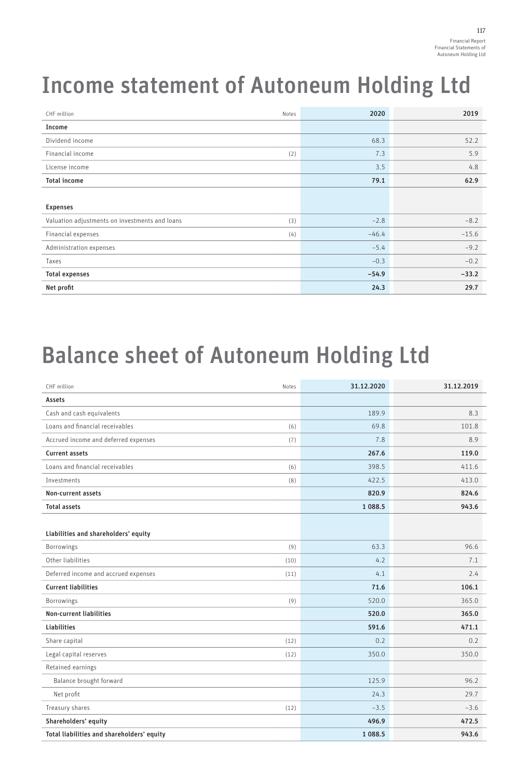# Income statement of Autoneum Holding Ltd

| CHF million<br>Notes                                  | 2020    | 2019    |
|-------------------------------------------------------|---------|---------|
| Income                                                |         |         |
| Dividend income                                       | 68.3    | 52.2    |
| Financial income<br>(2)                               | 7.3     | 5.9     |
| License income                                        | 3.5     | 4.8     |
| <b>Total income</b>                                   | 79.1    | 62.9    |
|                                                       |         |         |
| <b>Expenses</b>                                       |         |         |
| Valuation adjustments on investments and loans<br>(3) | $-2.8$  | $-8.2$  |
| Financial expenses<br>(4)                             | $-46.4$ | $-15.6$ |
| Administration expenses                               | $-5.4$  | $-9.2$  |
| Taxes                                                 | $-0.3$  | $-0.2$  |
| <b>Total expenses</b>                                 | $-54.9$ | $-33.2$ |
| Net profit                                            | 24.3    | 29.7    |

## Balance sheet of Autoneum Holding Ltd

| CHF million<br>Notes                         | 31.12.2020 | 31.12.2019 |
|----------------------------------------------|------------|------------|
| Assets                                       |            |            |
| Cash and cash equivalents                    | 189.9      | 8.3        |
| Loans and financial receivables<br>(6)       | 69.8       | 101.8      |
| Accrued income and deferred expenses<br>(7)  | 7.8        | 8.9        |
| <b>Current assets</b>                        | 267.6      | 119.0      |
| Loans and financial receivables<br>(6)       | 398.5      | 411.6      |
| <b>Investments</b><br>(8)                    | 422.5      | 413.0      |
| Non-current assets                           | 820.9      | 824.6      |
| <b>Total assets</b>                          | 1 088.5    | 943.6      |
|                                              |            |            |
| Liabilities and shareholders' equity         |            |            |
| Borrowings<br>(9)                            | 63.3       | 96.6       |
| Other liabilities<br>(10)                    | 4.2        | 7.1        |
| Deferred income and accrued expenses<br>(11) | 4.1        | 2.4        |
| <b>Current liabilities</b>                   | 71.6       | 106.1      |
| Borrowings<br>(9)                            | 520.0      | 365.0      |
| <b>Non-current liabilities</b>               | 520.0      | 365.0      |
| <b>Liabilities</b>                           | 591.6      | 471.1      |
| Share capital<br>(12)                        | 0.2        | 0.2        |
| Legal capital reserves<br>(12)               | 350.0      | 350.0      |
| Retained earnings                            |            |            |
| Balance brought forward                      | 125.9      | 96.2       |
| Net profit                                   | 24.3       | 29.7       |
| Treasury shares<br>(12)                      | $-3.5$     | $-3.6$     |
| Shareholders' equity                         | 496.9      | 472.5      |
| Total liabilities and shareholders' equity   | 1 088.5    | 943.6      |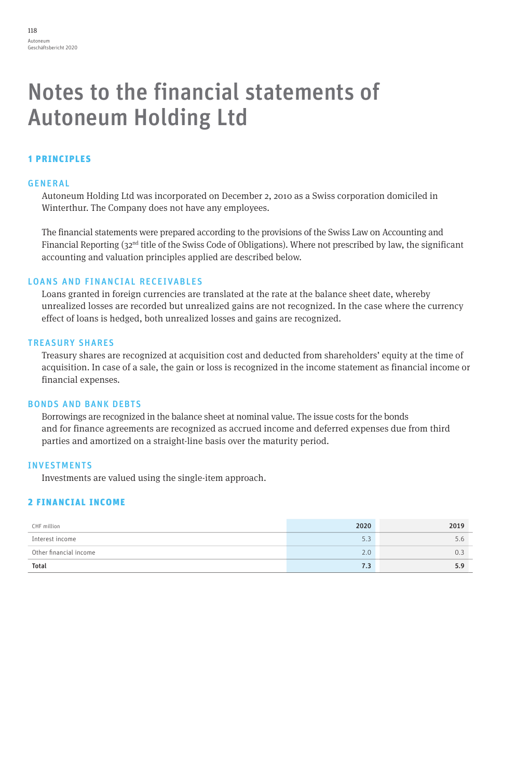## Notes to the financial statements of Autoneum Holding Ltd

## 1 PRINCIPLES

### GENERAL

Autoneum Holding Ltd was incorporated on December 2, 2010 as a Swiss corporation domiciled in Winterthur. The Company does not have any employees.

The financial statements were prepared according to the provisions of the Swiss Law on Accounting and Financial Reporting (32nd title of the Swiss Code of Obligations). Where not prescribed by law, the significant accounting and valuation principles applied are described below.

## LOANS AND FINANCIAL RECEIVABLES

Loans granted in foreign currencies are translated at the rate at the balance sheet date, whereby unrealized losses are recorded but unrealized gains are not recognized. In the case where the currency effect of loans is hedged, both unrealized losses and gains are recognized.

## TREASURY SHARES

Treasury shares are recognized at acquisition cost and deducted from shareholders' equity at the time of acquisition. In case of a sale, the gain or loss is recognized in the income statement as financial income or financial expenses.

## BONDS AND BANK DEBTS

Borrowings are recognized in the balance sheet at nominal value. The issue costs for the bonds and for finance agreements are recognized as accrued income and deferred expenses due from third parties and amortized on a straight-line basis over the maturity period.

## INVESTMENTS

Investments are valued using the single-item approach.

## 2 FINANCIAL INCOME

| CHF million            | 2020 | 2019 |
|------------------------|------|------|
| Interest income        | J.J  |      |
| Other financial income | 2.0  |      |
| Total                  | 7.3  |      |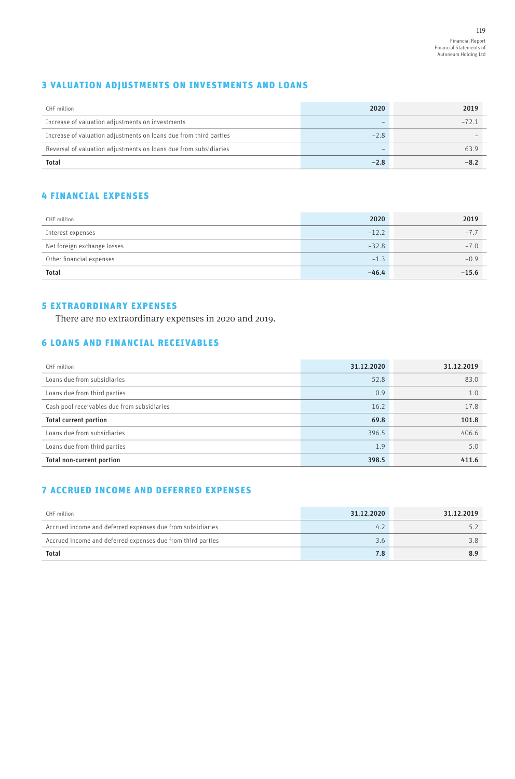## 3 VALUATION ADJUSTMENTS ON INVESTMENTS AND LOANS

| CHF million                                                       | 2020   | 2019   |
|-------------------------------------------------------------------|--------|--------|
| Increase of valuation adjustments on investments                  |        | $-721$ |
| Increase of valuation adjustments on loans due from third parties | $-2.8$ |        |
| Reversal of valuation adjustments on loans due from subsidiaries  |        | 63.9   |
| <b>Total</b>                                                      | $-2.8$ | $-8.7$ |

## 4 FINANCIAL EXPENSES

| CHF million                 | 2020    | 2019    |
|-----------------------------|---------|---------|
| Interest expenses           | $-12.2$ | $-7.7$  |
| Net foreign exchange losses | $-32.8$ | $-7.0$  |
| Other financial expenses    | $-1.3$  | $-0.9$  |
| <b>Total</b>                | $-46.4$ | $-15.6$ |

## 5 EXTRAORDINARY EXPENSES

There are no extraordinary expenses in 2020 and 2019.

## 6 LOANS AND FINANCIAL RECEIVABLES

| CHF million                                 | 31.12.2020 | 31.12.2019 |
|---------------------------------------------|------------|------------|
| Loans due from subsidiaries                 | 52.8       | 83.0       |
| Loans due from third parties                | 0.9        | 1.0        |
| Cash pool receivables due from subsidiaries | 16.2       | 17.8       |
| <b>Total current portion</b>                | 69.8       | 101.8      |
| Loans due from subsidiaries                 | 396.5      | 406.6      |
| Loans due from third parties                | 1.9        | 5.0        |
| Total non-current portion                   | 398.5      | 411.6      |

## 7 ACCRUED INCOME AND DEFERRED EXPENSES

| CHF million                                                 | 31.12.2020 | 31.12.2019 |
|-------------------------------------------------------------|------------|------------|
| Accrued income and deferred expenses due from subsidiaries  | 4.1        |            |
| Accrued income and deferred expenses due from third parties | 3.6        |            |
| <b>Total</b>                                                | 7.8        |            |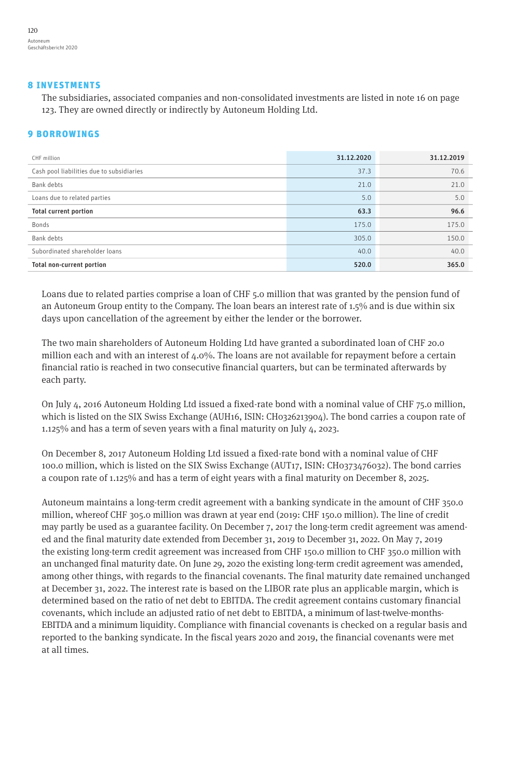#### 8 INVESTMENTS

The subsidiaries, associated companies and non-consolidated investments are listed in note 16 on page 123. They are owned directly or indirectly by Autoneum Holding Ltd.

## 9 BORROWINGS

| CHF million                               | 31.12.2020 | 31.12.2019 |
|-------------------------------------------|------------|------------|
| Cash pool liabilities due to subsidiaries | 37.3       | 70.6       |
| Bank debts                                | 21.0       | 21.0       |
| Loans due to related parties              | 5.0        | 5.0        |
| <b>Total current portion</b>              | 63.3       | 96.6       |
| Bonds                                     | 175.0      | 175.0      |
| Bank debts                                | 305.0      | 150.0      |
| Subordinated shareholder loans            | 40.0       | 40.0       |
| Total non-current portion                 | 520.0      | 365.0      |

Loans due to related parties comprise a loan of CHF 5.0 million that was granted by the pension fund of an Autoneum Group entity to the Company. The loan bears an interest rate of 1.5% and is due within six days upon cancellation of the agreement by either the lender or the borrower.

The two main shareholders of Autoneum Holding Ltd have granted a subordinated loan of CHF 20.0 million each and with an interest of 4.0%. The loans are not available for repayment before a certain financial ratio is reached in two consecutive financial quarters, but can be terminated afterwards by each party.

On July 4, 2016 Autoneum Holding Ltd issued a fixed-rate bond with a nominal value of CHF 75.0 million, which is listed on the SIX Swiss Exchange (AUH16, ISIN: CH0326213904). The bond carries a coupon rate of 1.125% and has a term of seven years with a final maturity on July 4, 2023.

On December 8, 2017 Autoneum Holding Ltd issued a fixed-rate bond with a nominal value of CHF 100.0 million, which is listed on the SIX Swiss Exchange (AUT17, ISIN: CH0373476032). The bond carries a coupon rate of 1.125% and has a term of eight years with a final maturity on December 8, 2025.

Autoneum maintains a long-term credit agreement with a banking syndicate in the amount of CHF 350.0 million, whereof CHF 305.0 million was drawn at year end (2019: CHF 150.0 million). The line of credit may partly be used as a guarantee facility. On December 7, 2017 the long-term credit agreement was amended and the final maturity date extended from December 31, 2019 to December 31, 2022. On May 7, 2019 the existing long-term credit agreement was increased from CHF 150.0 million to CHF 350.0 million with an unchanged final maturity date. On June 29, 2020 the existing long-term credit agreement was amended, among other things, with regards to the financial covenants. The final maturity date remained unchanged at December 31, 2022. The interest rate is based on the LIBOR rate plus an applicable margin, which is determined based on the ratio of net debt to EBITDA. The credit agreement contains customary financial covenants, which include an adjusted ratio of net debt to EBITDA, a minimum of last-twelve-months-EBITDA and a minimum liquidity. Compliance with financial covenants is checked on a regular basis and reported to the banking syndicate. In the fiscal years 2020 and 2019, the financial covenants were met at all times.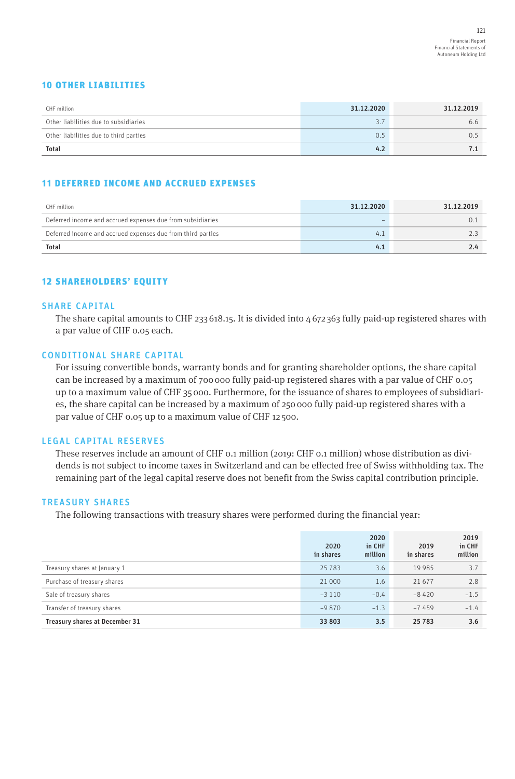## 10 OTHER LIABILITIES

| CHF million                            | 31.12.2020 | 31.12.2019 |
|----------------------------------------|------------|------------|
| Other liabilities due to subsidiaries  | 27<br>. ر  | 6.6        |
| Other liabilities due to third parties | 0.5        | 0.5        |
| <b>Total</b>                           | 4.2        | 7.1        |

## 11 DEFERRED INCOME AND ACCRUED EXPENSES

| CHF million                                                 | 31.12.2020 | 31.12.2019 |
|-------------------------------------------------------------|------------|------------|
| Deferred income and accrued expenses due from subsidiaries  |            | 0. .       |
| Deferred income and accrued expenses due from third parties | 4.         |            |
| <b>Total</b>                                                | 4.1        | 2.4        |

## 12 SHAREHOLDERS' EQUITY

#### SHARE CAPITAL

The share capital amounts to CHF 233 618.15. It is divided into 4 672 363 fully paid-up registered shares with a par value of CHF 0.05 each.

#### CONDITIONAL SHARE CAPITAL

For issuing convertible bonds, warranty bonds and for granting shareholder options, the share capital can be increased by a maximum of 700 000 fully paid-up registered shares with a par value of CHF 0.05 up to a maximum value of CHF 35 000. Furthermore, for the issuance of shares to employees of subsidiaries, the share capital can be increased by a maximum of 250 000 fully paid-up registered shares with a par value of CHF 0.05 up to a maximum value of CHF 12 500.

## LEGAL CAPITAL RESERVES

These reserves include an amount of CHF 0.1 million (2019: CHF 0.1 million) whose distribution as dividends is not subject to income taxes in Switzerland and can be effected free of Swiss withholding tax. The remaining part of the legal capital reserve does not benefit from the Swiss capital contribution principle.

#### TREASURY SHARES

The following transactions with treasury shares were performed during the financial year:

|                                | 2020<br>in shares | 2020<br>in CHF<br>million | 2019<br>in shares | 2019<br>in CHF<br>million |
|--------------------------------|-------------------|---------------------------|-------------------|---------------------------|
| Treasury shares at January 1   | 25783             | 3.6                       | 19 9 8 5          | 3.7                       |
| Purchase of treasury shares    | 21 000            | 1.6                       | 21 677            | 2.8                       |
| Sale of treasury shares        | $-3110$           | $-0.4$                    | $-8420$           | $-1.5$                    |
| Transfer of treasury shares    | $-9870$           | $-1.3$                    | $-7459$           | $-1.4$                    |
| Treasury shares at December 31 | 33 803            | 3.5                       | 25 7 8 3          | 3.6                       |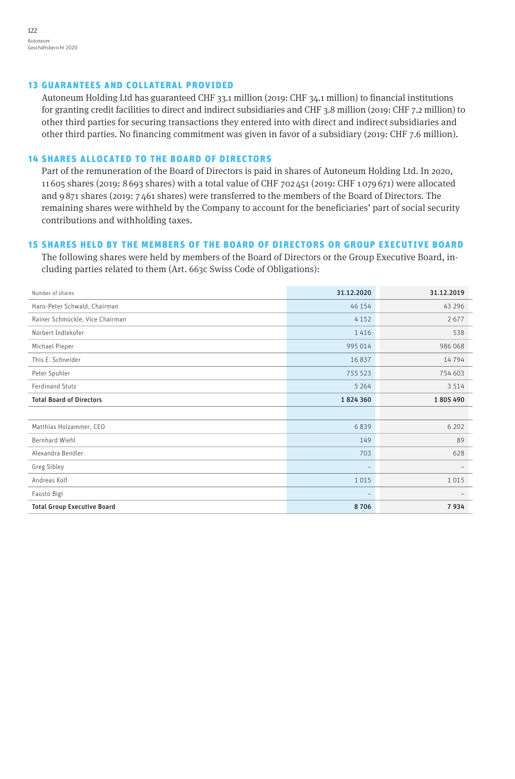## 13 GUARANTEES AND COLLATERAL PROVIDED

Autoneum Holding Ltd has guaranteed CHF 33.1 million (2019: CHF 34.1 million) to financial institutions for granting credit facilities to direct and indirect subsidiaries and CHF 3.8 million (2019: CHF 7.2 million) to other third parties for securing transactions they entered into with direct and indirect subsidiaries and other third parties. No financing commitment was given in favor of a subsidiary (2019: CHF 7.6 million).

## 14 SHARES ALLOCATED TO THE BOARD OF DIRECTORS

Part of the remuneration of the Board of Directors is paid in shares of Autoneum Holding Ltd. In 2020, 11 605 shares (2019: 8 693 shares) with a total value of CHF 702 451 (2019: CHF 1 079 671) were allocated and 9 871 shares (2019: 7 461 shares) were transferred to the members of the Board of Directors. The remaining shares were withheld by the Company to account for the beneficiaries' part of social security contributions and withholding taxes.

## 15 SHARES HELD BY THE MEMBERS OF THE BOARD OF DIRECTORS OR GROUP EXECUTIVE BOARD

The following shares were held by members of the Board of Directors or the Group Executive Board, including parties related to them (Art. 663c Swiss Code of Obligations):

| Number of shares                   | 31.12.2020               | 31.12.2019               |
|------------------------------------|--------------------------|--------------------------|
| Hans-Peter Schwald, Chairman       | 46 154                   | 43 29 6                  |
| Rainer Schmückle, Vice Chairman    | 4 1 5 2                  | 2677                     |
| Norbert Indlekofer                 | 1416                     | 538                      |
| Michael Pieper                     | 995 014                  | 986 068                  |
| This E. Schneider                  | 16 8 37                  | 14794                    |
| Peter Spuhler                      | 755 523                  | 754 603                  |
| Ferdinand Stutz                    | 5 2 6 4                  | 3 5 1 4                  |
| <b>Total Board of Directors</b>    | 1824360                  | 1805490                  |
|                                    |                          |                          |
| Matthias Holzammer, CEO            | 6839                     | 6 2 0 2                  |
| Bernhard Wiehl                     | 149                      | 89                       |
| Alexandra Bendler                  | 703                      | 628                      |
| Greg Sibley                        | $\overline{\phantom{a}}$ |                          |
| Andreas Kolf                       | 1015                     | 1015                     |
| Fausto Bigi                        | $\qquad \qquad -$        | $\overline{\phantom{0}}$ |
| <b>Total Group Executive Board</b> | 8706                     | 7934                     |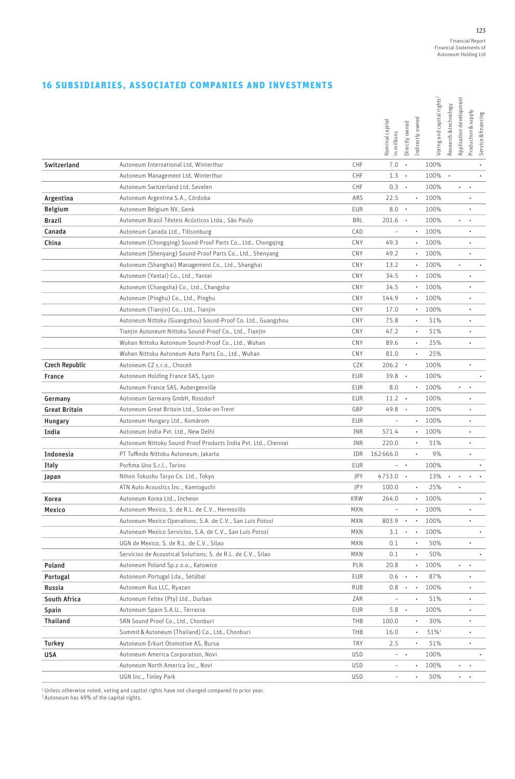## 16 SUBSIDIARIES, ASSOCIATED COMPANIES AND INVESTMENTS

|                       |                                                                |            | Nominal capital<br>in millions | Directly owned        | Indirectly owned | Voting and capital rights <sup>1</sup> | Research & technology | Application development | Production & supply | Service & financing |
|-----------------------|----------------------------------------------------------------|------------|--------------------------------|-----------------------|------------------|----------------------------------------|-----------------------|-------------------------|---------------------|---------------------|
| Switzerland           | Autoneum International Ltd, Winterthur                         | CHF        | 7.0                            | $\bullet$             |                  | 100%                                   |                       |                         |                     |                     |
|                       | Autoneum Management Ltd, Winterthur                            | CHF        | 1.3                            |                       |                  | 100%                                   |                       |                         |                     |                     |
|                       | Autoneum Switzerland Ltd, Sevelen                              | CHF        | 0.3                            | $\cdot$               |                  | 100%                                   |                       | ٠                       | $\cdot$             |                     |
| Argentina             | Autoneum Argentina S.A., Córdoba                               | ARS        | 22.5                           |                       | ٠                | 100%                                   |                       |                         |                     |                     |
| <b>Belgium</b>        | Autoneum Belgium NV, Genk                                      | EUR        | 8.0                            | $\bullet$             |                  | 100%                                   |                       |                         |                     |                     |
| <b>Brazil</b>         | Autoneum Brasil Têxteis Acústicos Ltda., São Paulo             | <b>BRL</b> | 201.6                          | $\bullet$             |                  | 100%                                   |                       |                         |                     |                     |
| Canada                | Autoneum Canada Ltd., Tillsonburg                              | CAD        | $\overline{\phantom{0}}$       |                       | $\bullet$        | 100%                                   |                       |                         |                     |                     |
| China                 | Autoneum (Chongqing) Sound-Proof Parts Co., Ltd., Chongqing    | CNY        | 49.3                           |                       | $\bullet$        | 100%                                   |                       |                         | $\bullet$           |                     |
|                       | Autoneum (Shenyang) Sound-Proof Parts Co., Ltd., Shenyang      | CNY        | 49.2                           |                       | $\bullet$        | 100%                                   |                       |                         | $\bullet$           |                     |
|                       | Autoneum (Shanghai) Management Co., Ltd., Shanghai             | CNY        | 13.2                           |                       | ٠                | 100%                                   |                       | $\bullet$               |                     | $\bullet$           |
|                       | Autoneum (Yantai) Co., Ltd., Yantai                            | CNY        | 34.5                           |                       | ٠                | 100%                                   |                       |                         |                     |                     |
|                       | Autoneum (Changsha) Co., Ltd., Changsha                        | CNY        | 34.5                           |                       | $\bullet$        | 100%                                   |                       |                         |                     |                     |
|                       | Autoneum (Pinghu) Co., Ltd., Pinghu                            | CNY        | 144.9                          |                       | ٠                | 100%                                   |                       |                         | $\bullet$           |                     |
|                       | Autoneum (Tianjin) Co., Ltd., Tianjin                          | CNY        | 17.0                           |                       | ٠                | 100%                                   |                       |                         |                     |                     |
|                       | Autoneum Nittoku (Guangzhou) Sound-Proof Co. Ltd., Guangzhou   | CNY        | 75.8                           |                       |                  | 51%                                    |                       |                         |                     |                     |
|                       | Tianjin Autoneum Nittoku Sound-Proof Co., Ltd., Tianjin        | CNY        | 47.2                           |                       | $\bullet$        | 51%                                    |                       |                         |                     |                     |
|                       | Wuhan Nittoku Autoneum Sound-Proof Co., Ltd., Wuhan            | CNY        | 89.6                           |                       | $\bullet$        | 25%                                    |                       |                         | $\bullet$           |                     |
|                       | Wuhan Nittoku Autoneum Auto Parts Co., Ltd., Wuhan             | CNY        | 81.0                           |                       | ٠                | 25%                                    |                       |                         |                     |                     |
| <b>Czech Republic</b> | Autoneum CZ s.r.o., Choceň                                     | CZK        | 206.2                          | $\bullet$             |                  | 100%                                   |                       |                         | $\bullet$           |                     |
| France                | Autoneum Holding France SAS, Lyon                              | EUR        | 39.8                           | $\cdot$               |                  | 100%                                   |                       |                         |                     | ٠                   |
|                       | Autoneum France SAS, Aubergenville                             | EUR        | 8.0                            |                       | $\bullet$        | 100%                                   |                       | ٠                       |                     |                     |
| Germany               | Autoneum Germany GmbH, Rossdorf                                | EUR        | 11.2                           | $\bullet$             |                  | 100%                                   |                       |                         |                     |                     |
| <b>Great Britain</b>  | Autoneum Great Britain Ltd., Stoke-on-Trent                    | GBP        | 49.8                           | $\bullet$             |                  | 100%                                   |                       |                         |                     |                     |
| Hungary               | Autoneum Hungary Ltd., Komárom                                 | EUR        |                                |                       |                  | 100%                                   |                       |                         |                     |                     |
| India                 | Autoneum India Pvt. Ltd., New Delhi                            | INR        | 571.4                          |                       | $\bullet$        | 100%                                   |                       |                         |                     |                     |
|                       | Autoneum Nittoku Sound Proof Products India Pvt. Ltd., Chennai | INR        | 220.0                          |                       | ٠                | 51%                                    |                       |                         | $\bullet$           |                     |
| Indonesia             | PT Tuffindo Nittoku Autoneum, Jakarta                          | IDR        | 162666.0                       |                       | ٠                | 9%                                     |                       |                         | ٠                   |                     |
| Italy                 | Porfima Uno S.r.l., Torino                                     | EUR        | $ \cdot$                       |                       |                  | 100%                                   |                       |                         |                     | $\bullet$           |
| Japan                 | Nihon Tokushu Toryo Co. Ltd., Tokyo                            | JPY        | 4753.0                         | $\blacksquare$        |                  | 13%                                    | $\bullet$             | ٠                       | $\bullet$           |                     |
|                       | ATN Auto Acoustics Inc., Kamioguchi                            | JPY        | 100.0                          |                       | ٠                | 25%                                    |                       |                         |                     |                     |
| Korea                 | Autoneum Korea Ltd., Incheon                                   | KRW        | 264.0                          |                       | ٠                | 100%                                   |                       |                         |                     | $\bullet$           |
| Mexico                | Autoneum Mexico, S. de R.L. de C.V., Hermosillo                | <b>MXN</b> |                                |                       |                  | 100%                                   |                       |                         |                     |                     |
|                       | Autoneum Mexico Operations, S.A. de C.V., San Luis Potosí      | MXN        | 803.9                          | $\bullet$             |                  | 100%                                   |                       |                         |                     |                     |
|                       | Autoneum Mexico Servicios, S.A. de C.V., San Luis Potosí       | <b>MXN</b> | 3.1                            |                       |                  | 100%                                   |                       |                         |                     |                     |
|                       | UGN de Mexico, S. de R.L. de C.V., Silao                       | MXN        | 0.1                            |                       | ٠                | 50%                                    |                       |                         | $\bullet$           |                     |
|                       | Servicios de Acoustical Solutions, S. de R.L. de C.V., Silao   | MXN        | 0.1                            |                       | ٠                | 50%                                    |                       |                         |                     | $\bullet$           |
| Poland                | Autoneum Poland Sp.z.o.o., Katowice                            | PLN        | 20.8                           |                       | ۰                | 100%                                   |                       | . .                     | $\bullet$           |                     |
| Portugal              | Autoneum Portugal Lda., Setúbal                                | EUR        | 0.6                            | $\sim$ $\sim$         |                  | 87%                                    |                       |                         |                     |                     |
| Russia                | Autoneum Rus LLC, Ryazan                                       | RUB        | 0.8                            | $\bullet$ . $\bullet$ |                  | 100%                                   |                       |                         | $\bullet$           |                     |
| South Africa          | Autoneum Feltex (Pty) Ltd., Durban                             | ZAR        | $\overline{\phantom{0}}$       |                       | ٠                | 51%                                    |                       |                         |                     |                     |
| Spain                 | Autoneum Spain S.A.U., Terrassa                                | EUR        | 5.8                            | $\cdot$               |                  | 100%                                   |                       |                         |                     |                     |
| <b>Thailand</b>       | SRN Sound Proof Co., Ltd., Chonburi                            | THB        | 100.0                          |                       |                  | 30%                                    |                       |                         |                     |                     |
|                       | Summit & Autoneum (Thailand) Co., Ltd., Chonburi               | THB        | 16.0                           |                       | ٠                | 51% <sup>2</sup>                       |                       |                         |                     |                     |
| Turkey                | Autoneum Erkurt Otomotive AS, Bursa                            | TRY        | 2.5                            |                       | ٠                | 51%                                    |                       |                         | ٠                   |                     |
| USA                   | Autoneum America Corporation, Novi                             | <b>USD</b> | $ \cdot$                       |                       |                  | 100%                                   |                       |                         |                     | $\bullet$           |
|                       | Autoneum North America Inc., Novi                              | <b>USD</b> | $\overline{\phantom{0}}$       |                       | $\bullet$        | 100%                                   |                       | $\cdot$ $\cdot$         |                     |                     |
|                       | UGN Inc., Tinley Park                                          | <b>USD</b> | $\overline{\phantom{0}}$       |                       | ٠                | 50%                                    |                       |                         | $\ddotsc$           |                     |

<sup>1</sup> Unless otherwise noted, voting and capital rights have not changed compared to prior year.<br><sup>2</sup> Autoneum has 49% of the capital rights.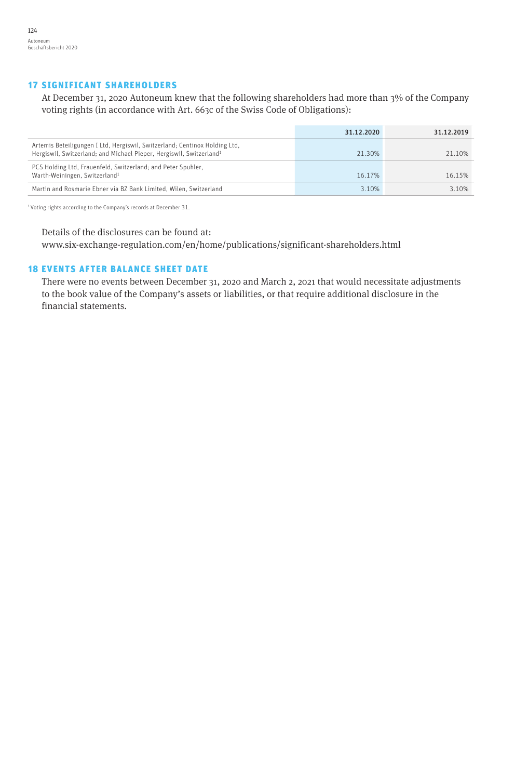## 17 SIGNIFICANT SHAREHOLDERS

At December 31, 2020 Autoneum knew that the following shareholders had more than 3% of the Company voting rights (in accordance with Art. 663c of the Swiss Code of Obligations):

|                                                                                                                                                               | 31.12.2020 | 31.12.2019 |
|---------------------------------------------------------------------------------------------------------------------------------------------------------------|------------|------------|
| Artemis Beteiligungen I Ltd, Hergiswil, Switzerland; Centinox Holding Ltd,<br>Hergiswil, Switzerland; and Michael Pieper, Hergiswil, Switzerland <sup>1</sup> | 21.30%     | 21.10%     |
| PCS Holding Ltd, Frauenfeld, Switzerland; and Peter Spuhler,<br>Warth-Weiningen, Switzerland <sup>1</sup>                                                     | 16 17%     | 16 15%     |
| Martin and Rosmarie Ebner via BZ Bank Limited, Wilen, Switzerland                                                                                             | 3.10%      | 3.10%      |

1 Voting rights according to the Company's records at December 31.

Details of the disclosures can be found at:

[www.six-exchange-regulation.com/en/home/publications/significant-shareholders.html](http://www.six-exchange-regulation.com/en/home/publications/significant-shareholders.html)

## 18 EVENTS AFTER BALANCE SHEET DATE

There were no events between December 31, 2020 and March 2, 2021 that would necessitate adjustments to the book value of the Company's assets or liabilities, or that require additional disclosure in the financial statements.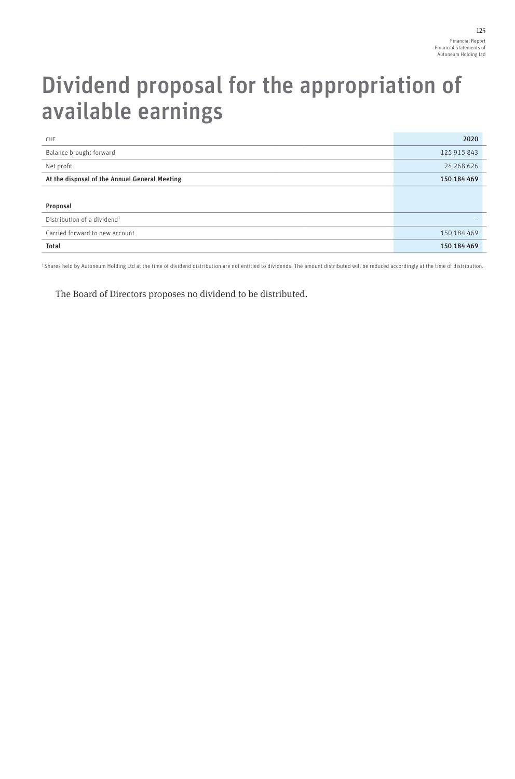## Dividend proposal for the appropriation of available earnings

| CHF                                           | 2020        |
|-----------------------------------------------|-------------|
| Balance brought forward                       | 125 915 843 |
| Net profit                                    | 24 268 626  |
| At the disposal of the Annual General Meeting | 150 184 469 |
|                                               |             |
| Proposal                                      |             |
| Distribution of a dividend <sup>1</sup>       |             |
| Carried forward to new account                | 150 184 469 |
| <b>Total</b>                                  | 150 184 469 |

1 Shares held by Autoneum Holding Ltd at the time of dividend distribution are not entitled to dividends. The amount distributed will be reduced accordingly at the time of distribution.

The Board of Directors proposes no dividend to be distributed.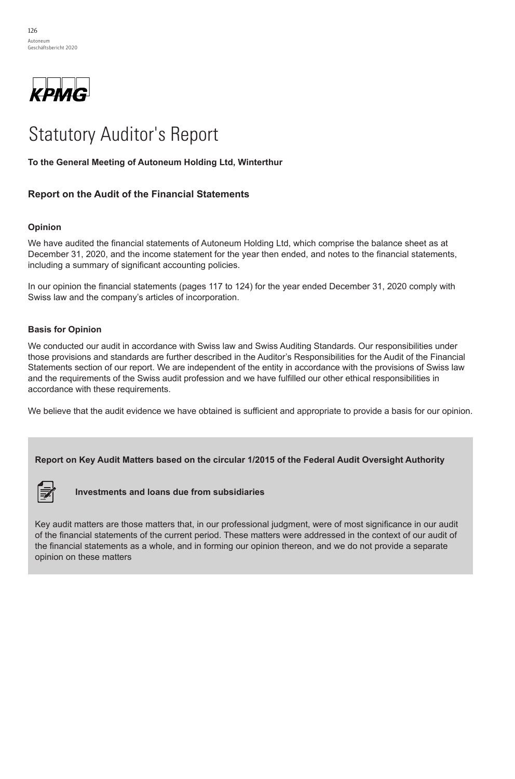

# Statutory Auditor's Report Statutory Auditor's Report

## **To the General Meeting of Autoneum Holding Ltd, Winterthur To the General Meeting of Autoneum Holding Ltd, Winterthur**

## **Report on the Audit of the Financial Statements Report on the Audit of the Financial Statements**

#### **Opinion** We have audited the financial statements of Autoneum Holding Ltd, which comprise the balance sheet as at

We have audited the financial statements of Autoneum Holding Ltd, which comprise the balance sheet as at The name addition the imational elaterments of ridiometric mediating Etd, which computes the statements of December 31, 2020, and the income statement for the year then ended, and notes to the financial statements, including a summary of significant accounting policies.

In our opinion the financial statements (pages 117 to 124) for the year ended December 31, 2020 comply with Swiss law and the company's articles of incorporation.

#### those provisions and standards are further described in the Auditor's Responsibilities for the Auditor's Responsibilities for the Audit of the Audit of the Audit of the Financial of the Financial of the Financial of the Fi Statements section of our report. We are independent of the entity in accordance with the provisions of Swiss law

We conducted our audit in accordance with Swiss law and Swiss Auditing Standards. Our responsibilities under those provisions and standards are further described in the Auditor's Responsibilities for the Audit of the Financial Statements section of our report. We are independent of the entity in accordance with the provisions of Swiss law and the requirements of the Swiss audit profession and we have fulfilled our other ethical responsibilities in accordance with these requirements.

We believe that the audit evidence we have obtained is sufficient and appropriate to provide a basis for our opinion.

#### **Report on Key Audit Matters based on the circular 1/2015 of the Federal Audit Oversight Authority**



**Investments and loans due from subsidiaries** the financial statements of the current period. These matters were addressed in the context of our audit of the  $\mathcal{F}$  investments and loans due from subsidiaries and we do not provide a separate opinion there are not provide a separate opinion there are  $\mathcal{F}$ 

Key audit matters are those matters that, in our professional judgment, were of most significance in our audit of the financial statements of the current period. These matters were addressed in the context of our audit of the financial statements as a whole, and in forming our opinion thereon, and we do not provide a separate opinion on these matters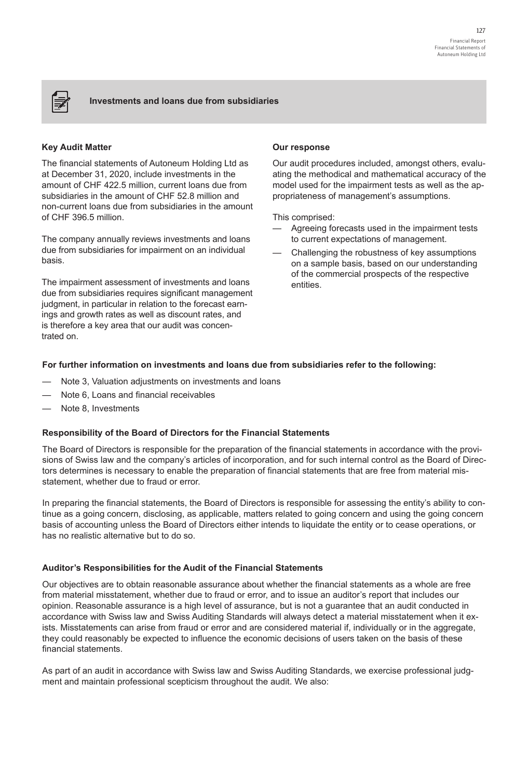## **Investments and loans due from subsidiaries**

### **Key Audit Matter**

序

The financial statements of Autoneum Holding Ltd as at December 31, 2020, include investments in the amount of CHF 422.5 million, current loans due from subsidiaries in the amount of CHF 52.8 million and non-current loans due from subsidiaries in the amount of CHF 396.5 million.

The company annually reviews investments and loans due from subsidiaries for impairment on an individual basis.

The impairment assessment of investments and loans due from subsidiaries requires significant management judgment, in particular in relation to the forecast earnings and growth rates as well as discount rates, and is therefore a key area that our audit was concentrated on.

#### **Our response**

Our audit procedures included, amongst others, evaluating the methodical and mathematical accuracy of the model used for the impairment tests as well as the appropriateness of management's assumptions.

This comprised:

- Agreeing forecasts used in the impairment tests to current expectations of management.
- Challenging the robustness of key assumptions on a sample basis, based on our understanding of the commercial prospects of the respective entities.

## **For further information on investments and loans due from subsidiaries refer to the following:**

- Note 3, Valuation adjustments on investments and loans
- Note 6, Loans and financial receivables
- Note 8, Investments

#### **Responsibility of the Board of Directors for the Financial Statements**

The Board of Directors is responsible for the preparation of the financial statements in accordance with the provisions of Swiss law and the company's articles of incorporation, and for such internal control as the Board of Directors determines is necessary to enable the preparation of financial statements that are free from material misstatement, whether due to fraud or error.

In preparing the financial statements, the Board of Directors is responsible for assessing the entity's ability to continue as a going concern, disclosing, as applicable, matters related to going concern and using the going concern basis of accounting unless the Board of Directors either intends to liquidate the entity or to cease operations, or has no realistic alternative but to do so.

#### **Auditor's Responsibilities for the Audit of the Financial Statements**

Our objectives are to obtain reasonable assurance about whether the financial statements as a whole are free from material misstatement, whether due to fraud or error, and to issue an auditor's report that includes our opinion. Reasonable assurance is a high level of assurance, but is not a guarantee that an audit conducted in accordance with Swiss law and Swiss Auditing Standards will always detect a material misstatement when it exists. Misstatements can arise from fraud or error and are considered material if, individually or in the aggregate, they could reasonably be expected to influence the economic decisions of users taken on the basis of these financial statements.

As part of an audit in accordance with Swiss law and Swiss Auditing Standards, we exercise professional judgment and maintain professional scepticism throughout the audit. We also: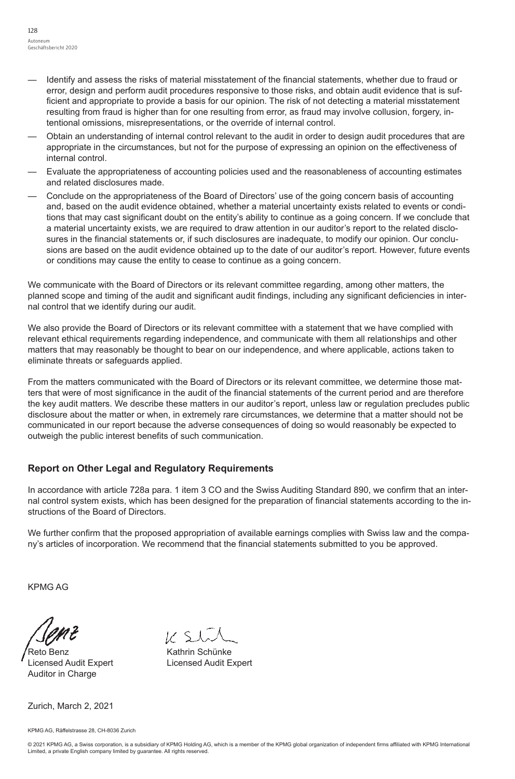- —— Identify and assess the risks of material misstatement of the financial statements, whether due to fraud or error, design and perform audit procedures responsive to those risks, and obtain audit evidence that is sufficient and appropriate to provide a basis for our opinion. The risk of not detecting a material misstatement resulting from fraud is higher than for one resulting from error, as fraud may involve collusion, forgery, intentional omissions, misrepresentations, or the override of internal control.
- —— Obtain an understanding of internal control relevant to the audit in order to design audit procedures that are appropriate in the circumstances, but not for the purpose of expressing an opinion on the effectiveness of internal control.
- —— Evaluate the appropriateness of accounting policies used and the reasonableness of accounting estimates and related disclosures made.
- —— Conclude on the appropriateness of the Board of Directors' use of the going concern basis of accounting and, based on the audit evidence obtained, whether a material uncertainty exists related to events or conditions that may cast significant doubt on the entity's ability to continue as a going concern. If we conclude that a material uncertainty exists, we are required to draw attention in our auditor's report to the related disclosures in the financial statements or, if such disclosures are inadequate, to modify our opinion. Our conclusions are based on the audit evidence obtained up to the date of our auditor's report. However, future events or conditions may cause the entity to cease to continue as a going concern.

We communicate with the Board of Directors or its relevant committee regarding, among other matters, the planned scope and timing of the audit and significant audit findings, including any significant deficiencies in internal control that we identify during our audit.

We also provide the Board of Directors or its relevant committee with a statement that we have complied with relevant ethical requirements regarding independence, and communicate with them all relationships and other matters that may reasonably be thought to bear on our independence, and where applicable, actions taken to eliminate threats or safeguards applied.

From the matters communicated with the Board of Directors or its relevant committee, we determine those matters that were of most significance in the audit of the financial statements of the current period and are therefore the key audit matters. We describe these matters in our auditor's report, unless law or regulation precludes public disclosure about the matter or when, in extremely rare circumstances, we determine that a matter should not be communicated in our report because the adverse consequences of doing so would reasonably be expected to outweigh the public interest benefits of such communication.

## **Report on Other Legal and Regulatory Requirements**

In accordance with article 728a para. 1 item 3 CO and the Swiss Auditing Standard 890, we confirm that an internal control system exists, which has been designed for the preparation of financial statements according to the instructions of the Board of Directors.

We further confirm that the proposed appropriation of available earnings complies with Swiss law and the company's articles of incorporation. We recommend that the financial statements submitted to you be approved.

KPMG AG

Reto Benz **Kathrin Schünke** Licensed Audit Expert Licensed Audit Expert Auditor in Charge

 $11.51$ 

Zurich, March 2, 2021

KPMG AG, Räffelstrasse 28, CH-8036 Zurich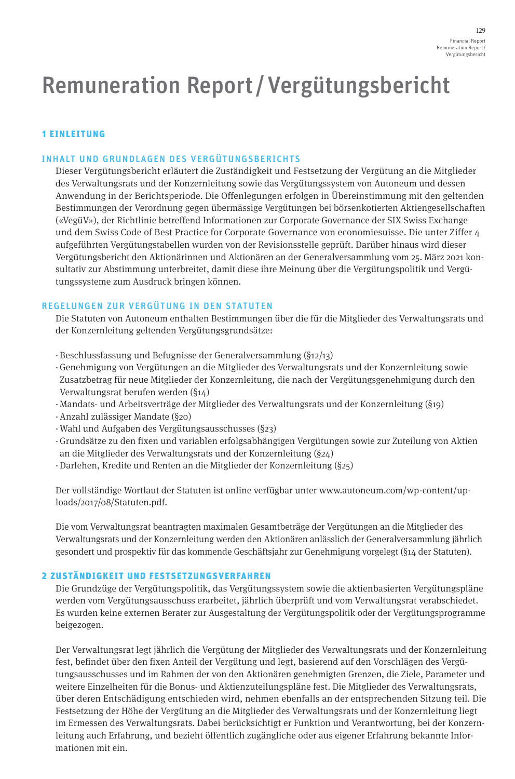# Remuneration Report/Vergütungsbericht

## 1 EINLEITUNG

## INHALT UND GRUNDLAGEN DES VERGÜTUNGSBERICHTS

Dieser Vergütungsbericht erläutert die Zuständigkeit und Festsetzung der Vergütung an die Mitglieder des Verwaltungsrats und der Konzernleitung sowie das Vergütungssystem von Autoneum und dessen Anwendung in der Berichtsperiode. Die Offenlegungen erfolgen in Übereinstimmung mit den geltenden Bestimmungen der Verordnung gegen übermässige Vergütungen bei börsenkotierten Aktiengesellschaften («VegüV»), der Richtlinie betreffend Informationen zur Corporate Governance der SIX Swiss Exchange und dem Swiss Code of Best Practice for Corporate Governance von economiesuisse. Die unter Ziffer 4 aufgeführten Vergütungstabellen wurden von der Revisionsstelle geprüft. Darüber hinaus wird dieser Vergütungsbericht den Aktionärinnen und Aktionären an der Generalversammlung vom 25. März 2021 konsultativ zur Abstimmung unterbreitet, damit diese ihre Meinung über die Vergütungspolitik und Vergütungssysteme zum Ausdruck bringen können.

## REGELUNGEN ZUR VERGÜTUNG IN DEN STATUTEN

Die Statuten von Autoneum enthalten Bestimmungen über die für die Mitglieder des Verwaltungsrats und der Konzernleitung geltenden Vergütungsgrundsätze:

- · Beschlussfassung und Befugnisse der Generalversammlung (§12/13)
- · Genehmigung von Vergütungen an die Mitglieder des Verwaltungsrats und der Konzernleitung sowie Zusatzbetrag für neue Mitglieder der Konzernleitung, die nach der Vergütungsgenehmigung durch den Verwaltungsrat berufen werden (§14)
- · Mandats- und Arbeitsverträge der Mitglieder des Verwaltungsrats und der Konzernleitung (§19)
- · Anzahl zulässiger Mandate (§20)
- · Wahl und Aufgaben des Vergütungsausschusses (§23)
- · Grundsätze zu den fixen und variablen erfolgsabhängigen Vergütungen sowie zur Zuteilung von Aktien an die Mitglieder des Verwaltungsrats und der Konzernleitung (§24)
- · Darlehen, Kredite und Renten an die Mitglieder der Konzernleitung (§25)

Der vollständige Wortlaut der Statuten ist online verfügbar unter [www.autoneum.com/wp-content/up](http://www.autoneum.com/wp-content/uploads/2017/08/Statuten.pdf)[loads/2017/08/Statuten.pdf](http://www.autoneum.com/wp-content/uploads/2017/08/Statuten.pdf).

Die vom Verwaltungsrat beantragten maximalen Gesamtbeträge der Vergütungen an die Mitglieder des Verwaltungsrats und der Konzernleitung werden den Aktionären anlässlich der Generalversammlung jährlich gesondert und prospektiv für das kommende Geschäftsjahr zur Genehmigung vorgelegt (§14 der Statuten).

## 2 ZUSTÄNDIGKEIT UND FESTSETZUNGSVERFAHREN

Die Grundzüge der Vergütungspolitik, das Vergütungssystem sowie die aktienbasierten Vergütungspläne werden vom Vergütungsausschuss erarbeitet, jährlich überprüft und vom Verwaltungsrat verabschiedet. Es wurden keine externen Berater zur Ausgestaltung der Vergütungspolitik oder der Vergütungsprogramme beigezogen.

Der Verwaltungsrat legt jährlich die Vergütung der Mitglieder des Verwaltungsrats und der Konzernleitung fest, befindet über den fixen Anteil der Vergütung und legt, basierend auf den Vorschlägen des Vergütungsausschusses und im Rahmen der von den Aktionären genehmigten Grenzen, die Ziele, Parameter und weitere Einzelheiten für die Bonus- und Aktienzuteilungspläne fest. Die Mitglieder des Verwaltungsrats, über deren Entschädigung entschieden wird, nehmen ebenfalls an der entsprechenden Sitzung teil. Die Festsetzung der Höhe der Vergütung an die Mitglieder des Verwaltungsrats und der Konzernleitung liegt im Ermessen des Verwaltungsrats. Dabei berücksichtigt er Funktion und Verantwortung, bei der Konzernleitung auch Erfahrung, und bezieht öffentlich zugängliche oder aus eigener Erfahrung bekannte Informationen mit ein.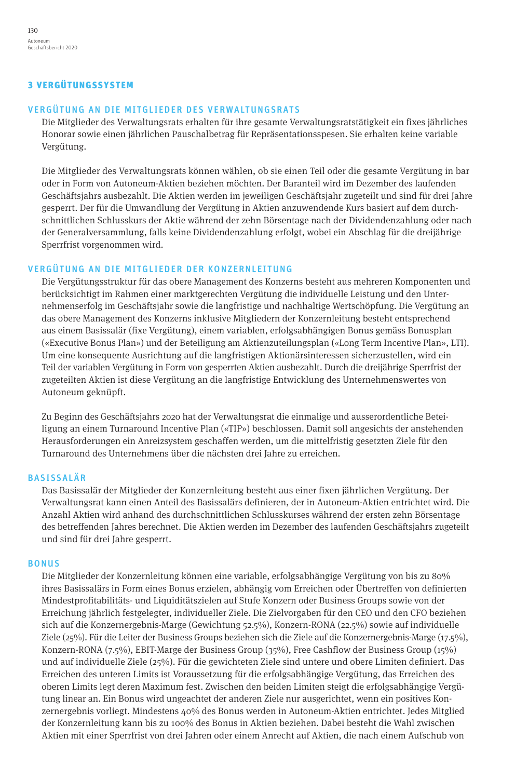## 3 VERGÜTUNGSSYSTEM

## VERGÜTUNG AN DIE MITGLIEDER DES VERWALTUNGSRATS

Die Mitglieder des Verwaltungsrats erhalten für ihre gesamte Verwaltungsratstätigkeit ein fixes jährliches Honorar sowie einen jährlichen Pauschalbetrag für Repräsentationsspesen. Sie erhalten keine variable Vergütung.

Die Mitglieder des Verwaltungsrats können wählen, ob sie einen Teil oder die gesamte Vergütung in bar oder in Form von Autoneum-Aktien beziehen möchten. Der Baranteil wird im Dezember des laufenden Geschäftsjahrs ausbezahlt. Die Aktien werden im jeweiligen Geschäftsjahr zugeteilt und sind für drei Jahre gesperrt. Der für die Umwandlung der Vergütung in Aktien anzuwendende Kurs basiert auf dem durchschnittlichen Schlusskurs der Aktie während der zehn Börsentage nach der Dividendenzahlung oder nach der Generalversammlung, falls keine Dividendenzahlung erfolgt, wobei ein Abschlag für die dreijährige Sperrfrist vorgenommen wird.

## VERGÜTUNG AN DIE MITGLIEDER DER KONZERNLEITUNG

Die Vergütungsstruktur für das obere Management des Konzerns besteht aus mehreren Komponenten und berücksichtigt im Rahmen einer marktgerechten Vergütung die individuelle Leistung und den Unternehmenserfolg im Geschäftsjahr sowie die langfristige und nachhaltige Wertschöpfung. Die Vergütung an das obere Management des Konzerns inklusive Mitgliedern der Konzernleitung besteht entsprechend aus einem Basissalär (fixe Vergütung), einem variablen, erfolgsabhängigen Bonus gemäss Bonusplan («Executive Bonus Plan») und der Beteiligung am Aktienzuteilungsplan («Long Term Incentive Plan», LTI). Um eine konsequente Ausrichtung auf die langfristigen Aktionärsinteressen sicherzustellen, wird ein Teil der variablen Vergütung in Form von gesperrten Aktien ausbezahlt. Durch die dreijährige Sperrfrist der zugeteilten Aktien ist diese Vergütung an die langfristige Entwicklung des Unternehmenswertes von Autoneum geknüpft.

Zu Beginn des Geschäftsjahrs 2020 hat der Verwaltungsrat die einmalige und ausserordentliche Beteiligung an einem Turnaround Incentive Plan («TIP») beschlossen. Damit soll angesichts der anstehenden Herausforderungen ein Anreizsystem geschaffen werden, um die mittelfristig gesetzten Ziele für den Turnaround des Unternehmens über die nächsten drei Jahre zu erreichen.

## BASISSALÄR

Das Basissalär der Mitglieder der Konzernleitung besteht aus einer fixen jährlichen Vergütung. Der Verwaltungsrat kann einen Anteil des Basissalärs definieren, der in Autoneum-Aktien entrichtet wird. Die Anzahl Aktien wird anhand des durchschnittlichen Schlusskurses während der ersten zehn Börsentage des betreffenden Jahres berechnet. Die Aktien werden im Dezember des laufenden Geschäftsjahrs zugeteilt und sind für drei Jahre gesperrt.

## BONUS

Die Mitglieder der Konzernleitung können eine variable, erfolgsabhängige Vergütung von bis zu 80% ihres Basissalärs in Form eines Bonus erzielen, abhängig vom Erreichen oder Übertreffen von definierten Mindestprofitabilitäts- und Liquiditätszielen auf Stufe Konzern oder Business Groups sowie von der Erreichung jährlich festgelegter, individueller Ziele. Die Zielvorgaben für den CEO und den CFO beziehen sich auf die Konzernergebnis-Marge (Gewichtung 52.5%), Konzern-RONA (22.5%) sowie auf individuelle Ziele (25%). Für die Leiter der Business Groups beziehen sich die Ziele auf die Konzernergebnis-Marge (17.5%), Konzern-RONA (7.5%), EBIT-Marge der Business Group (35%), Free Cashflow der Business Group (15%) und auf individuelle Ziele (25%). Für die gewichteten Ziele sind untere und obere Limiten definiert. Das Erreichen des unteren Limits ist Voraussetzung für die erfolgsabhängige Vergütung, das Erreichen des oberen Limits legt deren Maximum fest. Zwischen den beiden Limiten steigt die erfolgsabhängige Vergütung linear an. Ein Bonus wird ungeachtet der anderen Ziele nur ausgerichtet, wenn ein positives Konzernergebnis vorliegt. Mindestens 40% des Bonus werden in Autoneum-Aktien entrichtet. Jedes Mitglied der Konzernleitung kann bis zu 100% des Bonus in Aktien beziehen. Dabei besteht die Wahl zwischen Aktien mit einer Sperrfrist von drei Jahren oder einem Anrecht auf Aktien, die nach einem Aufschub von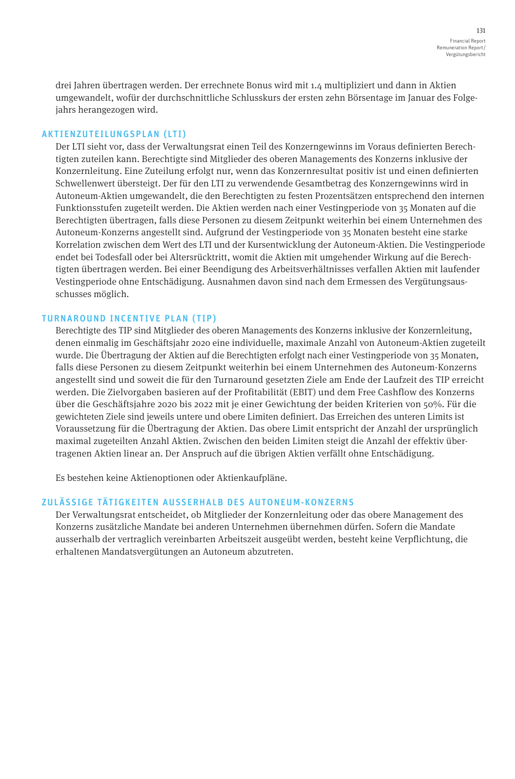drei Jahren übertragen werden. Der errechnete Bonus wird mit 1.4 multipliziert und dann in Aktien umgewandelt, wofür der durchschnittliche Schlusskurs der ersten zehn Börsentage im Januar des Folgejahrs herangezogen wird.

## AKTIENZUTEILUNGSPLAN (LTI)

Der LTI sieht vor, dass der Verwaltungsrat einen Teil des Konzerngewinns im Voraus definierten Berechtigten zuteilen kann. Berechtigte sind Mitglieder des oberen Managements des Konzerns inklusive der Konzernleitung. Eine Zuteilung erfolgt nur, wenn das Konzernresultat positiv ist und einen definierten Schwellenwert übersteigt. Der für den LTI zu verwendende Gesamtbetrag des Konzerngewinns wird in Autoneum-Aktien umgewandelt, die den Berechtigten zu festen Prozentsätzen entsprechend den internen Funktionsstufen zugeteilt werden. Die Aktien werden nach einer Vestingperiode von 35 Monaten auf die Berechtigten übertragen, falls diese Personen zu diesem Zeitpunkt weiterhin bei einem Unternehmen des Autoneum-Konzerns angestellt sind. Aufgrund der Vestingperiode von 35 Monaten besteht eine starke Korrelation zwischen dem Wert des LTI und der Kursentwicklung der Autoneum-Aktien. Die Vestingperiode endet bei Todesfall oder bei Altersrücktritt, womit die Aktien mit umgehender Wirkung auf die Berechtigten übertragen werden. Bei einer Beendigung des Arbeitsverhältnisses verfallen Aktien mit laufender Vestingperiode ohne Entschädigung. Ausnahmen davon sind nach dem Ermessen des Vergütungsausschusses möglich.

## TURNAROUND INCENTIVE PLAN (TIP)

Berechtigte des TIP sind Mitglieder des oberen Managements des Konzerns inklusive der Konzernleitung, denen einmalig im Geschäftsjahr 2020 eine individuelle, maximale Anzahl von Autoneum-Aktien zugeteilt wurde. Die Übertragung der Aktien auf die Berechtigten erfolgt nach einer Vestingperiode von 35 Monaten, falls diese Personen zu diesem Zeitpunkt weiterhin bei einem Unternehmen des Autoneum-Konzerns angestellt sind und soweit die für den Turnaround gesetzten Ziele am Ende der Laufzeit des TIP erreicht werden. Die Zielvorgaben basieren auf der Profitabilität (EBIT) und dem Free Cashflow des Konzerns über die Geschäftsjahre 2020 bis 2022 mit je einer Gewichtung der beiden Kriterien von 50%. Für die gewichteten Ziele sind jeweils untere und obere Limiten definiert. Das Erreichen des unteren Limits ist Voraussetzung für die Übertragung der Aktien. Das obere Limit entspricht der Anzahl der ursprünglich maximal zugeteilten Anzahl Aktien. Zwischen den beiden Limiten steigt die Anzahl der effektiv übertragenen Aktien linear an. Der Anspruch auf die übrigen Aktien verfällt ohne Entschädigung.

Es bestehen keine Aktienoptionen oder Aktienkaufpläne.

## ZULÄSSIGE TÄTIGKEITEN AUSSERHALB DES AUTONEUM-KONZERNS

Der Verwaltungsrat entscheidet, ob Mitglieder der Konzernleitung oder das obere Management des Konzerns zusätzliche Mandate bei anderen Unternehmen übernehmen dürfen. Sofern die Mandate ausserhalb der vertraglich vereinbarten Arbeitszeit ausgeübt werden, besteht keine Verpflichtung, die erhaltenen Mandatsvergütungen an Autoneum abzutreten.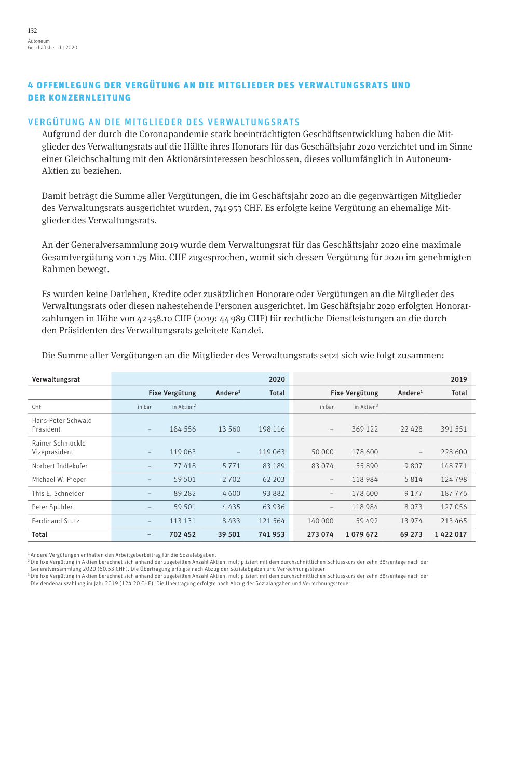## 4 OFFENLEGUNG DER VERGÜTUNG AN DIE MITGLIEDER DES VERWALTUNGSRATS UND DER KONZERNLEITUNG

## VERGÜTUNG AN DIE MITGLIEDER DES VERWALTUNGSRATS

Aufgrund der durch die Coronapandemie stark beeinträchtigten Geschäftsentwicklung haben die Mitglieder des Verwaltungsrats auf die Hälfte ihres Honorars für das Geschäftsjahr 2020 verzichtet und im Sinne einer Gleichschaltung mit den Aktionärsinteressen beschlossen, dieses vollumfänglich in Autoneum-Aktien zu beziehen.

Damit beträgt die Summe aller Vergütungen, die im Geschäftsjahr 2020 an die gegenwärtigen Mitglieder des Verwaltungsrats ausgerichtet wurden, 741 953 CHF. Es erfolgte keine Vergütung an ehemalige Mitglieder des Verwaltungsrats.

An der Generalversammlung 2019 wurde dem Verwaltungsrat für das Geschäftsjahr 2020 eine maximale Gesamtvergütung von 1.75 Mio. CHF zugesprochen, womit sich dessen Vergütung für 2020 im genehmigten Rahmen bewegt.

Es wurden keine Darlehen, Kredite oder zusätzlichen Honorare oder Vergütungen an die Mitglieder des Verwaltungsrats oder diesen nahestehende Personen ausgerichtet. Im Geschäftsjahr 2020 erfolgten Honorarzahlungen in Höhe von 42 358.10 CHF (2019: 44 989 CHF) für rechtliche Dienstleistungen an die durch den Präsidenten des Verwaltungsrats geleitete Kanzlei.

| Verwaltungsrat                    |                          |                        |                     | 2020         |                          |                        |                          | 2019         |
|-----------------------------------|--------------------------|------------------------|---------------------|--------------|--------------------------|------------------------|--------------------------|--------------|
|                                   |                          | <b>Fixe Vergütung</b>  | Andere <sup>1</sup> | <b>Total</b> |                          | <b>Fixe Vergütung</b>  |                          | <b>Total</b> |
| CHF                               | in bar                   | in Aktien <sup>2</sup> |                     |              | in bar                   | in Aktien <sup>3</sup> |                          |              |
| Hans-Peter Schwald<br>Präsident   | $\overline{\phantom{a}}$ | 184 556                | 13 560              | 198 116      | $\overline{\phantom{a}}$ | 369 122                | 22 4 28                  | 391 551      |
| Rainer Schmückle<br>Vizepräsident | $\overline{\phantom{0}}$ | 119 063                | $\qquad \qquad -$   | 119 063      | 50 000                   | 178 600                | $\overline{\phantom{a}}$ | 228 600      |
| Norbert Indlekofer                | $\qquad \qquad -$        | 77418                  | 5 7 7 1             | 83 189       | 83 074                   | 55890                  | 9807                     | 148 771      |
| Michael W. Pieper                 | -                        | 59 501                 | 2 7 0 2             | 62 203       | $\overline{\phantom{m}}$ | 118 984                | 5814                     | 124 798      |
| This E. Schneider                 | -                        | 89 28 2                | 4600                | 93 882       | $\qquad \qquad -$        | 178 600                | 9 1 7 7                  | 187 776      |
| Peter Spuhler                     | $\qquad \qquad -$        | 59 501                 | 4435                | 63 9 36      | $\overline{\phantom{m}}$ | 118 984                | 8073                     | 127 056      |
| <b>Ferdinand Stutz</b>            | $\qquad \qquad -$        | 113 131                | 8433                | 121 564      | 140 000                  | 59 492                 | 13 974                   | 213 465      |
| Total                             | -                        | 702 452                | 39 501              | 741953       | 273 074                  | 1079672                | 69 273                   | 1422017      |

Die Summe aller Vergütungen an die Mitglieder des Verwaltungsrats setzt sich wie folgt zusammen:

1 Andere Vergütungen enthalten den Arbeitgeberbeitrag für die Sozialabgaben.

2 Die fixe Vergütung in Aktien berechnet sich anhand der zugeteilten Anzahl Aktien, multipliziert mit dem durchschnittlichen Schlusskurs der zehn Börsentage nach der

Generalversammlung 2020 (60.53 CHF). Die Übertragung erfolgte nach Abzug der Sozialabgaben und Verrechnungssteuer.

3 Die fixe Vergütung in Aktien berechnet sich anhand der zugeteilten Anzahl Aktien, multipliziert mit dem durchschnittlichen Schlusskurs der zehn Börsentage nach der Dividendenauszahlung im Jahr 2019 (124.20 CHF). Die Übertragung erfolgte nach Abzug der Sozialabgaben und Verrechnungssteuer.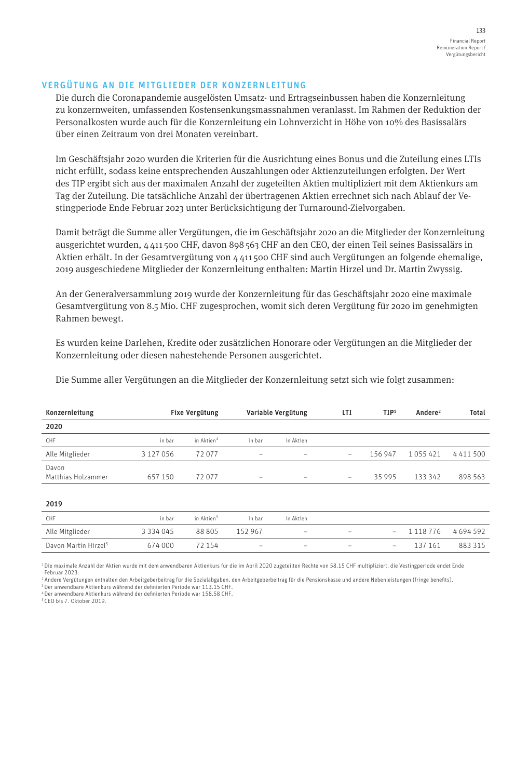#### VERGÜTUNG AN DIE MITGLIEDER DER KONZERNLEITUNG

Die durch die Coronapandemie ausgelösten Umsatz- und Ertragseinbussen haben die Konzernleitung zu konzernweiten, umfassenden Kostensenkungsmassnahmen veranlasst. Im Rahmen der Reduktion der Personalkosten wurde auch für die Konzernleitung ein Lohnverzicht in Höhe von 10% des Basissalärs über einen Zeitraum von drei Monaten vereinbart.

Im Geschäftsjahr 2020 wurden die Kriterien für die Ausrichtung eines Bonus und die Zuteilung eines LTIs nicht erfüllt, sodass keine entsprechenden Auszahlungen oder Aktienzuteilungen erfolgten. Der Wert des TIP ergibt sich aus der maximalen Anzahl der zugeteilten Aktien multipliziert mit dem Aktienkurs am Tag der Zuteilung. Die tatsächliche Anzahl der übertragenen Aktien errechnet sich nach Ablauf der Vestingperiode Ende Februar 2023 unter Berücksichtigung der Turnaround-Zielvorgaben.

Damit beträgt die Summe aller Vergütungen, die im Geschäftsjahr 2020 an die Mitglieder der Konzernleitung ausgerichtet wurden, 4 411 500 CHF, davon 898 563 CHF an den CEO, der einen Teil seines Basissalärs in Aktien erhält. In der Gesamtvergütung von 4 411 500 CHF sind auch Vergütungen an folgende ehemalige, 2019 ausgeschiedene Mitglieder der Konzernleitung enthalten: Martin Hirzel und Dr. Martin Zwyssig.

An der Generalversammlung 2019 wurde der Konzernleitung für das Geschäftsjahr 2020 eine maximale Gesamtvergütung von 8.5 Mio. CHF zugesprochen, womit sich deren Vergütung für 2020 im genehmigten Rahmen bewegt.

Es wurden keine Darlehen, Kredite oder zusätzlichen Honorare oder Vergütungen an die Mitglieder der Konzernleitung oder diesen nahestehende Personen ausgerichtet.

Die Summe aller Vergütungen an die Mitglieder der Konzernleitung setzt sich wie folgt zusammen:

| Konzernleitung                   | <b>Fixe Vergütung</b> |                        | Variable Vergütung       |                          | LTI                      | TIP <sup>1</sup>         | Andere <sup>2</sup> | <b>Total</b>  |
|----------------------------------|-----------------------|------------------------|--------------------------|--------------------------|--------------------------|--------------------------|---------------------|---------------|
| 2020                             |                       |                        |                          |                          |                          |                          |                     |               |
| CHF                              | in bar                | in Aktien <sup>3</sup> | in bar                   | in Aktien                |                          |                          |                     |               |
| Alle Mitglieder                  | 3 127 056             | 72077                  | ۰                        |                          | $\overline{\phantom{0}}$ | 156 947                  | 1055421             | 4 4 1 1 5 0 0 |
| Davon<br>Matthias Holzammer      | 657 150               | 72077                  | $\overline{\phantom{0}}$ |                          | $\overline{\phantom{m}}$ | 35 9 9 5                 | 133 342             | 898 563       |
| 2019                             |                       |                        |                          |                          |                          |                          |                     |               |
| CHF                              | in bar                | in Aktien <sup>4</sup> | in bar                   | in Aktien                |                          |                          |                     |               |
| Alle Mitglieder                  | 3 3 3 4 0 4 5         | 88 805                 | 152 967                  | $\overline{\phantom{0}}$ | -                        | $\overline{\phantom{a}}$ | 1 1 1 8 7 7 6       | 4694592       |
| Davon Martin Hirzel <sup>5</sup> | 674 000               | 72 154                 | ۰                        |                          | -                        | $\overline{\phantom{0}}$ | 137 161             | 883 315       |

1 Die maximale Anzahl der Aktien wurde mit dem anwendbaren Aktienkurs für die im April 2020 zugeteilten Rechte von 58.15 CHF multipliziert, die Vestingperiode endet Ende Februar 2023.

2 Andere Vergütungen enthalten den Arbeitgeberbeitrag für die Sozialabgaben, den Arbeitgeberbeitrag für die Pensionskasse und andere Nebenleistungen (fringe benefits).

3 Der anwendbare Aktienkurs während der definierten Periode war 113.15 CHF.

4 Der anwendbare Aktienkurs während der definierten Periode war 158.58 CHF.

5 CEO bis 7. Oktober 2019.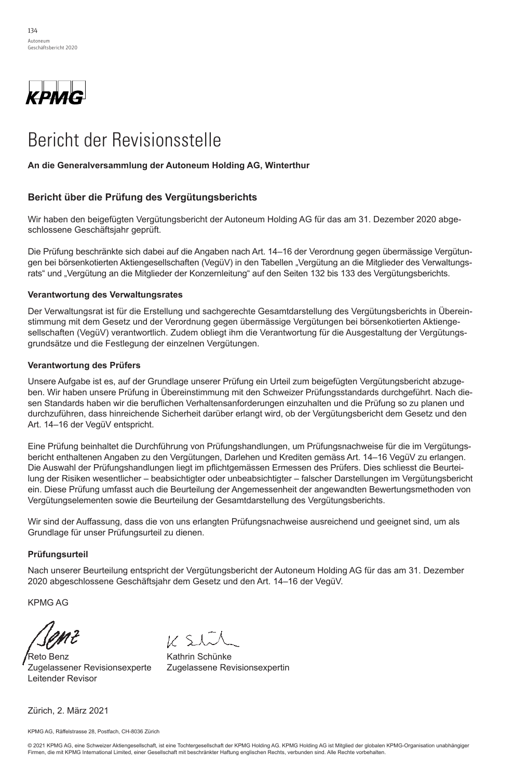

# Bericht der Revisionsstelle

### **To the General Meeting of Autoneum Holding Ltd, Winterthur An die Generalversammlung der Autoneum Holding AG, Winterthur**

#### **Report on the Audit of the Consolidated Financial Statements Bericht über die Prüfung des Vergütungsberichts**

**Opinion**  Wir haben den beigefügten Vergütungsbericht der Autoneum Holding AG für das am 31. Dezember 2020 abgeschlossene Geschäftsjahr geprüft.

Die Prüfung beschränkte sich dabei auf die Angaben nach Art. 14–16 der Verordnung gegen übermässige Vergütungen bei börsenkotierten Aktiengesellschaften (VegüV) in den Tabellen "Vergütung an die Mitglieder des Verwaltungsy<br>rats" und "Vergütung an die Mitglieder der Konzernleitung" auf den Seiten 132 bis 133 des Vergütungsberichts.

### financial position of the Group as at December 31, 2017, and its consolidated financial performance and its **Verantwortung des Verwaltungsrates**

Der Verwaltungsrat ist für die Erstellung und sachgerechte Gesamtdarstellung des Vergütungsberichts in Uberein-**Basis for Opinion**  grundsätze und die Festlegung der einzelnen Vergütungen. stimmung mit dem Gesetz und der Verordnung gegen übermässige Vergütungen bei börsenkotierten Aktiengesellschaften (VegüV) verantwortlich. Zudem obliegt ihm die Verantwortung für die Ausgestaltung der Vergütungs-

### Auditing Standards. Our responsibilities under those provisions and standards are further described in the **Verantwortung des Prüfers**

Unsere Aufgabe ist es, auf der Grundlage unserer Prüfung ein Urteil zum beigefügten Vergütungsbericht abzugeben. Wir haben unsere Prüfung in Übereinstimmung mit den Schweizer Prüfungsstandards durchgeführt. Nach diesen Standards haben wir die beruflichen Verhaltensanforderungen einzuhalten und die Prüfung so zu planen und durchzuführen, dass hinreichende Sicherheit darüber erlangt wird, ob der Vergütungsbericht dem Gesetz und den Art. 14–16 der VegüV entspricht.

Die Auswahl der Prüfungshandlungen liegt im pflichtgemässen Ermessen des Prüfers. Dies schliesst die Beurtei-**Deferred Tax Assets**  Vergütungselementen sowie die Beurteilung der Gesamtdarstellung des Vergütungsberichts. Eine Prüfung beinhaltet die Durchführung von Prüfungshandlungen, um Prüfungsnachweise für die im Vergütungsbericht enthaltenen Angaben zu den Vergütungen, Darlehen und Krediten gemäss Art. 14–16 VegüV zu erlangen. lung der Risiken wesentlicher – beabsichtigter oder unbeabsichtigter – falscher Darstellungen im Vergütungsbericht ein. Diese Prüfung umfasst auch die Beurteilung der Angemessenheit der angewandten Bewertungsmethoden von

Grundlage für unser Prüfungsurteil zu dienen.  $\,$ Wir sind der Auffassung, dass die von uns erlangten Prüfungsnachweise ausreichend und geeignet sind, um als

#### audit of the consolidated financial statements as a whole, and in forming our opinion thereon, and we do not **Prüfungsurteil** provide a separate opinion on the separate opinion of the separate opinion on the separate opinion of the separate opinion of the separate opinion of the separate opinion of the separate opinion of the separate opinion of

Nach unserer Beurteilung entspricht der Vergütungsbericht der Autoneum Holding AG für das am 31. Dezember 2020 abgeschlossene Geschäftsjahr dem Gesetz und den Art. 14–16 der VegüV.

KPMG AG

<sup>'</sup>Reto Benz **Kathrin Schünke** Zugelassener Revisionsexperte Zugelassene Revisionsexpertin Leitender Revisor

 $1/51$ 

Zürich, 2. März 2021

KPMG AG, Räffelstrasse 28, Postfach, CH-8036 Zürich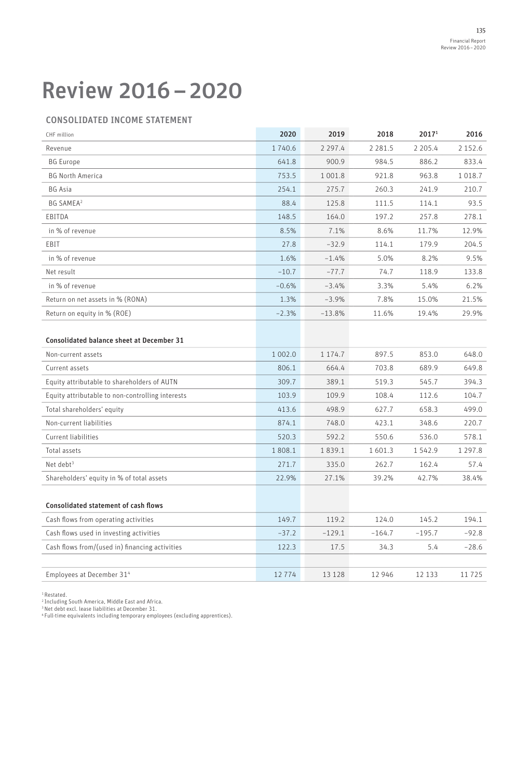## Review 2016–2020

### CONSOLIDATED INCOME STATEMENT

| CHF million                                      | 2020        | 2019        | 2018        | 20171     | 2016        |
|--------------------------------------------------|-------------|-------------|-------------|-----------|-------------|
| Revenue                                          | 1740.6      | 2 2 9 7 . 4 | 2 2 8 1 . 5 | 2 2 0 5.4 | 2 1 5 2 . 6 |
| <b>BG</b> Europe                                 | 641.8       | 900.9       | 984.5       | 886.2     | 833.4       |
| <b>BG North America</b>                          | 753.5       | 1 001.8     | 921.8       | 963.8     | 1 0 1 8 . 7 |
| <b>BG</b> Asia                                   | 254.1       | 275.7       | 260.3       | 241.9     | 210.7       |
| <b>BG SAMEA</b> <sup>2</sup>                     | 88.4        | 125.8       | 111.5       | 114.1     | 93.5        |
| EBITDA                                           | 148.5       | 164.0       | 197.2       | 257.8     | 278.1       |
| in % of revenue                                  | 8.5%        | 7.1%        | 8.6%        | 11.7%     | 12.9%       |
| EBIT                                             | 27.8        | $-32.9$     | 114.1       | 179.9     | 204.5       |
| in % of revenue                                  | 1.6%        | $-1.4%$     | 5.0%        | 8.2%      | 9.5%        |
| Net result                                       | $-10.7$     | $-77.7$     | 74.7        | 118.9     | 133.8       |
| in % of revenue                                  | $-0.6%$     | $-3.4%$     | 3.3%        | 5.4%      | 6.2%        |
| Return on net assets in % (RONA)                 | 1.3%        | $-3.9%$     | 7.8%        | 15.0%     | 21.5%       |
| Return on equity in % (ROE)                      | $-2.3%$     | $-13.8%$    | 11.6%       | 19.4%     | 29.9%       |
|                                                  |             |             |             |           |             |
| <b>Consolidated balance sheet at December 31</b> |             |             |             |           |             |
| Non-current assets                               | 1 0 0 2 . 0 | 1 174.7     | 897.5       | 853.0     | 648.0       |
| Current assets                                   | 806.1       | 664.4       | 703.8       | 689.9     | 649.8       |
| Equity attributable to shareholders of AUTN      | 309.7       | 389.1       | 519.3       | 545.7     | 394.3       |
| Equity attributable to non-controlling interests | 103.9       | 109.9       | 108.4       | 112.6     | 104.7       |
| Total shareholders' equity                       | 413.6       | 498.9       | 627.7       | 658.3     | 499.0       |
| Non-current liabilities                          | 874.1       | 748.0       | 423.1       | 348.6     | 220.7       |
| Current liabilities                              | 520.3       | 592.2       | 550.6       | 536.0     | 578.1       |
| Total assets                                     | 1808.1      | 1839.1      | 1 601.3     | 1542.9    | 1 2 9 7 . 8 |
| Net debt <sup>3</sup>                            | 271.7       | 335.0       | 262.7       | 162.4     | 57.4        |
| Shareholders' equity in % of total assets        | 22.9%       | 27.1%       | 39.2%       | 42.7%     | 38.4%       |
|                                                  |             |             |             |           |             |
| <b>Consolidated statement of cash flows</b>      |             |             |             |           |             |
| Cash flows from operating activities             | 149.7       | 119.2       | 124.0       | 145.2     | 194.1       |
| Cash flows used in investing activities          | $-37.2$     | $-129.1$    | $-164.7$    | $-195.7$  | $-92.8$     |
| Cash flows from/(used in) financing activities   | 122.3       | 17.5        | 34.3        | 5.4       | $-28.6$     |
|                                                  |             |             |             |           |             |
| Employees at December 31 <sup>4</sup>            | 12 7 7 4    | 13 1 28     | 12 946      | 12 133    | 11725       |

<sup>1</sup> Restated.<br><sup>2</sup> Including South America, Middle East and Africa.

3 Net debt excl. lease liabilities at December 31. 4 Full-time equivalents including temporary employees (excluding apprentices).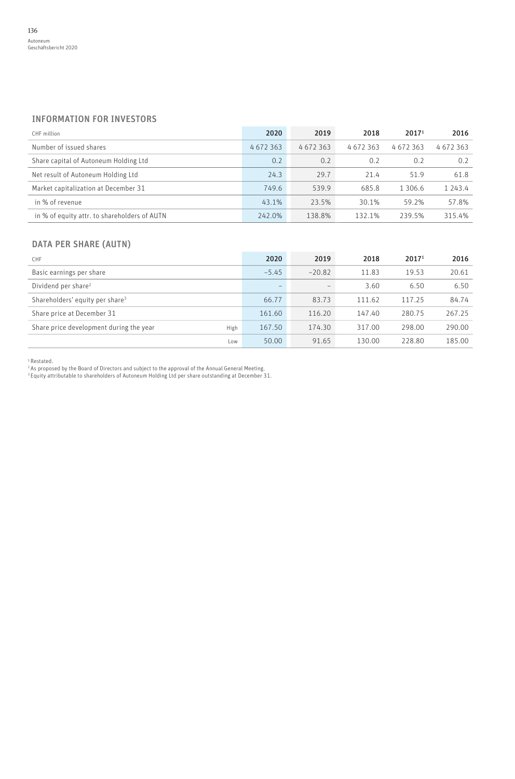### INFORMATION FOR INVESTORS

| CHF million                                  | 2020    | 2019    | 2018    | 20171   | 2016    |
|----------------------------------------------|---------|---------|---------|---------|---------|
| Number of issued shares                      | 4672363 | 4672363 | 4672363 | 4672363 | 4672363 |
| Share capital of Autoneum Holding Ltd        | 0.2     | 0.2     | 0.2     | 0.2     | 0.2     |
| Net result of Autoneum Holding Ltd           | 24.3    | 29.7    | 21.4    | 51.9    | 61.8    |
| Market capitalization at December 31         | 749.6   | 539.9   | 685.8   | 1 306.6 | 1 243.4 |
| in % of revenue                              | 43.1%   | 23.5%   | 30.1%   | 59.2%   | 57.8%   |
| in % of equity attr. to shareholders of AUTN | 242.0%  | 138.8%  | 132.1%  | 239.5%  | 315.4%  |

### DATA PER SHARE (AUTN)

| CHF                                             | 2020              | 2019     | 2018   | 2017 <sup>1</sup> | 2016   |
|-------------------------------------------------|-------------------|----------|--------|-------------------|--------|
| Basic earnings per share                        | $-5.45$           | $-20.82$ | 11.83  | 19.53             | 20.61  |
| Dividend per share <sup>2</sup>                 | $\qquad \qquad -$ | -        | 3.60   | 6.50              | 6.50   |
| Shareholders' equity per share <sup>3</sup>     | 66.77             | 83.73    | 111.62 | 117.25            | 84.74  |
| Share price at December 31                      | 161.60            | 116.20   | 147.40 | 280.75            | 267.25 |
| Share price development during the year<br>High | 167.50            | 174.30   | 317.00 | 298.00            | 290.00 |
| Low                                             | 50.00             | 91.65    | 130.00 | 228.80            | 185.00 |

1 Restated.

<sup>2</sup> As proposed by the Board of Directors and subject to the approval of the Annual General Meeting.<br><sup>3</sup> Equity attributable to shareholders of Autoneum Holding Ltd per share outstanding at December 31.